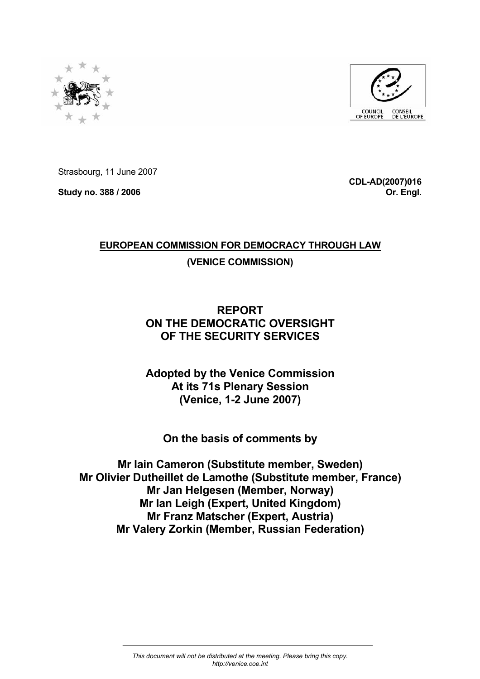



Strasbourg, 11 June 2007

**Study no. 388 / 2006** 

**CDL-AD(2007)016 Or. Engl.**

# **EUROPEAN COMMISSION FOR DEMOCRACY THROUGH LAW**

# **(VENICE COMMISSION)**

# **REPORT ON THE DEMOCRATIC OVERSIGHT OF THE SECURITY SERVICES**

# **Adopted by the Venice Commission At its 71s Plenary Session (Venice, 1-2 June 2007)**

# **On the basis of comments by**

**Mr Iain Cameron (Substitute member, Sweden) Mr Olivier Dutheillet de Lamothe (Substitute member, France) Mr Jan Helgesen (Member, Norway) Mr Ian Leigh (Expert, United Kingdom) Mr Franz Matscher (Expert, Austria) Mr Valery Zorkin (Member, Russian Federation)**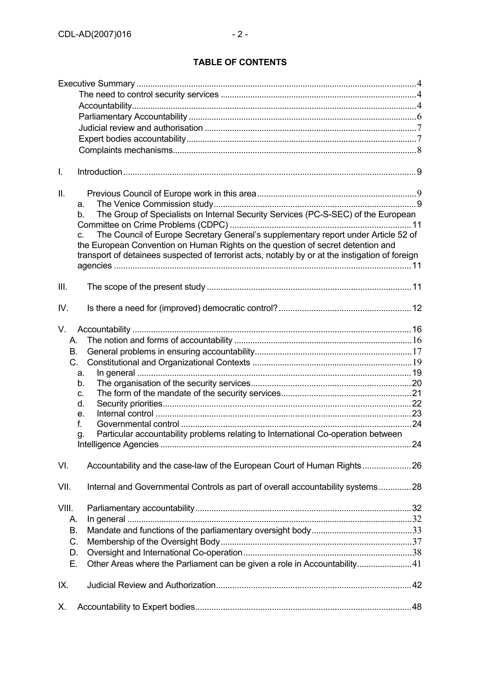# **TABLE OF CONTENTS**

| I.                                  |                                                                                                                                                                                                                                                                                                                                                                                                  |  |
|-------------------------------------|--------------------------------------------------------------------------------------------------------------------------------------------------------------------------------------------------------------------------------------------------------------------------------------------------------------------------------------------------------------------------------------------------|--|
| II.                                 | a.<br>The Group of Specialists on Internal Security Services (PC-S-SEC) of the European<br>$b_{-}$<br>The Council of Europe Secretary General's supplementary report under Article 52 of<br>C <sub>1</sub><br>the European Convention on Human Rights on the question of secret detention and<br>transport of detainees suspected of terrorist acts, notably by or at the instigation of foreign |  |
| III.                                |                                                                                                                                                                                                                                                                                                                                                                                                  |  |
| IV.                                 |                                                                                                                                                                                                                                                                                                                                                                                                  |  |
| V.<br>А.<br>В.<br>C.                | a.<br>b.<br>C.<br>d.<br>e.<br>f.<br>Particular accountability problems relating to International Co-operation between<br>g.                                                                                                                                                                                                                                                                      |  |
| VI.                                 | Accountability and the case-law of the European Court of Human Rights26                                                                                                                                                                                                                                                                                                                          |  |
| VII.                                | Internal and Governmental Controls as part of overall accountability systems28                                                                                                                                                                                                                                                                                                                   |  |
| VIII.<br>А.<br>В.<br>C.<br>D.<br>Е. | Other Areas where the Parliament can be given a role in Accountability41                                                                                                                                                                                                                                                                                                                         |  |
| IX.                                 |                                                                                                                                                                                                                                                                                                                                                                                                  |  |
| Х.                                  |                                                                                                                                                                                                                                                                                                                                                                                                  |  |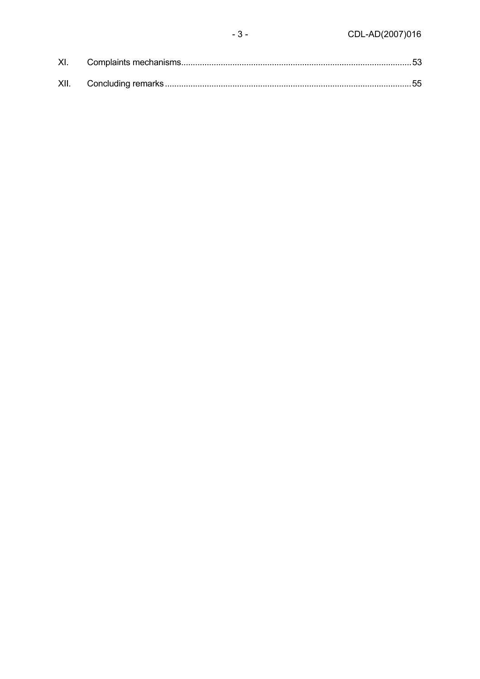$-3-$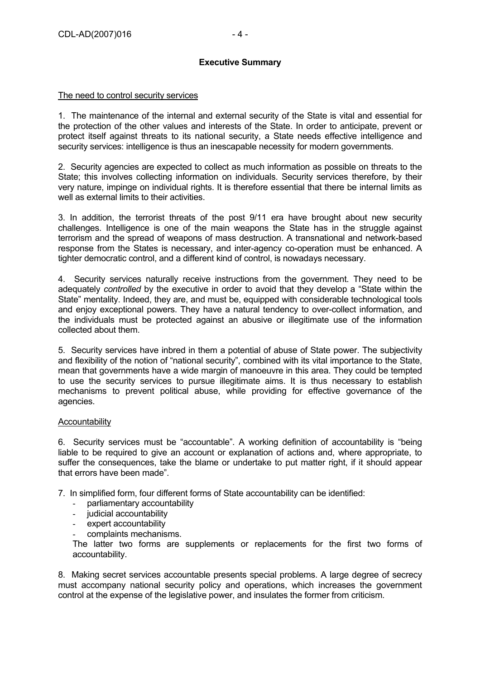### **Executive Summary**

#### The need to control security services

1. The maintenance of the internal and external security of the State is vital and essential for the protection of the other values and interests of the State. In order to anticipate, prevent or protect itself against threats to its national security, a State needs effective intelligence and security services: intelligence is thus an inescapable necessity for modern governments.

2. Security agencies are expected to collect as much information as possible on threats to the State; this involves collecting information on individuals. Security services therefore, by their very nature, impinge on individual rights. It is therefore essential that there be internal limits as well as external limits to their activities.

3. In addition, the terrorist threats of the post 9/11 era have brought about new security challenges. Intelligence is one of the main weapons the State has in the struggle against terrorism and the spread of weapons of mass destruction. A transnational and network-based response from the States is necessary, and inter-agency co-operation must be enhanced. A tighter democratic control, and a different kind of control, is nowadays necessary.

4. Security services naturally receive instructions from the government. They need to be adequately *controlled* by the executive in order to avoid that they develop a "State within the State" mentality. Indeed, they are, and must be, equipped with considerable technological tools and enjoy exceptional powers. They have a natural tendency to over-collect information, and the individuals must be protected against an abusive or illegitimate use of the information collected about them.

5. Security services have inbred in them a potential of abuse of State power. The subjectivity and flexibility of the notion of "national security", combined with its vital importance to the State, mean that governments have a wide margin of manoeuvre in this area. They could be tempted to use the security services to pursue illegitimate aims. It is thus necessary to establish mechanisms to prevent political abuse, while providing for effective governance of the agencies.

#### Accountability

6. Security services must be "accountable". A working definition of accountability is "being liable to be required to give an account or explanation of actions and, where appropriate, to suffer the consequences, take the blame or undertake to put matter right, if it should appear that errors have been made".

7. In simplified form, four different forms of State accountability can be identified:

- parliamentary accountability
- judicial accountability
- expert accountability
- complaints mechanisms.

The latter two forms are supplements or replacements for the first two forms of accountability.

8. Making secret services accountable presents special problems. A large degree of secrecy must accompany national security policy and operations, which increases the government control at the expense of the legislative power, and insulates the former from criticism.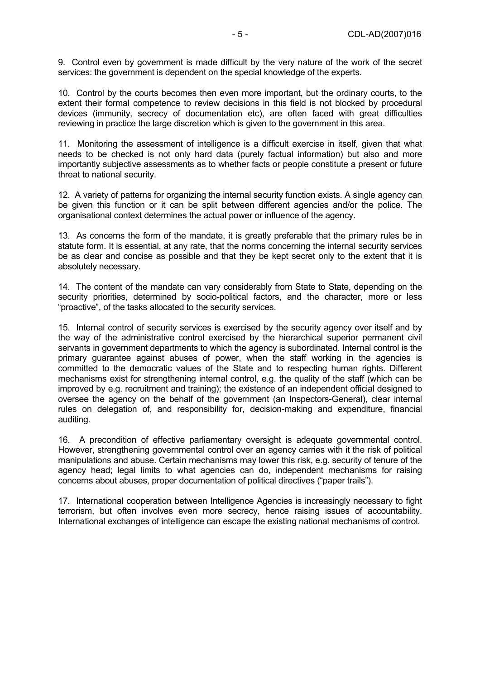9. Control even by government is made difficult by the very nature of the work of the secret services: the government is dependent on the special knowledge of the experts.

10. Control by the courts becomes then even more important, but the ordinary courts, to the extent their formal competence to review decisions in this field is not blocked by procedural devices (immunity, secrecy of documentation etc), are often faced with great difficulties reviewing in practice the large discretion which is given to the government in this area.

11. Monitoring the assessment of intelligence is a difficult exercise in itself, given that what needs to be checked is not only hard data (purely factual information) but also and more importantly subjective assessments as to whether facts or people constitute a present or future threat to national security.

12. A variety of patterns for organizing the internal security function exists. A single agency can be given this function or it can be split between different agencies and/or the police. The organisational context determines the actual power or influence of the agency.

13. As concerns the form of the mandate, it is greatly preferable that the primary rules be in statute form. It is essential, at any rate, that the norms concerning the internal security services be as clear and concise as possible and that they be kept secret only to the extent that it is absolutely necessary.

14. The content of the mandate can vary considerably from State to State, depending on the security priorities, determined by socio-political factors, and the character, more or less "proactive", of the tasks allocated to the security services.

15. Internal control of security services is exercised by the security agency over itself and by the way of the administrative control exercised by the hierarchical superior permanent civil servants in government departments to which the agency is subordinated. Internal control is the primary guarantee against abuses of power, when the staff working in the agencies is committed to the democratic values of the State and to respecting human rights. Different mechanisms exist for strengthening internal control, e.g. the quality of the staff (which can be improved by e.g. recruitment and training); the existence of an independent official designed to oversee the agency on the behalf of the government (an Inspectors-General), clear internal rules on delegation of, and responsibility for, decision-making and expenditure, financial auditing.

16. A precondition of effective parliamentary oversight is adequate governmental control. However, strengthening governmental control over an agency carries with it the risk of political manipulations and abuse. Certain mechanisms may lower this risk, e.g. security of tenure of the agency head; legal limits to what agencies can do, independent mechanisms for raising concerns about abuses, proper documentation of political directives ("paper trails").

17. International cooperation between Intelligence Agencies is increasingly necessary to fight terrorism, but often involves even more secrecy, hence raising issues of accountability. International exchanges of intelligence can escape the existing national mechanisms of control.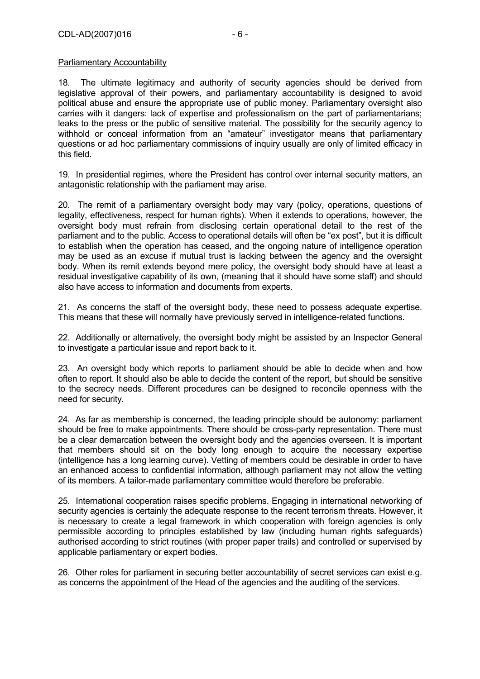#### Parliamentary Accountability

18. The ultimate legitimacy and authority of security agencies should be derived from legislative approval of their powers, and parliamentary accountability is designed to avoid political abuse and ensure the appropriate use of public money. Parliamentary oversight also carries with it dangers: lack of expertise and professionalism on the part of parliamentarians; leaks to the press or the public of sensitive material. The possibility for the security agency to withhold or conceal information from an "amateur" investigator means that parliamentary questions or ad hoc parliamentary commissions of inquiry usually are only of limited efficacy in this field.

19. In presidential regimes, where the President has control over internal security matters, an antagonistic relationship with the parliament may arise.

20. The remit of a parliamentary oversight body may vary (policy, operations, questions of legality, effectiveness, respect for human rights). When it extends to operations, however, the oversight body must refrain from disclosing certain operational detail to the rest of the parliament and to the public. Access to operational details will often be "ex post", but it is difficult to establish when the operation has ceased, and the ongoing nature of intelligence operation may be used as an excuse if mutual trust is lacking between the agency and the oversight body. When its remit extends beyond mere policy, the oversight body should have at least a residual investigative capability of its own, (meaning that it should have some staff) and should also have access to information and documents from experts.

21. As concerns the staff of the oversight body, these need to possess adequate expertise. This means that these will normally have previously served in intelligence-related functions.

22. Additionally or alternatively, the oversight body might be assisted by an Inspector General to investigate a particular issue and report back to it.

23. An oversight body which reports to parliament should be able to decide when and how often to report. It should also be able to decide the content of the report, but should be sensitive to the secrecy needs. Different procedures can be designed to reconcile openness with the need for security.

24. As far as membership is concerned, the leading principle should be autonomy: parliament should be free to make appointments. There should be cross-party representation. There must be a clear demarcation between the oversight body and the agencies overseen. It is important that members should sit on the body long enough to acquire the necessary expertise (intelligence has a long learning curve). Vetting of members could be desirable in order to have an enhanced access to confidential information, although parliament may not allow the vetting of its members. A tailor-made parliamentary committee would therefore be preferable.

25. International cooperation raises specific problems. Engaging in international networking of security agencies is certainly the adequate response to the recent terrorism threats. However, it is necessary to create a legal framework in which cooperation with foreign agencies is only permissible according to principles established by law (including human rights safeguards) authorised according to strict routines (with proper paper trails) and controlled or supervised by applicable parliamentary or expert bodies.

26. Other roles for parliament in securing better accountability of secret services can exist e.g. as concerns the appointment of the Head of the agencies and the auditing of the services.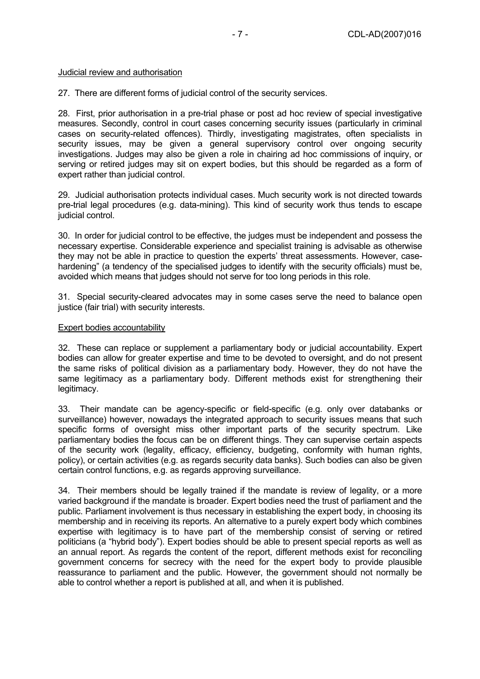### Judicial review and authorisation

27. There are different forms of judicial control of the security services.

28. First, prior authorisation in a pre-trial phase or post ad hoc review of special investigative measures. Secondly, control in court cases concerning security issues (particularly in criminal cases on security-related offences). Thirdly, investigating magistrates, often specialists in security issues, may be given a general supervisory control over ongoing security investigations. Judges may also be given a role in chairing ad hoc commissions of inquiry, or serving or retired judges may sit on expert bodies, but this should be regarded as a form of expert rather than judicial control.

29. Judicial authorisation protects individual cases. Much security work is not directed towards pre-trial legal procedures (e.g. data-mining). This kind of security work thus tends to escape judicial control.

30. In order for judicial control to be effective, the judges must be independent and possess the necessary expertise. Considerable experience and specialist training is advisable as otherwise they may not be able in practice to question the experts' threat assessments. However, casehardening" (a tendency of the specialised judges to identify with the security officials) must be, avoided which means that judges should not serve for too long periods in this role.

31. Special security-cleared advocates may in some cases serve the need to balance open justice (fair trial) with security interests.

# Expert bodies accountability

32. These can replace or supplement a parliamentary body or judicial accountability. Expert bodies can allow for greater expertise and time to be devoted to oversight, and do not present the same risks of political division as a parliamentary body. However, they do not have the same legitimacy as a parliamentary body. Different methods exist for strengthening their legitimacy.

33. Their mandate can be agency-specific or field-specific (e.g. only over databanks or surveillance) however, nowadays the integrated approach to security issues means that such specific forms of oversight miss other important parts of the security spectrum. Like parliamentary bodies the focus can be on different things. They can supervise certain aspects of the security work (legality, efficacy, efficiency, budgeting, conformity with human rights, policy), or certain activities (e.g. as regards security data banks). Such bodies can also be given certain control functions, e.g. as regards approving surveillance.

34. Their members should be legally trained if the mandate is review of legality, or a more varied background if the mandate is broader. Expert bodies need the trust of parliament and the public. Parliament involvement is thus necessary in establishing the expert body, in choosing its membership and in receiving its reports. An alternative to a purely expert body which combines expertise with legitimacy is to have part of the membership consist of serving or retired politicians (a "hybrid body"). Expert bodies should be able to present special reports as well as an annual report. As regards the content of the report, different methods exist for reconciling government concerns for secrecy with the need for the expert body to provide plausible reassurance to parliament and the public. However, the government should not normally be able to control whether a report is published at all, and when it is published.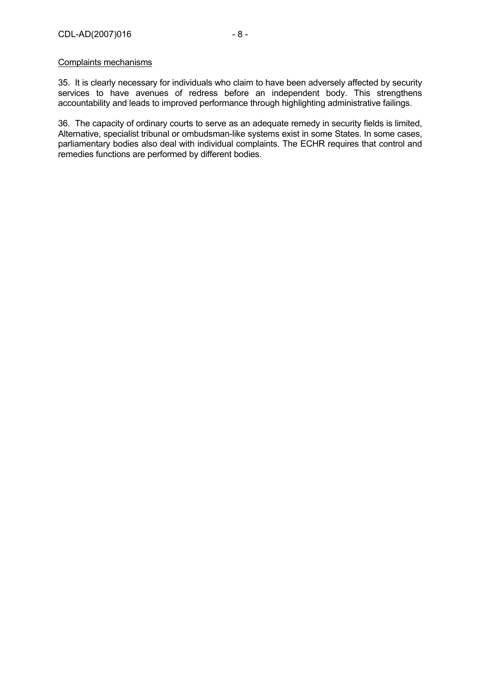#### Complaints mechanisms

35. It is clearly necessary for individuals who claim to have been adversely affected by security services to have avenues of redress before an independent body. This strengthens accountability and leads to improved performance through highlighting administrative failings.

36. The capacity of ordinary courts to serve as an adequate remedy in security fields is limited, Alternative, specialist tribunal or ombudsman-like systems exist in some States. In some cases, parliamentary bodies also deal with individual complaints. The ECHR requires that control and remedies functions are performed by different bodies.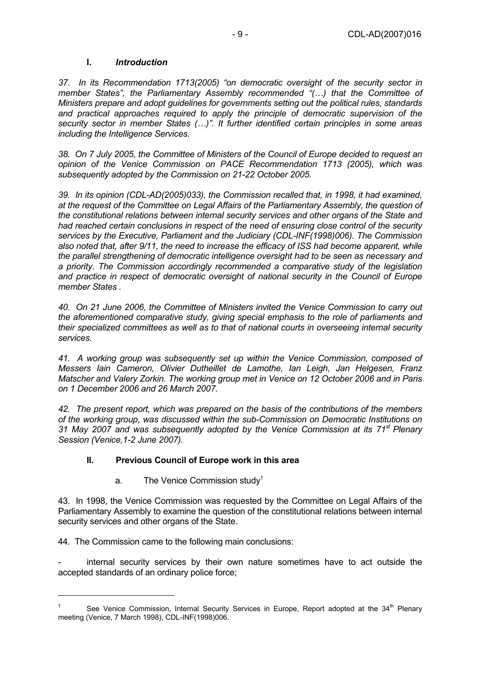#### **I.** *Introduction*

*37. In its Recommendation 1713(2005) "on democratic oversight of the security sector in member States", the Parliamentary Assembly recommended "(…) that the Committee of Ministers prepare and adopt guidelines for governments setting out the political rules, standards and practical approaches required to apply the principle of democratic supervision of the security sector in member States (…)". It further identified certain principles in some areas including the Intelligence Services.* 

*38. On 7 July 2005, the Committee of Ministers of the Council of Europe decided to request an opinion of the Venice Commission on PACE Recommendation 1713 (2005), which was subsequently adopted by the Commission on 21-22 October 2005.* 

*39. In its opinion (CDL-AD(2005)033), the Commission recalled that, in 1998, it had examined, at the request of the Committee on Legal Affairs of the Parliamentary Assembly, the question of the constitutional relations between internal security services and other organs of the State and had reached certain conclusions in respect of the need of ensuring close control of the security services by the Executive, Parliament and the Judiciary (CDL-INF(1998)006). The Commission also noted that, after 9/11, the need to increase the efficacy of ISS had become apparent, while the parallel strengthening of democratic intelligence oversight had to be seen as necessary and a priority. The Commission accordingly recommended a comparative study of the legislation and practice in respect of democratic oversight of national security in the Council of Europe member States .* 

*40. On 21 June 2006, the Committee of Ministers invited the Venice Commission to carry out the aforementioned comparative study, giving special emphasis to the role of parliaments and their specialized committees as well as to that of national courts in overseeing internal security services.* 

*41. A working group was subsequently set up within the Venice Commission, composed of Messers Iain Cameron, Olivier Dutheillet de Lamothe, Ian Leigh, Jan Helgesen, Franz Matscher and Valery Zorkin. The working group met in Venice on 12 October 2006 and in Paris on 1 December 2006 and 26 March 2007.* 

*42. The present report, which was prepared on the basis of the contributions of the members of the working group, was discussed within the sub-Commission on Democratic Institutions on 31 May 2007 and was subsequently adopted by the Venice Commission at its 71st Plenary Session (Venice,1-2 June 2007).* 

# **II. Previous Council of Europe work in this area**

a. The Venice Commission study<sup>1</sup>

43. In 1998, the Venice Commission was requested by the Committee on Legal Affairs of the Parliamentary Assembly to examine the question of the constitutional relations between internal security services and other organs of the State.

44. The Commission came to the following main conclusions:

 $\overline{a}$ 

internal security services by their own nature sometimes have to act outside the accepted standards of an ordinary police force;

<sup>1</sup> See Venice Commission, Internal Security Services in Europe, Report adopted at the 34<sup>th</sup> Plenary meeting (Venice, 7 March 1998), CDL-INF(1998)006.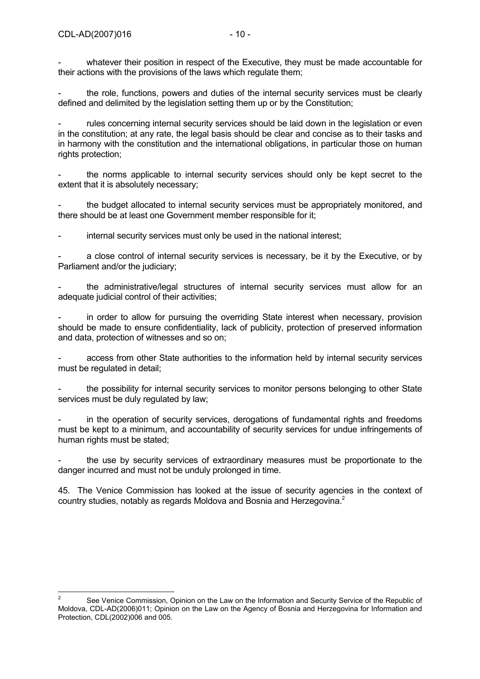whatever their position in respect of the Executive, they must be made accountable for their actions with the provisions of the laws which regulate them;

the role, functions, powers and duties of the internal security services must be clearly defined and delimited by the legislation setting them up or by the Constitution;

rules concerning internal security services should be laid down in the legislation or even in the constitution; at any rate, the legal basis should be clear and concise as to their tasks and in harmony with the constitution and the international obligations, in particular those on human rights protection;

the norms applicable to internal security services should only be kept secret to the extent that it is absolutely necessary;

the budget allocated to internal security services must be appropriately monitored, and there should be at least one Government member responsible for it;

internal security services must only be used in the national interest;

a close control of internal security services is necessary, be it by the Executive, or by Parliament and/or the judiciary;

the administrative/legal structures of internal security services must allow for an adequate judicial control of their activities;

in order to allow for pursuing the overriding State interest when necessary, provision should be made to ensure confidentiality, lack of publicity, protection of preserved information and data, protection of witnesses and so on;

access from other State authorities to the information held by internal security services must be regulated in detail;

the possibility for internal security services to monitor persons belonging to other State services must be duly regulated by law;

in the operation of security services, derogations of fundamental rights and freedoms must be kept to a minimum, and accountability of security services for undue infringements of human rights must be stated:

the use by security services of extraordinary measures must be proportionate to the danger incurred and must not be unduly prolonged in time.

45. The Venice Commission has looked at the issue of security agencies in the context of country studies, notably as regards Moldova and Bosnia and Herzegovina.<sup>2</sup>

 $\frac{1}{2}$  See Venice Commission, Opinion on the Law on the Information and Security Service of the Republic of Moldova, CDL-AD(2006)011; Opinion on the Law on the Agency of Bosnia and Herzegovina for Information and Protection, CDL(2002)006 and 005.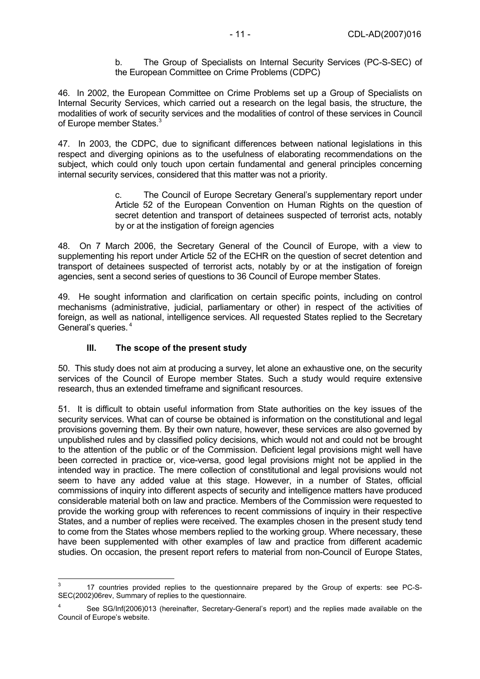b. The Group of Specialists on Internal Security Services (PC-S-SEC) of the European Committee on Crime Problems (CDPC)

46. In 2002, the European Committee on Crime Problems set up a Group of Specialists on Internal Security Services, which carried out a research on the legal basis, the structure, the modalities of work of security services and the modalities of control of these services in Council of Europe member States.<sup>3</sup>

47. In 2003, the CDPC, due to significant differences between national legislations in this respect and diverging opinions as to the usefulness of elaborating recommendations on the subject, which could only touch upon certain fundamental and general principles concerning internal security services, considered that this matter was not a priority.

> c. The Council of Europe Secretary General's supplementary report under Article 52 of the European Convention on Human Rights on the question of secret detention and transport of detainees suspected of terrorist acts, notably by or at the instigation of foreign agencies

48. On 7 March 2006, the Secretary General of the Council of Europe, with a view to supplementing his report under Article 52 of the ECHR on the question of secret detention and transport of detainees suspected of terrorist acts, notably by or at the instigation of foreign agencies, sent a second series of questions to 36 Council of Europe member States.

49. He sought information and clarification on certain specific points, including on control mechanisms (administrative, judicial, parliamentary or other) in respect of the activities of foreign, as well as national, intelligence services. All requested States replied to the Secretary General's queries. 4

# **III. The scope of the present study**

50. This study does not aim at producing a survey, let alone an exhaustive one, on the security services of the Council of Europe member States. Such a study would require extensive research, thus an extended timeframe and significant resources.

51. It is difficult to obtain useful information from State authorities on the key issues of the security services. What can of course be obtained is information on the constitutional and legal provisions governing them. By their own nature, however, these services are also governed by unpublished rules and by classified policy decisions, which would not and could not be brought to the attention of the public or of the Commission. Deficient legal provisions might well have been corrected in practice or, vice-versa, good legal provisions might not be applied in the intended way in practice. The mere collection of constitutional and legal provisions would not seem to have any added value at this stage. However, in a number of States, official commissions of inquiry into different aspects of security and intelligence matters have produced considerable material both on law and practice. Members of the Commission were requested to provide the working group with references to recent commissions of inquiry in their respective States, and a number of replies were received. The examples chosen in the present study tend to come from the States whose members replied to the working group. Where necessary, these have been supplemented with other examples of law and practice from different academic studies. On occasion, the present report refers to material from non-Council of Europe States,

<sup>-&</sup>lt;br>3 17 countries provided replies to the questionnaire prepared by the Group of experts: see PC-S-SEC(2002)06rev, Summary of replies to the questionnaire.

<sup>4</sup> See SG/Inf(2006)013 (hereinafter, Secretary-General's report) and the replies made available on the Council of Europe's website.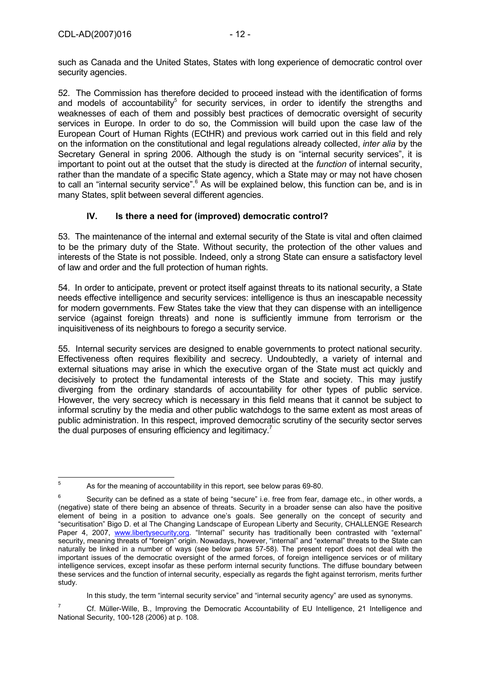such as Canada and the United States, States with long experience of democratic control over security agencies.

52. The Commission has therefore decided to proceed instead with the identification of forms and models of accountability<sup>5</sup> for security services, in order to identify the strengths and weaknesses of each of them and possibly best practices of democratic oversight of security services in Europe. In order to do so, the Commission will build upon the case law of the European Court of Human Rights (ECtHR) and previous work carried out in this field and rely on the information on the constitutional and legal regulations already collected, *inter alia* by the Secretary General in spring 2006. Although the study is on "internal security services", it is important to point out at the outset that the study is directed at the *function* of internal security, rather than the mandate of a specific State agency, which a State may or may not have chosen to call an "internal security service".<sup>6</sup> As will be explained below, this function can be, and is in many States, split between several different agencies.

# **IV. Is there a need for (improved) democratic control?**

53. The maintenance of the internal and external security of the State is vital and often claimed to be the primary duty of the State. Without security, the protection of the other values and interests of the State is not possible. Indeed, only a strong State can ensure a satisfactory level of law and order and the full protection of human rights.

54. In order to anticipate, prevent or protect itself against threats to its national security, a State needs effective intelligence and security services: intelligence is thus an inescapable necessity for modern governments. Few States take the view that they can dispense with an intelligence service (against foreign threats) and none is sufficiently immune from terrorism or the inquisitiveness of its neighbours to forego a security service.

55. Internal security services are designed to enable governments to protect national security. Effectiveness often requires flexibility and secrecy. Undoubtedly, a variety of internal and external situations may arise in which the executive organ of the State must act quickly and decisively to protect the fundamental interests of the State and society. This may justify diverging from the ordinary standards of accountability for other types of public service. However, the very secrecy which is necessary in this field means that it cannot be subject to informal scrutiny by the media and other public watchdogs to the same extent as most areas of public administration. In this respect, improved democratic scrutiny of the security sector serves the dual purposes of ensuring efficiency and legitimacy.<sup>7</sup>

In this study, the term "internal security service" and "internal security agency" are used as synonyms.

7 Cf. Müller-Wille, B., Improving the Democratic Accountability of EU Intelligence, 21 Intelligence and National Security, 100-128 (2006) at p. 108.

<sup>-&</sup>lt;br>5 As for the meaning of accountability in this report, see below paras 69-80.

<sup>6</sup> Security can be defined as a state of being "secure" i.e. free from fear, damage etc., in other words, a (negative) state of there being an absence of threats. Security in a broader sense can also have the positive element of being in a position to advance one's goals. See generally on the concept of security and "securitisation" Bigo D. et al The Changing Landscape of European Liberty and Security, CHALLENGE Research Paper 4, 2007, www.libertysecurity;org. "Internal" security has traditionally been contrasted with "external" security, meaning threats of "foreign" origin. Nowadays, however, "internal" and "external" threats to the State can naturally be linked in a number of ways (see below paras 57-58). The present report does not deal with the important issues of the democratic oversight of the armed forces, of foreign intelligence services or of military intelligence services, except insofar as these perform internal security functions. The diffuse boundary between these services and the function of internal security, especially as regards the fight against terrorism, merits further study.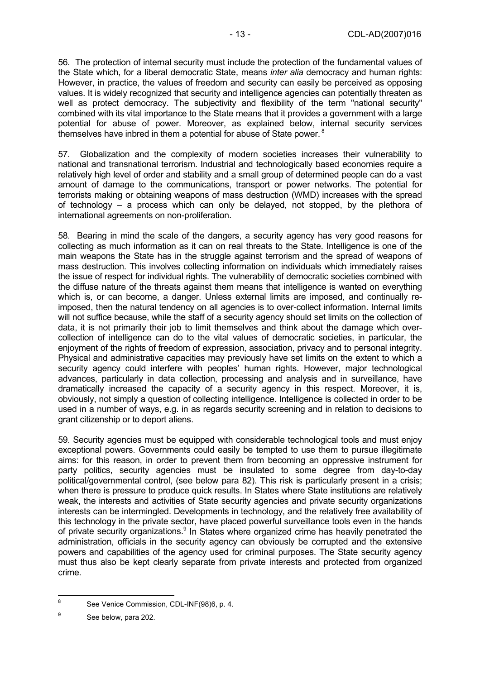56. The protection of internal security must include the protection of the fundamental values of the State which, for a liberal democratic State, means *inter alia* democracy and human rights: However, in practice, the values of freedom and security can easily be perceived as opposing values. It is widely recognized that security and intelligence agencies can potentially threaten as well as protect democracy. The subjectivity and flexibility of the term "national security" combined with its vital importance to the State means that it provides a government with a large potential for abuse of power. Moreover, as explained below, internal security services themselves have inbred in them a potential for abuse of State power.<sup>8</sup>

57. Globalization and the complexity of modern societies increases their vulnerability to national and transnational terrorism. Industrial and technologically based economies require a relatively high level of order and stability and a small group of determined people can do a vast amount of damage to the communications, transport or power networks. The potential for terrorists making or obtaining weapons of mass destruction (WMD) increases with the spread of technology – a process which can only be delayed, not stopped, by the plethora of international agreements on non-proliferation.

58. Bearing in mind the scale of the dangers, a security agency has very good reasons for collecting as much information as it can on real threats to the State. Intelligence is one of the main weapons the State has in the struggle against terrorism and the spread of weapons of mass destruction. This involves collecting information on individuals which immediately raises the issue of respect for individual rights. The vulnerability of democratic societies combined with the diffuse nature of the threats against them means that intelligence is wanted on everything which is, or can become, a danger. Unless external limits are imposed, and continually reimposed, then the natural tendency on all agencies is to over-collect information. Internal limits will not suffice because, while the staff of a security agency should set limits on the collection of data, it is not primarily their job to limit themselves and think about the damage which overcollection of intelligence can do to the vital values of democratic societies, in particular, the enjoyment of the rights of freedom of expression, association, privacy and to personal integrity. Physical and administrative capacities may previously have set limits on the extent to which a security agency could interfere with peoples' human rights. However, major technological advances, particularly in data collection, processing and analysis and in surveillance, have dramatically increased the capacity of a security agency in this respect. Moreover, it is, obviously, not simply a question of collecting intelligence. Intelligence is collected in order to be used in a number of ways, e.g. in as regards security screening and in relation to decisions to grant citizenship or to deport aliens.

59. Security agencies must be equipped with considerable technological tools and must enjoy exceptional powers. Governments could easily be tempted to use them to pursue illegitimate aims: for this reason, in order to prevent them from becoming an oppressive instrument for party politics, security agencies must be insulated to some degree from day-to-day political/governmental control, (see below para 82). This risk is particularly present in a crisis; when there is pressure to produce quick results. In States where State institutions are relatively weak, the interests and activities of State security agencies and private security organizations interests can be intermingled. Developments in technology, and the relatively free availability of this technology in the private sector, have placed powerful surveillance tools even in the hands of private security organizations.<sup>9</sup> In States where organized crime has heavily penetrated the administration, officials in the security agency can obviously be corrupted and the extensive powers and capabilities of the agency used for criminal purposes. The State security agency must thus also be kept clearly separate from private interests and protected from organized crime.

 $\frac{1}{8}$ See Venice Commission, CDL-INF(98)6, p. 4.

<sup>9</sup> See below, para 202.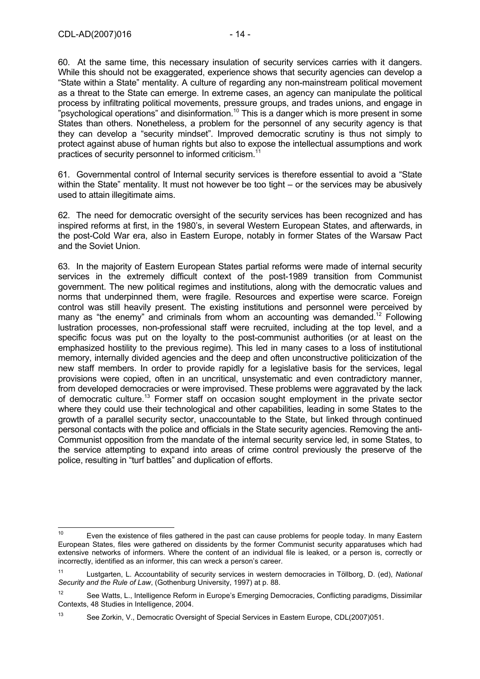60. At the same time, this necessary insulation of security services carries with it dangers. While this should not be exaggerated, experience shows that security agencies can develop a "State within a State" mentality. A culture of regarding any non-mainstream political movement as a threat to the State can emerge. In extreme cases, an agency can manipulate the political process by infiltrating political movements, pressure groups, and trades unions, and engage in "psychological operations" and disinformation.<sup>10</sup> This is a danger which is more present in some States than others. Nonetheless, a problem for the personnel of any security agency is that they can develop a "security mindset". Improved democratic scrutiny is thus not simply to protect against abuse of human rights but also to expose the intellectual assumptions and work practices of security personnel to informed criticism.<sup>1</sup>

61. Governmental control of Internal security services is therefore essential to avoid a "State within the State" mentality. It must not however be too tight – or the services may be abusively used to attain illegitimate aims.

62. The need for democratic oversight of the security services has been recognized and has inspired reforms at first, in the 1980's, in several Western European States, and afterwards, in the post-Cold War era, also in Eastern Europe, notably in former States of the Warsaw Pact and the Soviet Union.

63. In the majority of Eastern European States partial reforms were made of internal security services in the extremely difficult context of the post-1989 transition from Communist government. The new political regimes and institutions, along with the democratic values and norms that underpinned them, were fragile. Resources and expertise were scarce. Foreign control was still heavily present. The existing institutions and personnel were perceived by many as "the enemy" and criminals from whom an accounting was demanded.<sup>12</sup> Following lustration processes, non-professional staff were recruited, including at the top level, and a specific focus was put on the loyalty to the post-communist authorities (or at least on the emphasized hostility to the previous regime). This led in many cases to a loss of institutional memory, internally divided agencies and the deep and often unconstructive politicization of the new staff members. In order to provide rapidly for a legislative basis for the services, legal provisions were copied, often in an uncritical, unsystematic and even contradictory manner, from developed democracies or were improvised. These problems were aggravated by the lack of democratic culture.13 Former staff on occasion sought employment in the private sector where they could use their technological and other capabilities, leading in some States to the growth of a parallel security sector, unaccountable to the State, but linked through continued personal contacts with the police and officials in the State security agencies. Removing the anti-Communist opposition from the mandate of the internal security service led, in some States, to the service attempting to expand into areas of crime control previously the preserve of the police, resulting in "turf battles" and duplication of efforts.

 $10$ Even the existence of files gathered in the past can cause problems for people today. In many Eastern European States, files were gathered on dissidents by the former Communist security apparatuses which had extensive networks of informers. Where the content of an individual file is leaked, or a person is, correctly or incorrectly, identified as an informer, this can wreck a person's career.

<sup>11</sup> Lustgarten, L. Accountability of security services in western democracies in Töllborg, D. (ed), *National Security and the Rule of Law*, (Gothenburg University, 1997) at p. 88.

<sup>&</sup>lt;sup>12</sup> See Watts, L., Intelligence Reform in Europe's Emerging Democracies, Conflicting paradigms, Dissimilar Contexts, 48 Studies in Intelligence, 2004.

<sup>13</sup> See Zorkin, V., Democratic Oversight of Special Services in Eastern Europe, CDL(2007)051.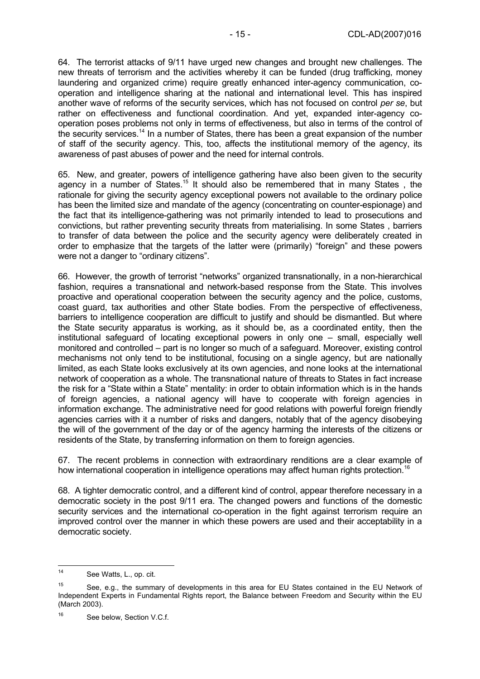64. The terrorist attacks of 9/11 have urged new changes and brought new challenges. The new threats of terrorism and the activities whereby it can be funded (drug trafficking, money laundering and organized crime) require greatly enhanced inter-agency communication, cooperation and intelligence sharing at the national and international level. This has inspired another wave of reforms of the security services, which has not focused on control *per se*, but rather on effectiveness and functional coordination. And yet, expanded inter-agency cooperation poses problems not only in terms of effectiveness, but also in terms of the control of the security services.<sup>14</sup> In a number of States, there has been a great expansion of the number of staff of the security agency. This, too, affects the institutional memory of the agency, its awareness of past abuses of power and the need for internal controls.

65. New, and greater, powers of intelligence gathering have also been given to the security agency in a number of States.<sup>15</sup> It should also be remembered that in many States, the rationale for giving the security agency exceptional powers not available to the ordinary police has been the limited size and mandate of the agency (concentrating on counter-espionage) and the fact that its intelligence-gathering was not primarily intended to lead to prosecutions and convictions, but rather preventing security threats from materialising. In some States , barriers to transfer of data between the police and the security agency were deliberately created in order to emphasize that the targets of the latter were (primarily) "foreign" and these powers were not a danger to "ordinary citizens".

66. However, the growth of terrorist "networks" organized transnationally, in a non-hierarchical fashion, requires a transnational and network-based response from the State. This involves proactive and operational cooperation between the security agency and the police, customs, coast guard, tax authorities and other State bodies. From the perspective of effectiveness, barriers to intelligence cooperation are difficult to justify and should be dismantled. But where the State security apparatus is working, as it should be, as a coordinated entity, then the institutional safeguard of locating exceptional powers in only one – small, especially well monitored and controlled – part is no longer so much of a safeguard. Moreover, existing control mechanisms not only tend to be institutional, focusing on a single agency, but are nationally limited, as each State looks exclusively at its own agencies, and none looks at the international network of cooperation as a whole. The transnational nature of threats to States in fact increase the risk for a "State within a State" mentality: in order to obtain information which is in the hands of foreign agencies, a national agency will have to cooperate with foreign agencies in information exchange. The administrative need for good relations with powerful foreign friendly agencies carries with it a number of risks and dangers, notably that of the agency disobeying the will of the government of the day or of the agency harming the interests of the citizens or residents of the State, by transferring information on them to foreign agencies.

67. The recent problems in connection with extraordinary renditions are a clear example of how international cooperation in intelligence operations may affect human rights protection.<sup>16</sup>

68. A tighter democratic control, and a different kind of control, appear therefore necessary in a democratic society in the post 9/11 era. The changed powers and functions of the domestic security services and the international co-operation in the fight against terrorism require an improved control over the manner in which these powers are used and their acceptability in a democratic society.

 $14$ See Watts, L., op. cit.

<sup>&</sup>lt;sup>15</sup> See, e.g., the summary of developments in this area for EU States contained in the EU Network of Independent Experts in Fundamental Rights report, the Balance between Freedom and Security within the EU (March 2003).

<sup>&</sup>lt;sup>16</sup> See below, Section V.C.f.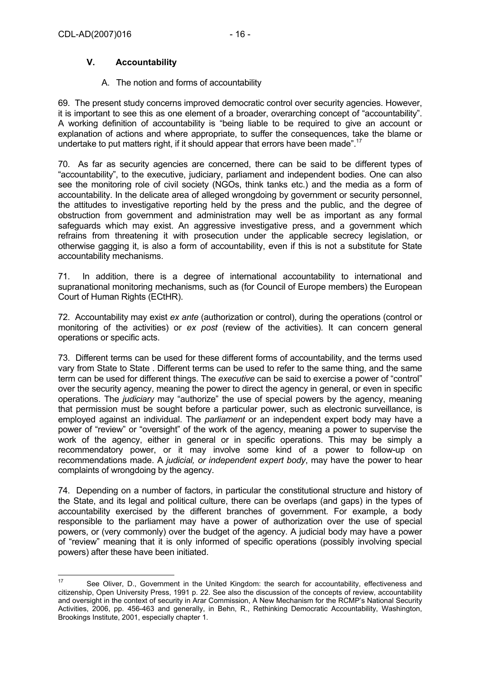# **V. Accountability**

#### A. The notion and forms of accountability

69. The present study concerns improved democratic control over security agencies. However, it is important to see this as one element of a broader, overarching concept of "accountability". A working definition of accountability is "being liable to be required to give an account or explanation of actions and where appropriate, to suffer the consequences, take the blame or undertake to put matters right, if it should appear that errors have been made".<sup>17</sup>

70. As far as security agencies are concerned, there can be said to be different types of "accountability", to the executive, judiciary, parliament and independent bodies. One can also see the monitoring role of civil society (NGOs, think tanks etc.) and the media as a form of accountability. In the delicate area of alleged wrongdoing by government or security personnel, the attitudes to investigative reporting held by the press and the public, and the degree of obstruction from government and administration may well be as important as any formal safeguards which may exist. An aggressive investigative press, and a government which refrains from threatening it with prosecution under the applicable secrecy legislation, or otherwise gagging it, is also a form of accountability, even if this is not a substitute for State accountability mechanisms.

71. In addition, there is a degree of international accountability to international and supranational monitoring mechanisms, such as (for Council of Europe members) the European Court of Human Rights (ECtHR).

72. Accountability may exist *ex ante* (authorization or control), during the operations (control or monitoring of the activities) or *ex post* (review of the activities). It can concern general operations or specific acts.

73. Different terms can be used for these different forms of accountability, and the terms used vary from State to State . Different terms can be used to refer to the same thing, and the same term can be used for different things. The *executive* can be said to exercise a power of "control" over the security agency, meaning the power to direct the agency in general, or even in specific operations. The *judiciary* may "authorize" the use of special powers by the agency, meaning that permission must be sought before a particular power, such as electronic surveillance, is employed against an individual. The *parliament* or an independent expert body may have a power of "review" or "oversight" of the work of the agency, meaning a power to supervise the work of the agency, either in general or in specific operations. This may be simply a recommendatory power, or it may involve some kind of a power to follow-up on recommendations made. A *judicial, or independent expert body*, may have the power to hear complaints of wrongdoing by the agency.

74. Depending on a number of factors, in particular the constitutional structure and history of the State, and its legal and political culture, there can be overlaps (and gaps) in the types of accountability exercised by the different branches of government. For example, a body responsible to the parliament may have a power of authorization over the use of special powers, or (very commonly) over the budget of the agency. A judicial body may have a power of "review" meaning that it is only informed of specific operations (possibly involving special powers) after these have been initiated.

<sup>17</sup> See Oliver, D., Government in the United Kingdom: the search for accountability, effectiveness and citizenship, Open University Press, 1991 p. 22. See also the discussion of the concepts of review, accountability and oversight in the context of security in Arar Commission, A New Mechanism for the RCMP's National Security Activities, 2006, pp. 456-463 and generally, in Behn, R., Rethinking Democratic Accountability, Washington, Brookings Institute, 2001, especially chapter 1.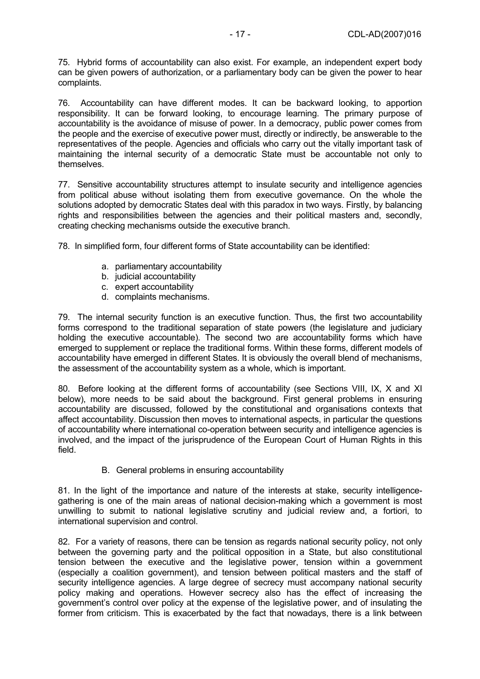75. Hybrid forms of accountability can also exist. For example, an independent expert body can be given powers of authorization, or a parliamentary body can be given the power to hear complaints.

76. Accountability can have different modes. It can be backward looking, to apportion responsibility. It can be forward looking, to encourage learning. The primary purpose of accountability is the avoidance of misuse of power. In a democracy, public power comes from the people and the exercise of executive power must, directly or indirectly, be answerable to the representatives of the people. Agencies and officials who carry out the vitally important task of maintaining the internal security of a democratic State must be accountable not only to themselves.

77. Sensitive accountability structures attempt to insulate security and intelligence agencies from political abuse without isolating them from executive governance. On the whole the solutions adopted by democratic States deal with this paradox in two ways. Firstly, by balancing rights and responsibilities between the agencies and their political masters and, secondly, creating checking mechanisms outside the executive branch.

78. In simplified form, four different forms of State accountability can be identified:

- a. parliamentary accountability
- b. judicial accountability
- c. expert accountability
- d. complaints mechanisms.

79. The internal security function is an executive function. Thus, the first two accountability forms correspond to the traditional separation of state powers (the legislature and judiciary holding the executive accountable). The second two are accountability forms which have emerged to supplement or replace the traditional forms. Within these forms, different models of accountability have emerged in different States. It is obviously the overall blend of mechanisms, the assessment of the accountability system as a whole, which is important.

80. Before looking at the different forms of accountability (see Sections VIII, IX, X and XI below), more needs to be said about the background. First general problems in ensuring accountability are discussed, followed by the constitutional and organisations contexts that affect accountability. Discussion then moves to international aspects, in particular the questions of accountability where international co-operation between security and intelligence agencies is involved, and the impact of the jurisprudence of the European Court of Human Rights in this field.

B. General problems in ensuring accountability

81. In the light of the importance and nature of the interests at stake, security intelligencegathering is one of the main areas of national decision-making which a government is most unwilling to submit to national legislative scrutiny and judicial review and, a fortiori, to international supervision and control.

82. For a variety of reasons, there can be tension as regards national security policy, not only between the governing party and the political opposition in a State, but also constitutional tension between the executive and the legislative power, tension within a government (especially a coalition government), and tension between political masters and the staff of security intelligence agencies. A large degree of secrecy must accompany national security policy making and operations. However secrecy also has the effect of increasing the government's control over policy at the expense of the legislative power, and of insulating the former from criticism. This is exacerbated by the fact that nowadays, there is a link between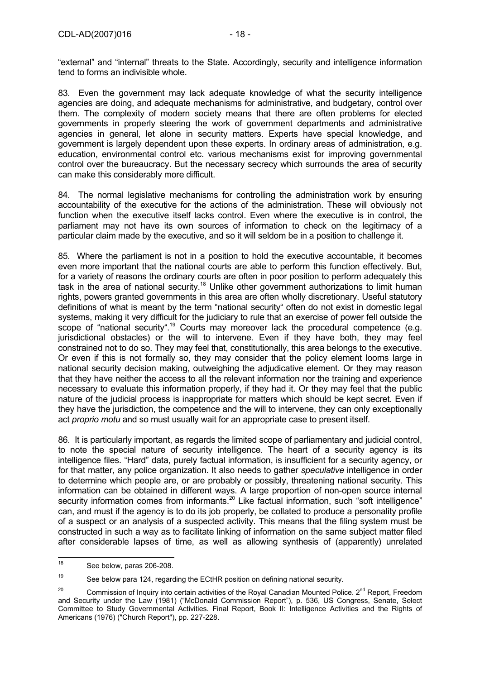"external" and "internal" threats to the State. Accordingly, security and intelligence information tend to forms an indivisible whole.

83. Even the government may lack adequate knowledge of what the security intelligence agencies are doing, and adequate mechanisms for administrative, and budgetary, control over them. The complexity of modern society means that there are often problems for elected governments in properly steering the work of government departments and administrative agencies in general, let alone in security matters. Experts have special knowledge, and government is largely dependent upon these experts. In ordinary areas of administration, e.g. education, environmental control etc. various mechanisms exist for improving governmental control over the bureaucracy. But the necessary secrecy which surrounds the area of security can make this considerably more difficult.

84. The normal legislative mechanisms for controlling the administration work by ensuring accountability of the executive for the actions of the administration. These will obviously not function when the executive itself lacks control. Even where the executive is in control, the parliament may not have its own sources of information to check on the legitimacy of a particular claim made by the executive, and so it will seldom be in a position to challenge it.

85. Where the parliament is not in a position to hold the executive accountable, it becomes even more important that the national courts are able to perform this function effectively. But, for a variety of reasons the ordinary courts are often in poor position to perform adequately this task in the area of national security.<sup>18</sup> Unlike other government authorizations to limit human rights, powers granted governments in this area are often wholly discretionary. Useful statutory definitions of what is meant by the term "national security" often do not exist in domestic legal systems, making it very difficult for the judiciary to rule that an exercise of power fell outside the scope of "national security".<sup>19</sup> Courts may moreover lack the procedural competence (e.g. jurisdictional obstacles) or the will to intervene. Even if they have both, they may feel constrained not to do so. They may feel that, constitutionally, this area belongs to the executive. Or even if this is not formally so, they may consider that the policy element looms large in national security decision making, outweighing the adjudicative element. Or they may reason that they have neither the access to all the relevant information nor the training and experience necessary to evaluate this information properly, if they had it. Or they may feel that the public nature of the judicial process is inappropriate for matters which should be kept secret. Even if they have the jurisdiction, the competence and the will to intervene, they can only exceptionally act *proprio motu* and so must usually wait for an appropriate case to present itself.

86. It is particularly important, as regards the limited scope of parliamentary and judicial control, to note the special nature of security intelligence. The heart of a security agency is its intelligence files. "Hard" data, purely factual information, is insufficient for a security agency, or for that matter, any police organization. It also needs to gather *speculative* intelligence in order to determine which people are, or are probably or possibly, threatening national security. This information can be obtained in different ways. A large proportion of non-open source internal security information comes from informants.<sup>20</sup> Like factual information, such "soft intelligence" can, and must if the agency is to do its job properly, be collated to produce a personality profile of a suspect or an analysis of a suspected activity. This means that the filing system must be constructed in such a way as to facilitate linking of information on the same subject matter filed after considerable lapses of time, as well as allowing synthesis of (apparently) unrelated

<sup>19</sup> See below para 124, regarding the ECtHR position on defining national security.

<sup>18</sup> See below, paras 206-208.

<sup>&</sup>lt;sup>20</sup> Commission of Inquiry into certain activities of the Royal Canadian Mounted Police. 2<sup>nd</sup> Report, Freedom and Security under the Law (1981) ("McDonald Commission Report"), p. 536, US Congress, Senate, Select Committee to Study Governmental Activities. Final Report, Book II: Intelligence Activities and the Rights of Americans (1976) ("Church Report"), pp. 227-228.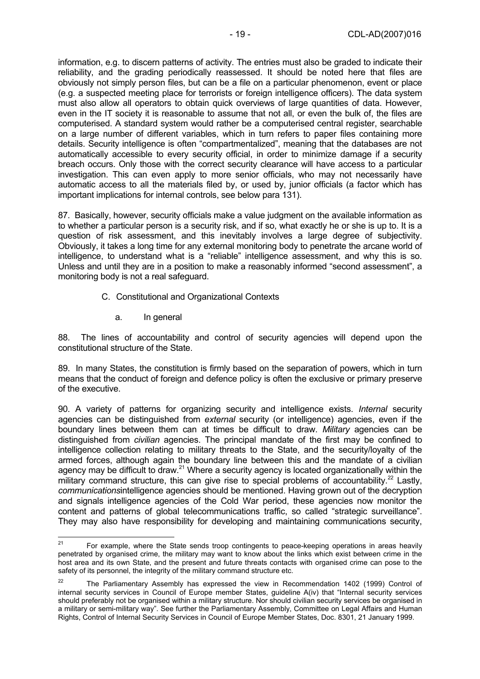information, e.g. to discern patterns of activity. The entries must also be graded to indicate their reliability, and the grading periodically reassessed. It should be noted here that files are obviously not simply person files, but can be a file on a particular phenomenon, event or place (e.g. a suspected meeting place for terrorists or foreign intelligence officers). The data system must also allow all operators to obtain quick overviews of large quantities of data. However, even in the IT society it is reasonable to assume that not all, or even the bulk of, the files are computerised. A standard system would rather be a computerised central register, searchable on a large number of different variables, which in turn refers to paper files containing more details. Security intelligence is often "compartmentalized", meaning that the databases are not automatically accessible to every security official, in order to minimize damage if a security breach occurs. Only those with the correct security clearance will have access to a particular investigation. This can even apply to more senior officials, who may not necessarily have automatic access to all the materials filed by, or used by, junior officials (a factor which has important implications for internal controls, see below para 131).

87. Basically, however, security officials make a value judgment on the available information as to whether a particular person is a security risk, and if so, what exactly he or she is up to. It is a question of risk assessment, and this inevitably involves a large degree of subjectivity. Obviously, it takes a long time for any external monitoring body to penetrate the arcane world of intelligence, to understand what is a "reliable" intelligence assessment, and why this is so. Unless and until they are in a position to make a reasonably informed "second assessment", a monitoring body is not a real safeguard.

- C. Constitutional and Organizational Contexts
	- a. In general

88. The lines of accountability and control of security agencies will depend upon the constitutional structure of the State.

89. In many States, the constitution is firmly based on the separation of powers, which in turn means that the conduct of foreign and defence policy is often the exclusive or primary preserve of the executive.

90. A variety of patterns for organizing security and intelligence exists. *Internal* security agencies can be distinguished from *external* security (or intelligence) agencies, even if the boundary lines between them can at times be difficult to draw. *Military* agencies can be distinguished from *civilian* agencies. The principal mandate of the first may be confined to intelligence collection relating to military threats to the State, and the security/loyalty of the armed forces, although again the boundary line between this and the mandate of a civilian annow tensor, anticaginal summarization of a security agency is located organizationally within the military command structure, this can give rise to special problems of accountability.<sup>22</sup> Lastly, *communications*intelligence agencies should be mentioned. Having grown out of the decryption and signals intelligence agencies of the Cold War period, these agencies now monitor the content and patterns of global telecommunications traffic, so called "strategic surveillance". They may also have responsibility for developing and maintaining communications security,

 $21$ 21 For example, where the State sends troop contingents to peace-keeping operations in areas heavily penetrated by organised crime, the military may want to know about the links which exist between crime in the host area and its own State, and the present and future threats contacts with organised crime can pose to the safety of its personnel, the integrity of the military command structure etc.

<sup>&</sup>lt;sup>22</sup> The Parliamentary Assembly has expressed the view in Recommendation 1402 (1999) Control of internal security services in Council of Europe member States, guideline A(iv) that "Internal security services should preferably not be organised within a military structure. Nor should civilian security services be organised in a military or semi-military way". See further the Parliamentary Assembly, Committee on Legal Affairs and Human Rights, Control of Internal Security Services in Council of Europe Member States, Doc. 8301, 21 January 1999.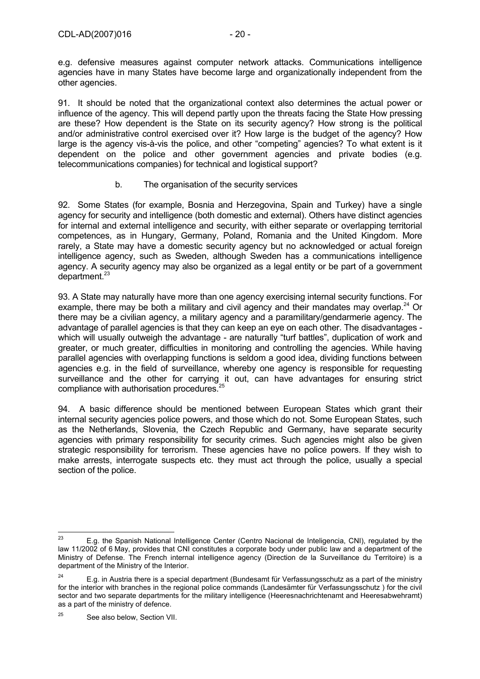e.g. defensive measures against computer network attacks. Communications intelligence agencies have in many States have become large and organizationally independent from the other agencies.

91. It should be noted that the organizational context also determines the actual power or influence of the agency. This will depend partly upon the threats facing the State How pressing are these? How dependent is the State on its security agency? How strong is the political and/or administrative control exercised over it? How large is the budget of the agency? How large is the agency vis-à-vis the police, and other "competing" agencies? To what extent is it dependent on the police and other government agencies and private bodies (e.g. telecommunications companies) for technical and logistical support?

### b. The organisation of the security services

92. Some States (for example, Bosnia and Herzegovina, Spain and Turkey) have a single agency for security and intelligence (both domestic and external). Others have distinct agencies for internal and external intelligence and security, with either separate or overlapping territorial competences, as in Hungary, Germany, Poland, Romania and the United Kingdom. More rarely, a State may have a domestic security agency but no acknowledged or actual foreign intelligence agency, such as Sweden, although Sweden has a communications intelligence agency. A security agency may also be organized as a legal entity or be part of a government department.<sup>23</sup>

93. A State may naturally have more than one agency exercising internal security functions. For example, there may be both a military and civil agency and their mandates may overlap.<sup>24</sup> Or there may be a civilian agency, a military agency and a paramilitary/gendarmerie agency. The advantage of parallel agencies is that they can keep an eye on each other. The disadvantages which will usually outweigh the advantage - are naturally "turf battles", duplication of work and greater, or much greater, difficulties in monitoring and controlling the agencies. While having parallel agencies with overlapping functions is seldom a good idea, dividing functions between agencies e.g. in the field of surveillance, whereby one agency is responsible for requesting surveillance and the other for carrying it out, can have advantages for ensuring strict compliance with authorisation procedures.25

94. A basic difference should be mentioned between European States which grant their internal security agencies police powers, and those which do not. Some European States, such as the Netherlands, Slovenia, the Czech Republic and Germany, have separate security agencies with primary responsibility for security crimes. Such agencies might also be given strategic responsibility for terrorism. These agencies have no police powers. If they wish to make arrests, interrogate suspects etc. they must act through the police, usually a special section of the police.

<sup>23</sup> 23 E.g. the Spanish National Intelligence Center (Centro Nacional de Inteligencia, CNI), regulated by the law 11/2002 of 6 May, provides that CNI constitutes a corporate body under public law and a department of the Ministry of Defense. The French internal intelligence agency (Direction de la Surveillance du Territoire) is a department of the Ministry of the Interior.

<sup>&</sup>lt;sup>24</sup> E.g. in Austria there is a special department (Bundesamt für Verfassungsschutz as a part of the ministry for the interior with branches in the regional police commands (Landesämter für Verfassungsschutz ) for the civil sector and two separate departments for the military intelligence (Heeresnachrichtenamt and Heeresabwehramt) as a part of the ministry of defence.

 $25$  See also below. Section VII.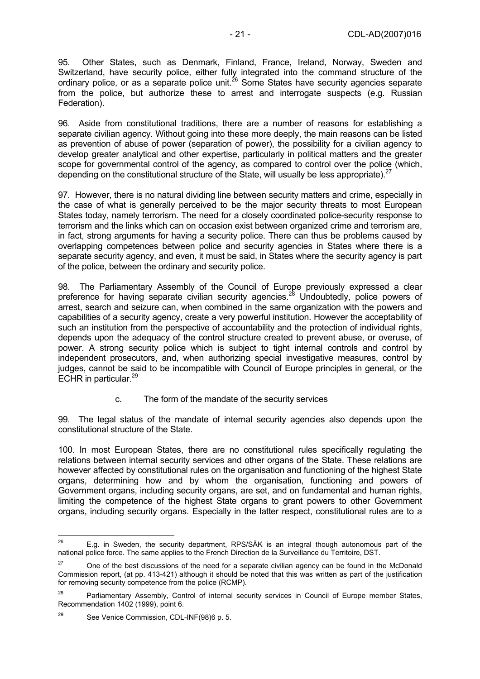95. Other States, such as Denmark, Finland, France, Ireland, Norway, Sweden and Switzerland, have security police, either fully integrated into the command structure of the ordinary police, or as a separate police unit.26 Some States have security agencies separate from the police, but authorize these to arrest and interrogate suspects (e.g. Russian Federation).

96. Aside from constitutional traditions, there are a number of reasons for establishing a separate civilian agency. Without going into these more deeply, the main reasons can be listed as prevention of abuse of power (separation of power), the possibility for a civilian agency to develop greater analytical and other expertise, particularly in political matters and the greater scope for governmental control of the agency, as compared to control over the police (which, depending on the constitutional structure of the State, will usually be less appropriate).<sup>2</sup>

97. However, there is no natural dividing line between security matters and crime, especially in the case of what is generally perceived to be the major security threats to most European States today, namely terrorism. The need for a closely coordinated police-security response to terrorism and the links which can on occasion exist between organized crime and terrorism are, in fact, strong arguments for having a security police. There can thus be problems caused by overlapping competences between police and security agencies in States where there is a separate security agency, and even, it must be said, in States where the security agency is part of the police, between the ordinary and security police.

98. The Parliamentary Assembly of the Council of Europe previously expressed a clear preference for having separate civilian security agencies.<sup>28</sup> Undoubtedly, police powers of arrest, search and seizure can, when combined in the same organization with the powers and capabilities of a security agency, create a very powerful institution. However the acceptability of such an institution from the perspective of accountability and the protection of individual rights, depends upon the adequacy of the control structure created to prevent abuse, or overuse, of power. A strong security police which is subject to tight internal controls and control by independent prosecutors, and, when authorizing special investigative measures, control by judges, cannot be said to be incompatible with Council of Europe principles in general, or the ECHR in particular. $^{29}$ 

c. The form of the mandate of the security services

99. The legal status of the mandate of internal security agencies also depends upon the constitutional structure of the State.

100. In most European States, there are no constitutional rules specifically regulating the relations between internal security services and other organs of the State. These relations are however affected by constitutional rules on the organisation and functioning of the highest State organs, determining how and by whom the organisation, functioning and powers of Government organs, including security organs, are set, and on fundamental and human rights, limiting the competence of the highest State organs to grant powers to other Government organs, including security organs. Especially in the latter respect, constitutional rules are to a

<sup>26</sup> E.g. in Sweden, the security department, RPS/SÄK is an integral though autonomous part of the national police force. The same applies to the French Direction de la Surveillance du Territoire, DST.

<sup>&</sup>lt;sup>27</sup> One of the best discussions of the need for a separate civilian agency can be found in the McDonald Commission report, (at pp. 413-421) although it should be noted that this was written as part of the justification for removing security competence from the police (RCMP).

<sup>&</sup>lt;sup>28</sup> Parliamentary Assembly, Control of internal security services in Council of Europe member States, Recommendation 1402 (1999), point 6.

<sup>29</sup> See Venice Commission, CDL-INF(98)6 p. 5.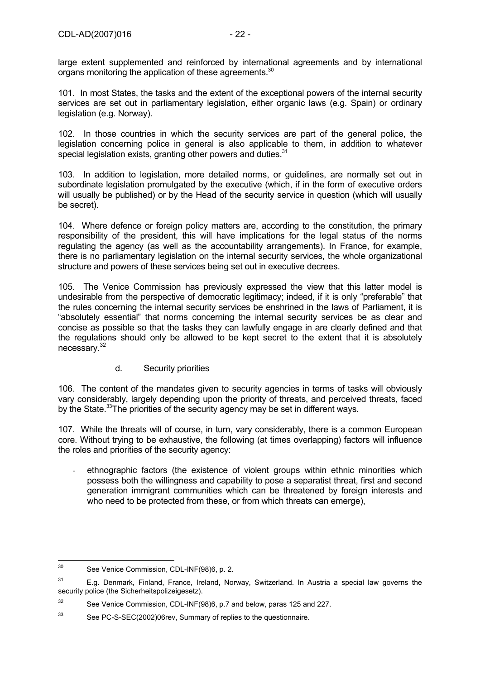large extent supplemented and reinforced by international agreements and by international organs monitoring the application of these agreements.<sup>30</sup>

101. In most States, the tasks and the extent of the exceptional powers of the internal security services are set out in parliamentary legislation, either organic laws (e.g. Spain) or ordinary legislation (e.g. Norway).

102. In those countries in which the security services are part of the general police, the legislation concerning police in general is also applicable to them, in addition to whatever special legislation exists, granting other powers and duties.<sup>31</sup>

103. In addition to legislation, more detailed norms, or guidelines, are normally set out in subordinate legislation promulgated by the executive (which, if in the form of executive orders will usually be published) or by the Head of the security service in question (which will usually be secret).

104. Where defence or foreign policy matters are, according to the constitution, the primary responsibility of the president, this will have implications for the legal status of the norms regulating the agency (as well as the accountability arrangements). In France, for example, there is no parliamentary legislation on the internal security services, the whole organizational structure and powers of these services being set out in executive decrees.

105. The Venice Commission has previously expressed the view that this latter model is undesirable from the perspective of democratic legitimacy; indeed, if it is only "preferable" that the rules concerning the internal security services be enshrined in the laws of Parliament, it is "absolutely essential" that norms concerning the internal security services be as clear and concise as possible so that the tasks they can lawfully engage in are clearly defined and that the regulations should only be allowed to be kept secret to the extent that it is absolutely necessary.32

d. Security priorities

106. The content of the mandates given to security agencies in terms of tasks will obviously vary considerably, largely depending upon the priority of threats, and perceived threats, faced by the State.<sup>33</sup>The priorities of the security agency may be set in different ways.

107. While the threats will of course, in turn, vary considerably, there is a common European core. Without trying to be exhaustive, the following (at times overlapping) factors will influence the roles and priorities of the security agency:

ethnographic factors (the existence of violent groups within ethnic minorities which possess both the willingness and capability to pose a separatist threat, first and second generation immigrant communities which can be threatened by foreign interests and who need to be protected from these, or from which threats can emerge),

 $30$ See Venice Commission, CDL-INF(98)6, p. 2.

<sup>&</sup>lt;sup>31</sup> E.g. Denmark, Finland, France, Ireland, Norway, Switzerland. In Austria a special law governs the security police (the Sicherheitspolizeigesetz).

<sup>&</sup>lt;sup>32</sup> See Venice Commission, CDL-INF(98)6, p.7 and below, paras 125 and 227.

<sup>33</sup> See PC-S-SEC(2002)06rev, Summary of replies to the questionnaire.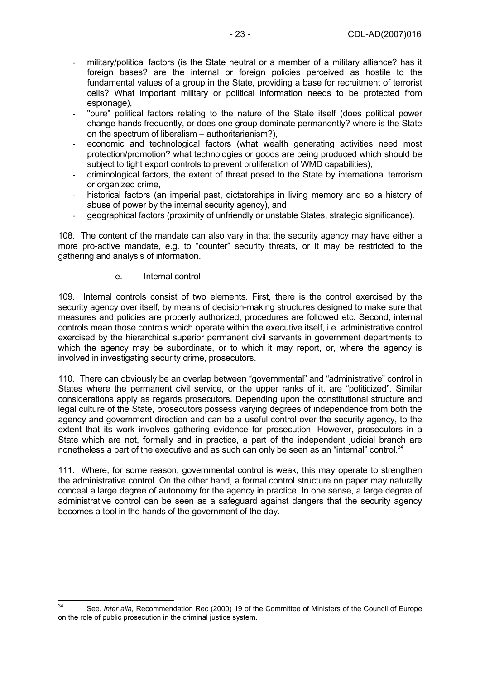- military/political factors (is the State neutral or a member of a military alliance? has it foreign bases? are the internal or foreign policies perceived as hostile to the fundamental values of a group in the State, providing a base for recruitment of terrorist cells? What important military or political information needs to be protected from espionage),
- "pure" political factors relating to the nature of the State itself (does political power change hands frequently, or does one group dominate permanently? where is the State on the spectrum of liberalism – authoritarianism?),
- economic and technological factors (what wealth generating activities need most protection/promotion? what technologies or goods are being produced which should be subject to tight export controls to prevent proliferation of WMD capabilities),
- criminological factors, the extent of threat posed to the State by international terrorism or organized crime,
- historical factors (an imperial past, dictatorships in living memory and so a history of abuse of power by the internal security agency), and
- geographical factors (proximity of unfriendly or unstable States, strategic significance).

108. The content of the mandate can also vary in that the security agency may have either a more pro-active mandate, e.g. to "counter" security threats, or it may be restricted to the gathering and analysis of information.

#### e. Internal control

109. Internal controls consist of two elements. First, there is the control exercised by the security agency over itself, by means of decision-making structures designed to make sure that measures and policies are properly authorized, procedures are followed etc. Second, internal controls mean those controls which operate within the executive itself, i.e. administrative control exercised by the hierarchical superior permanent civil servants in government departments to which the agency may be subordinate, or to which it may report, or, where the agency is involved in investigating security crime, prosecutors.

110. There can obviously be an overlap between "governmental" and "administrative" control in States where the permanent civil service, or the upper ranks of it, are "politicized". Similar considerations apply as regards prosecutors. Depending upon the constitutional structure and legal culture of the State, prosecutors possess varying degrees of independence from both the agency and government direction and can be a useful control over the security agency, to the extent that its work involves gathering evidence for prosecution. However, prosecutors in a State which are not, formally and in practice, a part of the independent judicial branch are nonetheless a part of the executive and as such can only be seen as an "internal" control.<sup>34</sup>

111. Where, for some reason, governmental control is weak, this may operate to strengthen the administrative control. On the other hand, a formal control structure on paper may naturally conceal a large degree of autonomy for the agency in practice. In one sense, a large degree of administrative control can be seen as a safeguard against dangers that the security agency becomes a tool in the hands of the government of the day.

 $34$ 34 See, *inter alia,* Recommendation Rec (2000) 19 of the Committee of Ministers of the Council of Europe on the role of public prosecution in the criminal justice system.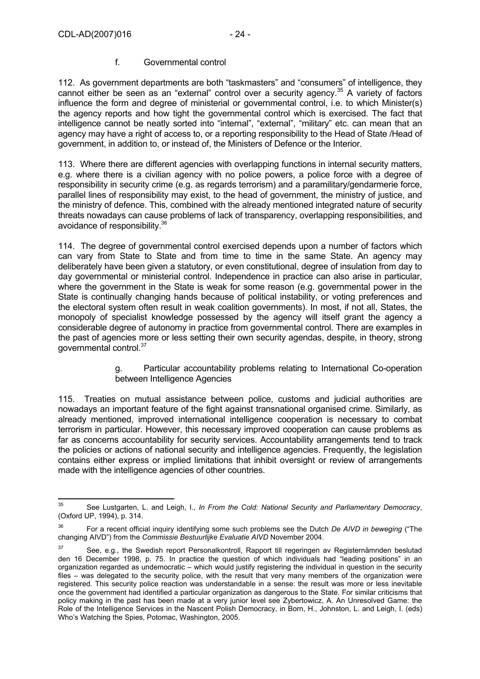#### f. Governmental control

112. As government departments are both "taskmasters" and "consumers" of intelligence, they cannot either be seen as an "external" control over a security agency.<sup>35</sup> A variety of factors influence the form and degree of ministerial or governmental control, i.e. to which Minister(s) the agency reports and how tight the governmental control which is exercised. The fact that intelligence cannot be neatly sorted into "internal", "external", "military" etc. can mean that an agency may have a right of access to, or a reporting responsibility to the Head of State /Head of government, in addition to, or instead of, the Ministers of Defence or the Interior.

113. Where there are different agencies with overlapping functions in internal security matters, e.g. where there is a civilian agency with no police powers, a police force with a degree of responsibility in security crime (e.g. as regards terrorism) and a paramilitary/gendarmerie force, parallel lines of responsibility may exist, to the head of government, the ministry of justice, and the ministry of defence. This, combined with the already mentioned integrated nature of security threats nowadays can cause problems of lack of transparency, overlapping responsibilities, and avoidance of responsibility.36

114. The degree of governmental control exercised depends upon a number of factors which can vary from State to State and from time to time in the same State. An agency may deliberately have been given a statutory, or even constitutional, degree of insulation from day to day governmental or ministerial control. Independence in practice can also arise in particular, where the government in the State is weak for some reason (e.g. governmental power in the State is continually changing hands because of political instability, or voting preferences and the electoral system often result in weak coalition governments). In most, if not all, States, the monopoly of specialist knowledge possessed by the agency will itself grant the agency a considerable degree of autonomy in practice from governmental control. There are examples in the past of agencies more or less setting their own security agendas, despite, in theory, strong governmental control.37

> g. Particular accountability problems relating to International Co-operation between Intelligence Agencies

115. Treaties on mutual assistance between police, customs and judicial authorities are nowadays an important feature of the fight against transnational organised crime. Similarly, as already mentioned, improved international intelligence cooperation is necessary to combat terrorism in particular. However, this necessary improved cooperation can cause problems as far as concerns accountability for security services. Accountability arrangements tend to track the policies or actions of national security and intelligence agencies. Frequently, the legislation contains either express or implied limitations that inhibit oversight or review of arrangements made with the intelligence agencies of other countries.

<sup>35</sup> 35 See Lustgarten, L. and Leigh, I., *In From the Cold: National Security and Parliamentary Democracy*, (Oxford UP, 1994), p. 314.

<sup>36</sup> For a recent official inquiry identifying some such problems see the Dutch *De AIVD in beweging* ("The changing AIVD") from the *Commissie Bestuurlijke Evaluatie AIVD* November 2004.

<sup>37</sup> See, e.g., the Swedish report Personalkontroll, Rapport till regeringen av Registernämnden beslutad den 16 December 1998, p. 75. In practice the question of which individuals had "leading positions" in an organization regarded as undemocratic – which would justify registering the individual in question in the security files – was delegated to the security police, with the result that very many members of the organization were registered. This security police reaction was understandable in a sense: the result was more or less inevitable once the government had identified a particular organization as dangerous to the State. For similar criticisms that policy making in the past has been made at a very junior level see Zybertowicz, A. An Unresolved Game: the Role of the Intelligence Services in the Nascent Polish Democracy, in Born, H., Johnston, L. and Leigh, I. (eds) Who's Watching the Spies, Potomac, Washington, 2005.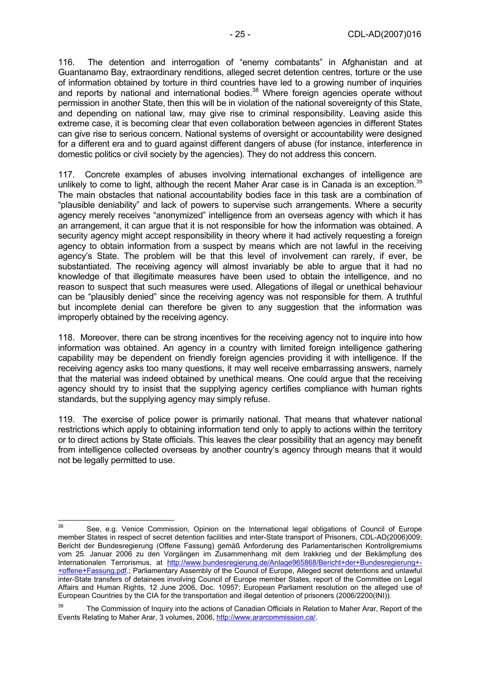116. The detention and interrogation of "enemy combatants" in Afghanistan and at Guantanamo Bay, extraordinary renditions, alleged secret detention centres, torture or the use of information obtained by torture in third countries have led to a growing number of inquiries and reports by national and international bodies.<sup>38</sup> Where foreign agencies operate without permission in another State, then this will be in violation of the national sovereignty of this State, and depending on national law, may give rise to criminal responsibility. Leaving aside this extreme case, it is becoming clear that even collaboration between agencies in different States can give rise to serious concern. National systems of oversight or accountability were designed for a different era and to guard against different dangers of abuse (for instance, interference in domestic politics or civil society by the agencies). They do not address this concern.

117. Concrete examples of abuses involving international exchanges of intelligence are unlikely to come to light, although the recent Maher Arar case is in Canada is an exception.<sup>39</sup> The main obstacles that national accountability bodies face in this task are a combination of "plausible deniability" and lack of powers to supervise such arrangements. Where a security agency merely receives "anonymized" intelligence from an overseas agency with which it has an arrangement, it can argue that it is not responsible for how the information was obtained. A security agency might accept responsibility in theory where it had actively requesting a foreign agency to obtain information from a suspect by means which are not lawful in the receiving agency's State. The problem will be that this level of involvement can rarely, if ever, be substantiated. The receiving agency will almost invariably be able to argue that it had no knowledge of that illegitimate measures have been used to obtain the intelligence, and no reason to suspect that such measures were used. Allegations of illegal or unethical behaviour can be "plausibly denied" since the receiving agency was not responsible for them. A truthful but incomplete denial can therefore be given to any suggestion that the information was improperly obtained by the receiving agency.

118. Moreover, there can be strong incentives for the receiving agency not to inquire into how information was obtained. An agency in a country with limited foreign intelligence gathering capability may be dependent on friendly foreign agencies providing it with intelligence. If the receiving agency asks too many questions, it may well receive embarrassing answers, namely that the material was indeed obtained by unethical means. One could argue that the receiving agency should try to insist that the supplying agency certifies compliance with human rights standards, but the supplying agency may simply refuse.

119. The exercise of police power is primarily national. That means that whatever national restrictions which apply to obtaining information tend only to apply to actions within the territory or to direct actions by State officials. This leaves the clear possibility that an agency may benefit from intelligence collected overseas by another country's agency through means that it would not be legally permitted to use.

<sup>38</sup> See, e.g. Venice Commission, Opinion on the International legal obligations of Council of Europe member States in respect of secret detention facilities and inter-State transport of Prisoners, CDL-AD(2006)009; Bericht der Bundesregierung (Offene Fassung) gemäß Anforderung des Parlamentarischen Kontrollgremiums vom 25. Januar 2006 zu den Vorgängen im Zusammenhang mit dem Irakkrieg und der Bekämpfung des Internationalen Terrorismus, at http://www.bundesregierung.de/Anlage965868/Bericht+der+Bundesregierung+-+offene+Fassung.pdf.; Parliamentary Assembly of the Council of Europe, Alleged secret detentions and unlawful inter-State transfers of detainees involving Council of Europe member States, report of the Committee on Legal Affairs and Human Rights, 12 June 2006, Doc. 10957; European Parliament resolution on the alleged use of European Countries by the CIA for the transportation and illegal detention of prisoners (2006/2200(INI)).

<sup>&</sup>lt;sup>39</sup> The Commission of Inquiry into the actions of Canadian Officials in Relation to Maher Arar, Report of the Events Relating to Maher Arar, 3 volumes, 2006, http://www.ararcommission.ca/.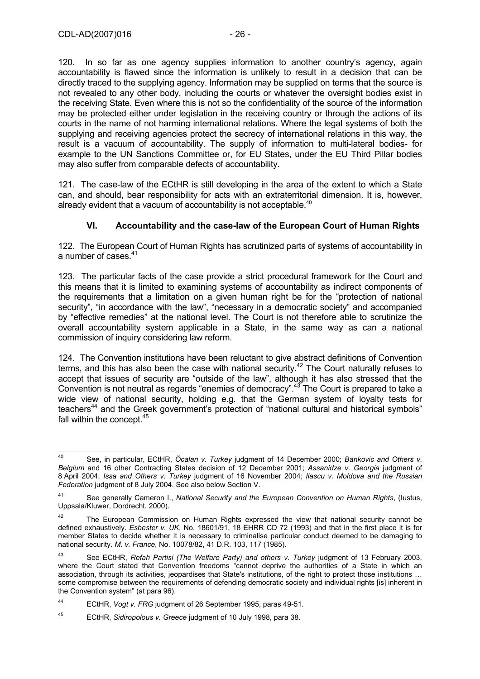120. In so far as one agency supplies information to another country's agency, again accountability is flawed since the information is unlikely to result in a decision that can be directly traced to the supplying agency. Information may be supplied on terms that the source is not revealed to any other body, including the courts or whatever the oversight bodies exist in the receiving State. Even where this is not so the confidentiality of the source of the information may be protected either under legislation in the receiving country or through the actions of its courts in the name of not harming international relations. Where the legal systems of both the supplying and receiving agencies protect the secrecy of international relations in this way, the result is a vacuum of accountability. The supply of information to multi-lateral bodies- for example to the UN Sanctions Committee or, for EU States, under the EU Third Pillar bodies may also suffer from comparable defects of accountability.

121. The case-law of the ECtHR is still developing in the area of the extent to which a State can, and should, bear responsibility for acts with an extraterritorial dimension. It is, however, already evident that a vacuum of accountability is not acceptable. $40$ 

### **VI. Accountability and the case-law of the European Court of Human Rights**

122. The European Court of Human Rights has scrutinized parts of systems of accountability in a number of cases. $41$ 

123. The particular facts of the case provide a strict procedural framework for the Court and this means that it is limited to examining systems of accountability as indirect components of the requirements that a limitation on a given human right be for the "protection of national security", "in accordance with the law", "necessary in a democratic society" and accompanied by "effective remedies" at the national level. The Court is not therefore able to scrutinize the overall accountability system applicable in a State, in the same way as can a national commission of inquiry considering law reform.

124. The Convention institutions have been reluctant to give abstract definitions of Convention terms, and this has also been the case with national security.<sup>42</sup> The Court naturally refuses to accept that issues of security are "outside of the law", although it has also stressed that the Convention is not neutral as regards "enemies of democracy".43 The Court is prepared to take a wide view of national security, holding e.g. that the German system of loyalty tests for teachers<sup>44</sup> and the Greek government's protection of "national cultural and historical symbols" fall within the concept.<sup>45</sup>

 $40$ 40 See, in particular, ECtHR, *Öcalan v. Turkey* judgment of 14 December 2000; *Bankovic and Others v. Belgium* and 16 other Contracting States decision of 12 December 2001; *Assanidze v. Georgia* judgment of 8 April 2004; *Issa and Others v. Turkey* judgment of 16 November 2004; *Ilascu v. Moldova and the Russian Federation* judgment of 8 July 2004. See also below Section V.

<sup>41</sup> See generally Cameron I., *National Security and the European Convention on Human Rights*, (Iustus, Uppsala/Kluwer, Dordrecht, 2000).

The European Commission on Human Rights expressed the view that national security cannot be defined exhaustively. *Esbester v. UK*, No. 18601/91, 18 EHRR CD 72 (1993) and that in the first place it is for member States to decide whether it is necessary to criminalise particular conduct deemed to be damaging to national security. *M. v. France*, No. 10078/82, 41 D.R. 103, 117 (1985).

<sup>43</sup> See ECtHR, *Refah Partisi (The Welfare Party) and others v. Turkey* judgment of 13 February 2003, where the Court stated that Convention freedoms "cannot deprive the authorities of a State in which an association, through its activities, jeopardises that State's institutions, of the right to protect those institutions … some compromise between the requirements of defending democratic society and individual rights [is] inherent in the Convention system" (at para 96).

<sup>44</sup> ECtHR, *Vogt v. FRG* judgment of 26 September 1995, paras 49-51.

<sup>45</sup> ECtHR, *Sidiropolous v. Greece* judgment of 10 July 1998, para 38.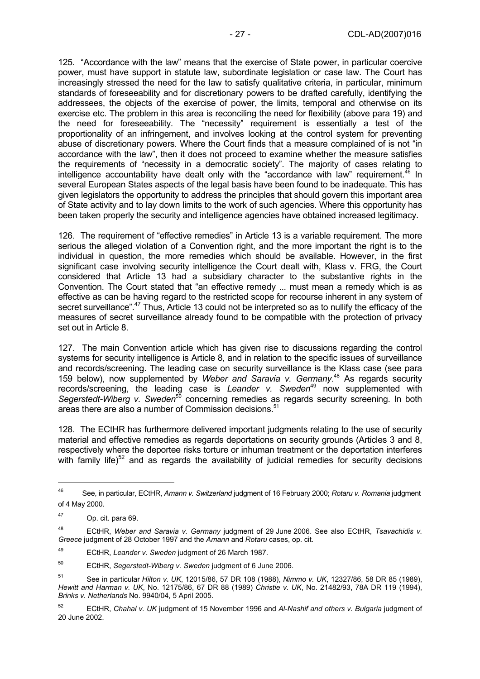125. "Accordance with the law" means that the exercise of State power, in particular coercive power, must have support in statute law, subordinate legislation or case law. The Court has increasingly stressed the need for the law to satisfy qualitative criteria, in particular, minimum standards of foreseeability and for discretionary powers to be drafted carefully, identifying the addressees, the objects of the exercise of power, the limits, temporal and otherwise on its exercise etc. The problem in this area is reconciling the need for flexibility (above para 19) and the need for foreseeability. The "necessity" requirement is essentially a test of the proportionality of an infringement, and involves looking at the control system for preventing abuse of discretionary powers. Where the Court finds that a measure complained of is not "in accordance with the law", then it does not proceed to examine whether the measure satisfies the requirements of "necessity in a democratic society". The majority of cases relating to intelligence accountability have dealt only with the "accordance with law" requirement. $^{46}$  In several European States aspects of the legal basis have been found to be inadequate. This has given legislators the opportunity to address the principles that should govern this important area of State activity and to lay down limits to the work of such agencies. Where this opportunity has been taken properly the security and intelligence agencies have obtained increased legitimacy.

126. The requirement of "effective remedies" in Article 13 is a variable requirement. The more serious the alleged violation of a Convention right, and the more important the right is to the individual in question, the more remedies which should be available. However, in the first significant case involving security intelligence the Court dealt with, Klass v. FRG, the Court considered that Article 13 had a subsidiary character to the substantive rights in the Convention. The Court stated that "an effective remedy ... must mean a remedy which is as effective as can be having regard to the restricted scope for recourse inherent in any system of secret surveillance".<sup>47</sup> Thus, Article 13 could not be interpreted so as to nullify the efficacy of the measures of secret surveillance already found to be compatible with the protection of privacy set out in Article 8.

127. The main Convention article which has given rise to discussions regarding the control systems for security intelligence is Article 8, and in relation to the specific issues of surveillance and records/screening. The leading case on security surveillance is the Klass case (see para 159 below), now supplemented by *Weber and Saravia v. Germany*. 48 As regards security records/screening, the leading case is Leander v. Sweden<sup>49</sup> now supplemented with Segerstedt-Wiberg v. Sweden<sup>50</sup> concerning remedies as regards security screening. In both areas there are also a number of Commission decisions.<sup>51</sup>

128. The ECtHR has furthermore delivered important judgments relating to the use of security material and effective remedies as regards deportations on security grounds (Articles 3 and 8, respectively where the deportee risks torture or inhuman treatment or the deportation interferes with family life)<sup>52</sup> and as regards the availability of judicial remedies for security decisions

 $\overline{a}$ 

<sup>46</sup> See, in particular, ECtHR, *Amann v. Switzerland* judgment of 16 February 2000; *Rotaru v. Romania* judgment of 4 May 2000.

<sup>47</sup> Op. cit. para 69.

<sup>48</sup> ECtHR, *Weber and Saravia v. Germany* judgment of 29 June 2006. See also ECtHR, *Tsavachidis v. Greece* judgment of 28 October 1997 and the *Amann* and *Rotaru* cases, op. cit.

<sup>49</sup> ECtHR, *Leander v. Sweden* judgment of 26 March 1987.

<sup>50</sup> ECtHR, *Segerstedt-Wiberg v. Sweden* judgment of 6 June 2006.

<sup>51</sup> See in particular *Hilton v. UK*, 12015/86, 57 DR 108 (1988), *Nimmo v. UK*, 12327/86, 58 DR 85 (1989), *Hewitt and Harman v. UK*, No. 12175/86, 67 DR 88 (1989) *Christie v. UK*, No. 21482/93, 78A DR 119 (1994), *Brinks v. Netherlands* No. 9940/04, 5 April 2005.

<sup>52</sup> ECtHR, *Chahal v. UK* judgment of 15 November 1996 and *Al-Nashif and others v. Bulgaria* judgment of 20 June 2002.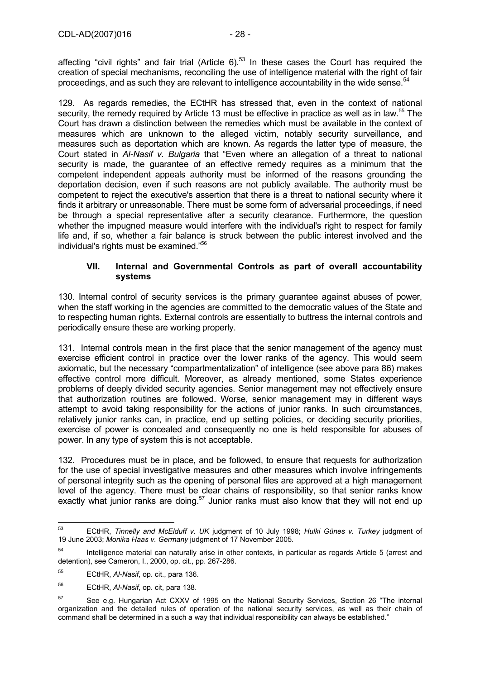affecting "civil rights" and fair trial (Article  $6$ ).<sup>53</sup> In these cases the Court has required the creation of special mechanisms, reconciling the use of intelligence material with the right of fair proceedings, and as such they are relevant to intelligence accountability in the wide sense.<sup>54</sup>

129. As regards remedies, the ECtHR has stressed that, even in the context of national security, the remedy required by Article 13 must be effective in practice as well as in law.<sup>55</sup> The Court has drawn a distinction between the remedies which must be available in the context of measures which are unknown to the alleged victim, notably security surveillance, and measures such as deportation which are known. As regards the latter type of measure, the Court stated in *Al-Nasif v. Bulgaria* that "Even where an allegation of a threat to national security is made, the guarantee of an effective remedy requires as a minimum that the competent independent appeals authority must be informed of the reasons grounding the deportation decision, even if such reasons are not publicly available. The authority must be competent to reject the executive's assertion that there is a threat to national security where it finds it arbitrary or unreasonable. There must be some form of adversarial proceedings, if need be through a special representative after a security clearance. Furthermore, the question whether the impugned measure would interfere with the individual's right to respect for family life and, if so, whether a fair balance is struck between the public interest involved and the individual's rights must be examined."<sup>56</sup>

#### **VII. Internal and Governmental Controls as part of overall accountability systems**

130. Internal control of security services is the primary guarantee against abuses of power, when the staff working in the agencies are committed to the democratic values of the State and to respecting human rights. External controls are essentially to buttress the internal controls and periodically ensure these are working properly.

131. Internal controls mean in the first place that the senior management of the agency must exercise efficient control in practice over the lower ranks of the agency. This would seem axiomatic, but the necessary "compartmentalization" of intelligence (see above para 86) makes effective control more difficult. Moreover, as already mentioned, some States experience problems of deeply divided security agencies. Senior management may not effectively ensure that authorization routines are followed. Worse, senior management may in different ways attempt to avoid taking responsibility for the actions of junior ranks. In such circumstances, relatively junior ranks can, in practice, end up setting policies, or deciding security priorities, exercise of power is concealed and consequently no one is held responsible for abuses of power. In any type of system this is not acceptable.

132. Procedures must be in place, and be followed, to ensure that requests for authorization for the use of special investigative measures and other measures which involve infringements of personal integrity such as the opening of personal files are approved at a high management level of the agency. There must be clear chains of responsibility, so that senior ranks know exactly what junior ranks are doing.<sup>57</sup> Junior ranks must also know that they will not end up

<sup>53</sup> 53 ECtHR, *Tinnelly and McElduff v. UK* judgment of 10 July 1998; *Hulki Günes v. Turkey* judgment of 19 June 2003; *Monika Haas v. Germany* judgment of 17 November 2005.

<sup>&</sup>lt;sup>54</sup> Intelligence material can naturally arise in other contexts, in particular as regards Article 5 (arrest and detention), see Cameron, I., 2000, op. cit., pp. 267-286.

<sup>55</sup> ECtHR, *Al-Nasif*, op. cit., para 136.

<sup>56</sup> ECtHR, *Al-Nasif*, op. cit, para 138.

<sup>&</sup>lt;sup>57</sup> See e.g. Hungarian Act CXXV of 1995 on the National Security Services, Section 26 "The internal organization and the detailed rules of operation of the national security services, as well as their chain of command shall be determined in a such a way that individual responsibility can always be established."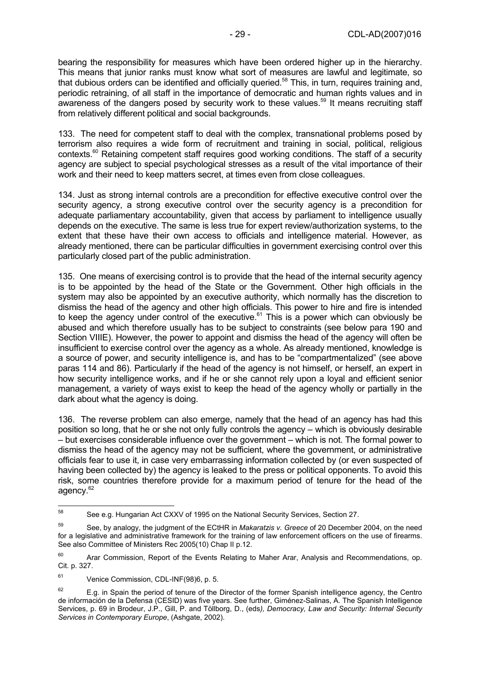bearing the responsibility for measures which have been ordered higher up in the hierarchy. This means that junior ranks must know what sort of measures are lawful and legitimate, so that dubious orders can be identified and officially queried.<sup>58</sup> This, in turn, requires training and, periodic retraining, of all staff in the importance of democratic and human rights values and in awareness of the dangers posed by security work to these values.<sup>59</sup> It means recruiting staff from relatively different political and social backgrounds.

133. The need for competent staff to deal with the complex, transnational problems posed by terrorism also requires a wide form of recruitment and training in social, political, religious contexts.<sup>60</sup> Retaining competent staff requires good working conditions. The staff of a security agency are subject to special psychological stresses as a result of the vital importance of their work and their need to keep matters secret, at times even from close colleagues.

134. Just as strong internal controls are a precondition for effective executive control over the security agency, a strong executive control over the security agency is a precondition for adequate parliamentary accountability, given that access by parliament to intelligence usually depends on the executive. The same is less true for expert review/authorization systems, to the extent that these have their own access to officials and intelligence material. However, as already mentioned, there can be particular difficulties in government exercising control over this particularly closed part of the public administration.

135. One means of exercising control is to provide that the head of the internal security agency is to be appointed by the head of the State or the Government. Other high officials in the system may also be appointed by an executive authority, which normally has the discretion to dismiss the head of the agency and other high officials. This power to hire and fire is intended to keep the agency under control of the executive.<sup>61</sup> This is a power which can obviously be abused and which therefore usually has to be subject to constraints (see below para 190 and Section VIIIE). However, the power to appoint and dismiss the head of the agency will often be insufficient to exercise control over the agency as a whole. As already mentioned, knowledge is a source of power, and security intelligence is, and has to be "compartmentalized" (see above paras 114 and 86). Particularly if the head of the agency is not himself, or herself, an expert in how security intelligence works, and if he or she cannot rely upon a loyal and efficient senior management, a variety of ways exist to keep the head of the agency wholly or partially in the dark about what the agency is doing.

136. The reverse problem can also emerge, namely that the head of an agency has had this position so long, that he or she not only fully controls the agency – which is obviously desirable – but exercises considerable influence over the government – which is not. The formal power to dismiss the head of the agency may not be sufficient, where the government, or administrative officials fear to use it, in case very embarrassing information collected by (or even suspected of having been collected by) the agency is leaked to the press or political opponents. To avoid this risk, some countries therefore provide for a maximum period of tenure for the head of the agency.<sup>62</sup>

<sup>58</sup> See e.g. Hungarian Act CXXV of 1995 on the National Security Services, Section 27.

<sup>59</sup> See, by analogy, the judgment of the ECtHR in *Makaratzis v. Greece* of 20 December 2004, on the need for a legislative and administrative framework for the training of law enforcement officers on the use of firearms. See also Committee of Ministers Rec 2005(10) Chap II p.12.

 $60$  Arar Commission, Report of the Events Relating to Maher Arar, Analysis and Recommendations, op. Cit. p. 327.

<sup>61</sup> Venice Commission, CDL-INF(98)6, p. 5.

 $62$  E.g. in Spain the period of tenure of the Director of the former Spanish intelligence agency, the Centro de información de la Defensa (CESID) was five years. See further, Giménez-Salinas, A. The Spanish Intelligence Services, p. 69 in Brodeur, J.P., Gill, P. and Töllborg, D., (eds*), Democracy, Law and Security: Internal Security Services in Contemporary Europe*, (Ashgate, 2002).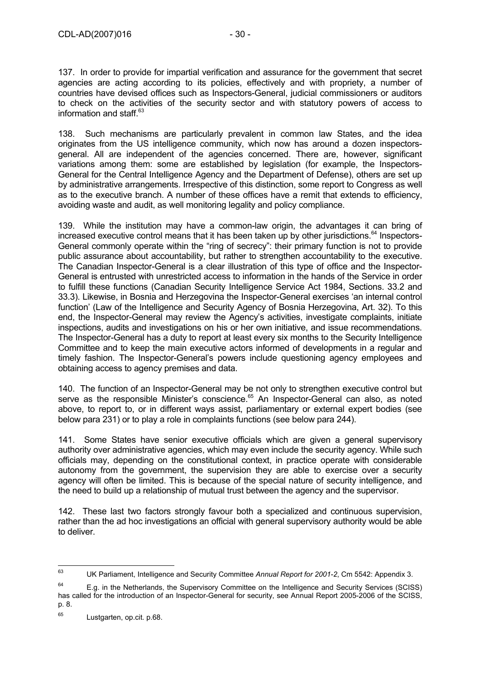137. In order to provide for impartial verification and assurance for the government that secret agencies are acting according to its policies, effectively and with propriety, a number of countries have devised offices such as Inspectors-General, judicial commissioners or auditors to check on the activities of the security sector and with statutory powers of access to information and staff. $63$ 

138. Such mechanisms are particularly prevalent in common law States, and the idea originates from the US intelligence community, which now has around a dozen inspectorsgeneral. All are independent of the agencies concerned. There are, however, significant variations among them: some are established by legislation (for example, the Inspectors-General for the Central Intelligence Agency and the Department of Defense), others are set up by administrative arrangements. Irrespective of this distinction, some report to Congress as well as to the executive branch. A number of these offices have a remit that extends to efficiency, avoiding waste and audit, as well monitoring legality and policy compliance.

139. While the institution may have a common-law origin, the advantages it can bring of increased executive control means that it has been taken up by other jurisdictions.<sup>64</sup> Inspectors-General commonly operate within the "ring of secrecy": their primary function is not to provide public assurance about accountability, but rather to strengthen accountability to the executive. The Canadian Inspector-General is a clear illustration of this type of office and the Inspector-General is entrusted with unrestricted access to information in the hands of the Service in order to fulfill these functions (Canadian Security Intelligence Service Act 1984, Sections. 33.2 and 33.3). Likewise, in Bosnia and Herzegovina the Inspector-General exercises 'an internal control function' (Law of the Intelligence and Security Agency of Bosnia Herzegovina, Art. 32). To this end, the Inspector-General may review the Agency's activities, investigate complaints, initiate inspections, audits and investigations on his or her own initiative, and issue recommendations. The Inspector-General has a duty to report at least every six months to the Security Intelligence Committee and to keep the main executive actors informed of developments in a regular and timely fashion. The Inspector-General's powers include questioning agency employees and obtaining access to agency premises and data.

140. The function of an Inspector-General may be not only to strengthen executive control but serve as the responsible Minister's conscience.<sup>65</sup> An Inspector-General can also, as noted above, to report to, or in different ways assist, parliamentary or external expert bodies (see below para 231) or to play a role in complaints functions (see below para 244).

141. Some States have senior executive officials which are given a general supervisory authority over administrative agencies, which may even include the security agency. While such officials may, depending on the constitutional context, in practice operate with considerable autonomy from the government, the supervision they are able to exercise over a security agency will often be limited. This is because of the special nature of security intelligence, and the need to build up a relationship of mutual trust between the agency and the supervisor.

142. These last two factors strongly favour both a specialized and continuous supervision, rather than the ad hoc investigations an official with general supervisory authority would be able to deliver.

 $63$ 63 UK Parliament, Intelligence and Security Committee *Annual Report for 2001-2*, Cm 5542: Appendix 3.

 $64$  E.g. in the Netherlands, the Supervisory Committee on the Intelligence and Security Services (SCISS) has called for the introduction of an Inspector-General for security, see Annual Report 2005-2006 of the SCISS, p. 8.

<sup>65</sup> Lustgarten, op.cit. p.68.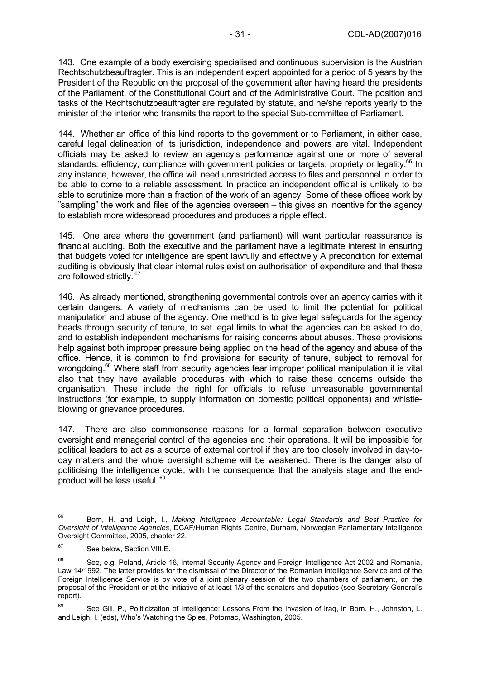143. One example of a body exercising specialised and continuous supervision is the Austrian Rechtschutzbeauftragter. This is an independent expert appointed for a period of 5 years by the President of the Republic on the proposal of the government after having heard the presidents of the Parliament, of the Constitutional Court and of the Administrative Court. The position and tasks of the Rechtschutzbeauftragter are regulated by statute, and he/she reports yearly to the minister of the interior who transmits the report to the special Sub-committee of Parliament.

144. Whether an office of this kind reports to the government or to Parliament, in either case, careful legal delineation of its jurisdiction, independence and powers are vital. Independent officials may be asked to review an agency's performance against one or more of several standards: efficiency, compliance with government policies or targets, propriety or legality.<sup>66</sup> In any instance, however, the office will need unrestricted access to files and personnel in order to be able to come to a reliable assessment. In practice an independent official is unlikely to be able to scrutinize more than a fraction of the work of an agency. Some of these offices work by "sampling" the work and files of the agencies overseen – this gives an incentive for the agency to establish more widespread procedures and produces a ripple effect.

145. One area where the government (and parliament) will want particular reassurance is financial auditing. Both the executive and the parliament have a legitimate interest in ensuring that budgets voted for intelligence are spent lawfully and effectively A precondition for external auditing is obviously that clear internal rules exist on authorisation of expenditure and that these are followed strictly. <sup>67</sup>

146. As already mentioned, strengthening governmental controls over an agency carries with it certain dangers. A variety of mechanisms can be used to limit the potential for political manipulation and abuse of the agency. One method is to give legal safeguards for the agency heads through security of tenure, to set legal limits to what the agencies can be asked to do, and to establish independent mechanisms for raising concerns about abuses. These provisions help against both improper pressure being applied on the head of the agency and abuse of the office. Hence, it is common to find provisions for security of tenure, subject to removal for wrongdoing.<sup>68</sup> Where staff from security agencies fear improper political manipulation it is vital also that they have available procedures with which to raise these concerns outside the organisation. These include the right for officials to refuse unreasonable governmental instructions (for example, to supply information on domestic political opponents) and whistleblowing or grievance procedures.

147. There are also commonsense reasons for a formal separation between executive oversight and managerial control of the agencies and their operations. It will be impossible for political leaders to act as a source of external control if they are too closely involved in day-today matters and the whole oversight scheme will be weakened. There is the danger also of politicising the intelligence cycle, with the consequence that the analysis stage and the endproduct will be less useful. 69

<sup>66</sup> 66 Born, H. and Leigh, I., *Making Intelligence Accountable: Legal Standards and Best Practice for Oversight of Intelligence Agencies*, DCAF/Human Rights Centre, Durham, Norwegian Parliamentary Intelligence Oversight Committee, 2005, chapter 22.

<sup>&</sup>lt;sup>67</sup> See below, Section VIII.E.

<sup>68</sup> See, e.g. Poland, Article 16, Internal Security Agency and Foreign Intelligence Act 2002 and Romania, Law 14/1992. The latter provides for the dismissal of the Director of the Romanian Intelligence Service and of the Foreign Intelligence Service is by vote of a joint plenary session of the two chambers of parliament, on the proposal of the President or at the initiative of at least 1/3 of the senators and deputies (see Secretary-General's report).

<sup>69</sup> See Gill, P., Politicization of Intelligence: Lessons From the Invasion of Iraq, in Born, H., Johnston, L. and Leigh, I. (eds), Who's Watching the Spies, Potomac, Washington, 2005.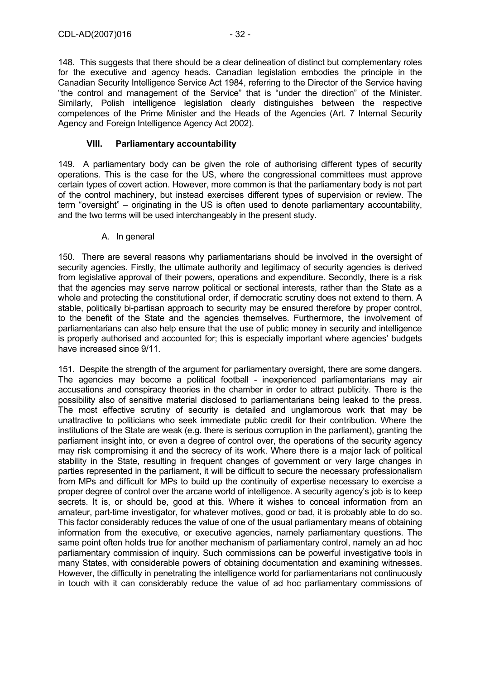148. This suggests that there should be a clear delineation of distinct but complementary roles for the executive and agency heads. Canadian legislation embodies the principle in the Canadian Security Intelligence Service Act 1984, referring to the Director of the Service having "the control and management of the Service" that is "under the direction" of the Minister. Similarly, Polish intelligence legislation clearly distinguishes between the respective competences of the Prime Minister and the Heads of the Agencies (Art. 7 Internal Security Agency and Foreign Intelligence Agency Act 2002).

#### **VIII. Parliamentary accountability**

149. A parliamentary body can be given the role of authorising different types of security operations. This is the case for the US, where the congressional committees must approve certain types of covert action. However, more common is that the parliamentary body is not part of the control machinery, but instead exercises different types of supervision or review. The term "oversight" – originating in the US is often used to denote parliamentary accountability, and the two terms will be used interchangeably in the present study.

### A. In general

150. There are several reasons why parliamentarians should be involved in the oversight of security agencies. Firstly, the ultimate authority and legitimacy of security agencies is derived from legislative approval of their powers, operations and expenditure. Secondly, there is a risk that the agencies may serve narrow political or sectional interests, rather than the State as a whole and protecting the constitutional order, if democratic scrutiny does not extend to them. A stable, politically bi-partisan approach to security may be ensured therefore by proper control, to the benefit of the State and the agencies themselves. Furthermore, the involvement of parliamentarians can also help ensure that the use of public money in security and intelligence is properly authorised and accounted for; this is especially important where agencies' budgets have increased since 9/11.

151. Despite the strength of the argument for parliamentary oversight, there are some dangers. The agencies may become a political football - inexperienced parliamentarians may air accusations and conspiracy theories in the chamber in order to attract publicity. There is the possibility also of sensitive material disclosed to parliamentarians being leaked to the press. The most effective scrutiny of security is detailed and unglamorous work that may be unattractive to politicians who seek immediate public credit for their contribution. Where the institutions of the State are weak (e.g. there is serious corruption in the parliament), granting the parliament insight into, or even a degree of control over, the operations of the security agency may risk compromising it and the secrecy of its work. Where there is a major lack of political stability in the State, resulting in frequent changes of government or very large changes in parties represented in the parliament, it will be difficult to secure the necessary professionalism from MPs and difficult for MPs to build up the continuity of expertise necessary to exercise a proper degree of control over the arcane world of intelligence. A security agency's job is to keep secrets. It is, or should be, good at this. Where it wishes to conceal information from an amateur, part-time investigator, for whatever motives, good or bad, it is probably able to do so. This factor considerably reduces the value of one of the usual parliamentary means of obtaining information from the executive, or executive agencies, namely parliamentary questions. The same point often holds true for another mechanism of parliamentary control, namely an ad hoc parliamentary commission of inquiry. Such commissions can be powerful investigative tools in many States, with considerable powers of obtaining documentation and examining witnesses. However, the difficulty in penetrating the intelligence world for parliamentarians not continuously in touch with it can considerably reduce the value of ad hoc parliamentary commissions of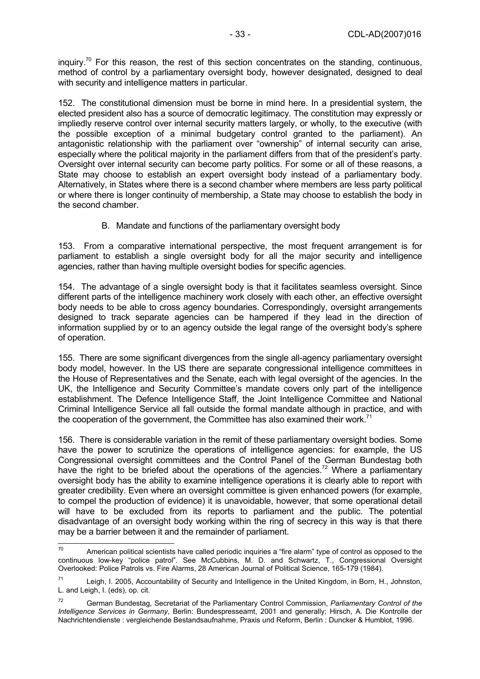inquiry.<sup>70</sup> For this reason, the rest of this section concentrates on the standing, continuous, method of control by a parliamentary oversight body, however designated, designed to deal with security and intelligence matters in particular.

152. The constitutional dimension must be borne in mind here. In a presidential system, the elected president also has a source of democratic legitimacy. The constitution may expressly or impliedly reserve control over internal security matters largely, or wholly, to the executive (with the possible exception of a minimal budgetary control granted to the parliament). An antagonistic relationship with the parliament over "ownership" of internal security can arise, especially where the political majority in the parliament differs from that of the president's party. Oversight over internal security can become party politics. For some or all of these reasons, a State may choose to establish an expert oversight body instead of a parliamentary body. Alternatively, in States where there is a second chamber where members are less party political or where there is longer continuity of membership, a State may choose to establish the body in the second chamber.

B. Mandate and functions of the parliamentary oversight body

153. From a comparative international perspective, the most frequent arrangement is for parliament to establish a single oversight body for all the major security and intelligence agencies, rather than having multiple oversight bodies for specific agencies.

154. The advantage of a single oversight body is that it facilitates seamless oversight. Since different parts of the intelligence machinery work closely with each other, an effective oversight body needs to be able to cross agency boundaries. Correspondingly, oversight arrangements designed to track separate agencies can be hampered if they lead in the direction of information supplied by or to an agency outside the legal range of the oversight body's sphere of operation.

155. There are some significant divergences from the single all-agency parliamentary oversight body model, however. In the US there are separate congressional intelligence committees in the House of Representatives and the Senate, each with legal oversight of the agencies. In the UK, the Intelligence and Security Committee's mandate covers only part of the intelligence establishment. The Defence Intelligence Staff, the Joint Intelligence Committee and National Criminal Intelligence Service all fall outside the formal mandate although in practice, and with the cooperation of the government, the Committee has also examined their work.<sup>71</sup>

156. There is considerable variation in the remit of these parliamentary oversight bodies. Some have the power to scrutinize the operations of intelligence agencies: for example, the US Congressional oversight committees and the Control Panel of the German Bundestag both have the right to be briefed about the operations of the agencies.<sup>72</sup> Where a parliamentary oversight body has the ability to examine intelligence operations it is clearly able to report with greater credibility. Even where an oversight committee is given enhanced powers (for example, to compel the production of evidence) it is unavoidable, however, that some operational detail will have to be excluded from its reports to parliament and the public. The potential disadvantage of an oversight body working within the ring of secrecy in this way is that there may be a barrier between it and the remainder of parliament.

 $70$ American political scientists have called periodic inquiries a "fire alarm" type of control as opposed to the continuous low-key "police patrol". See McCubbins, M. D. and Schwartz, T., Congressional Oversight Overlooked: Police Patrols vs. Fire Alarms, 28 American Journal of Political Science, 165-179 (1984).

 $71$  Leigh, I. 2005, Accountability of Security and Intelligence in the United Kingdom, in Born, H., Johnston, L. and Leigh, I. (eds), op. cit.

<sup>72</sup> German Bundestag, Secretariat of the Parliamentary Control Commission, *Parliamentary Control of the Intelligence Services in Germany*, Berlin: Bundespresseamt, 2001 and generally; Hirsch, A. Die Kontrolle der Nachrichtendienste : vergleichende Bestandsaufnahme, Praxis und Reform, Berlin : Duncker & Humblot, 1996.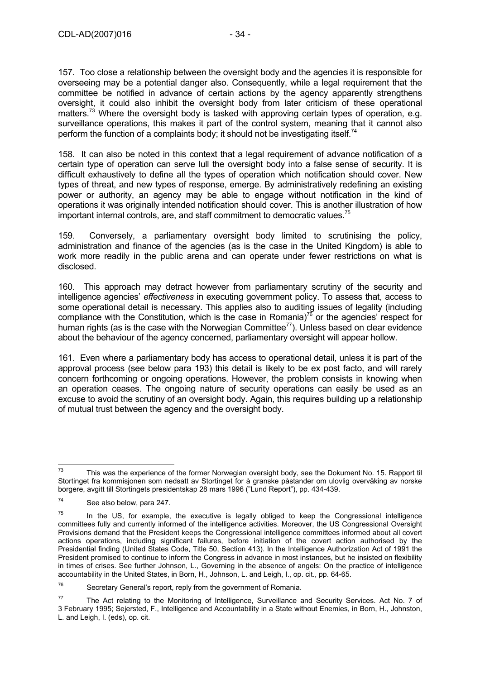157. Too close a relationship between the oversight body and the agencies it is responsible for overseeing may be a potential danger also. Consequently, while a legal requirement that the committee be notified in advance of certain actions by the agency apparently strengthens oversight, it could also inhibit the oversight body from later criticism of these operational matters.<sup>73</sup> Where the oversight body is tasked with approving certain types of operation, e.g. surveillance operations, this makes it part of the control system, meaning that it cannot also perform the function of a complaints body; it should not be investigating itself.<sup>74</sup>

158. It can also be noted in this context that a legal requirement of advance notification of a certain type of operation can serve lull the oversight body into a false sense of security. It is difficult exhaustively to define all the types of operation which notification should cover. New types of threat, and new types of response, emerge. By administratively redefining an existing power or authority, an agency may be able to engage without notification in the kind of operations it was originally intended notification should cover. This is another illustration of how important internal controls, are, and staff commitment to democratic values.<sup>75</sup>

159. Conversely, a parliamentary oversight body limited to scrutinising the policy, administration and finance of the agencies (as is the case in the United Kingdom) is able to work more readily in the public arena and can operate under fewer restrictions on what is disclosed.

160. This approach may detract however from parliamentary scrutiny of the security and intelligence agencies' *effectiveness* in executing government policy. To assess that, access to some operational detail is necessary. This applies also to auditing issues of legality (including compliance with the Constitution, which is the case in Romania)<sup>76</sup> or the agencies' respect for human rights (as is the case with the Norwegian Committee<sup>77</sup>). Unless based on clear evidence about the behaviour of the agency concerned, parliamentary oversight will appear hollow.

161. Even where a parliamentary body has access to operational detail, unless it is part of the approval process (see below para 193) this detail is likely to be ex post facto, and will rarely concern forthcoming or ongoing operations. However, the problem consists in knowing when an operation ceases. The ongoing nature of security operations can easily be used as an excuse to avoid the scrutiny of an oversight body. Again, this requires building up a relationship of mutual trust between the agency and the oversight body.

<sup>73</sup> This was the experience of the former Norwegian oversight body, see the Dokument No. 15. Rapport til Stortinget fra kommisjonen som nedsatt av Stortinget for å granske påstander om ulovlig overvåking av norske borgere, avgitt till Stortingets presidentskap 28 mars 1996 ("Lund Report"), pp. 434-439.

<sup>74</sup> See also below, para 247.

 $75$  In the US, for example, the executive is legally obliged to keep the Congressional intelligence committees fully and currently informed of the intelligence activities. Moreover, the US Congressional Oversight Provisions demand that the President keeps the Congressional intelligence committees informed about all covert actions operations, including significant failures, before initiation of the covert action authorised by the Presidential finding (United States Code, Title 50, Section 413). In the Intelligence Authorization Act of 1991 the President promised to continue to inform the Congress in advance in most instances, but he insisted on flexibility in times of crises. See further Johnson, L., Governing in the absence of angels: On the practice of intelligence accountability in the United States, in Born, H., Johnson, L. and Leigh, I., op. cit., pp. 64-65.

 $76$  Secretary General's report, reply from the government of Romania.

<sup>77</sup> The Act relating to the Monitoring of Intelligence, Surveillance and Security Services. Act No. 7 of 3 February 1995; Sejersted, F., Intelligence and Accountability in a State without Enemies, in Born, H., Johnston, L. and Leigh, I. (eds), op. cit.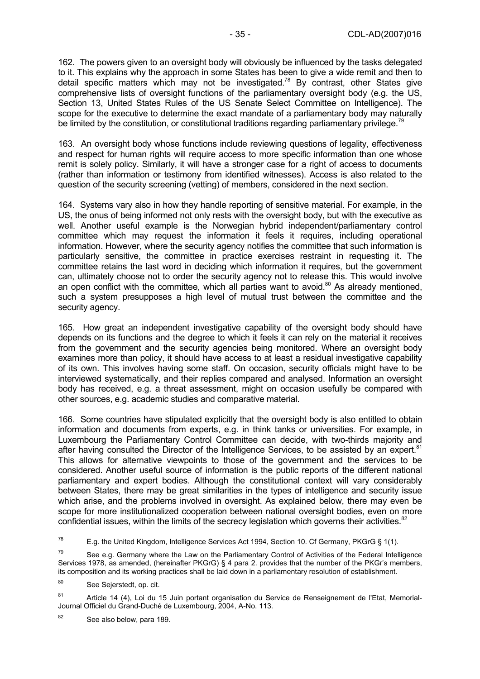162. The powers given to an oversight body will obviously be influenced by the tasks delegated to it. This explains why the approach in some States has been to give a wide remit and then to detail specific matters which may not be investigated.<sup>78</sup> By contrast, other States give comprehensive lists of oversight functions of the parliamentary oversight body (e.g. the US, Section 13, United States Rules of the US Senate Select Committee on Intelligence). The scope for the executive to determine the exact mandate of a parliamentary body may naturally be limited by the constitution, or constitutional traditions regarding parliamentary privilege.<sup>79</sup>

163. An oversight body whose functions include reviewing questions of legality, effectiveness and respect for human rights will require access to more specific information than one whose remit is solely policy. Similarly, it will have a stronger case for a right of access to documents (rather than information or testimony from identified witnesses). Access is also related to the question of the security screening (vetting) of members, considered in the next section.

164. Systems vary also in how they handle reporting of sensitive material. For example, in the US, the onus of being informed not only rests with the oversight body, but with the executive as well. Another useful example is the Norwegian hybrid independent/parliamentary control committee which may request the information it feels it requires, including operational information. However, where the security agency notifies the committee that such information is particularly sensitive, the committee in practice exercises restraint in requesting it. The committee retains the last word in deciding which information it requires, but the government can, ultimately choose not to order the security agency not to release this. This would involve an open conflict with the committee, which all parties want to avoid. $80$  As already mentioned, such a system presupposes a high level of mutual trust between the committee and the security agency.

165. How great an independent investigative capability of the oversight body should have depends on its functions and the degree to which it feels it can rely on the material it receives from the government and the security agencies being monitored. Where an oversight body examines more than policy, it should have access to at least a residual investigative capability of its own. This involves having some staff. On occasion, security officials might have to be interviewed systematically, and their replies compared and analysed. Information an oversight body has received, e.g. a threat assessment, might on occasion usefully be compared with other sources, e.g. academic studies and comparative material.

166. Some countries have stipulated explicitly that the oversight body is also entitled to obtain information and documents from experts, e.g. in think tanks or universities. For example, in Luxembourg the Parliamentary Control Committee can decide, with two-thirds majority and after having consulted the Director of the Intelligence Services, to be assisted by an expert.<sup>81</sup> This allows for alternative viewpoints to those of the government and the services to be considered. Another useful source of information is the public reports of the different national parliamentary and expert bodies. Although the constitutional context will vary considerably between States, there may be great similarities in the types of intelligence and security issue which arise, and the problems involved in oversight. As explained below, there may even be scope for more institutionalized cooperation between national oversight bodies, even on more confidential issues, within the limits of the secrecy legislation which governs their activities.<sup>82</sup>

<sup>78</sup> E.g. the United Kingdom, Intelligence Services Act 1994, Section 10. Cf Germany, PKGrG § 1(1).

 $79$  See e.g. Germany where the Law on the Parliamentary Control of Activities of the Federal Intelligence Services 1978, as amended, (hereinafter PKGrG) § 4 para 2. provides that the number of the PKGr's members, its composition and its working practices shall be laid down in a parliamentary resolution of establishment.

<sup>80</sup> See Sejerstedt, op. cit.

<sup>81</sup> Article 14 (4), Loi du 15 Juin portant organisation du Service de Renseignement de l'Etat, Memorial-Journal Officiel du Grand-Duché de Luxembourg, 2004, A-No. 113.

<sup>82</sup> See also below, para 189.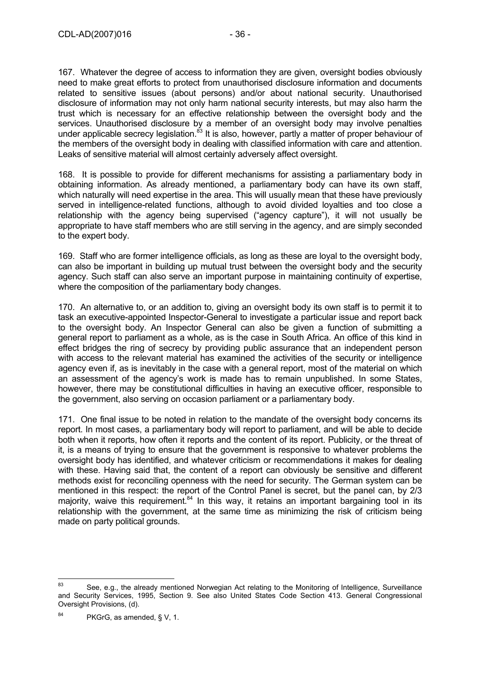167. Whatever the degree of access to information they are given, oversight bodies obviously need to make great efforts to protect from unauthorised disclosure information and documents related to sensitive issues (about persons) and/or about national security. Unauthorised disclosure of information may not only harm national security interests, but may also harm the trust which is necessary for an effective relationship between the oversight body and the services. Unauthorised disclosure by a member of an oversight body may involve penalties under applicable secrecy legislation.<sup>83</sup> It is also, however, partly a matter of proper behaviour of the members of the oversight body in dealing with classified information with care and attention. Leaks of sensitive material will almost certainly adversely affect oversight.

168. It is possible to provide for different mechanisms for assisting a parliamentary body in obtaining information. As already mentioned, a parliamentary body can have its own staff, which naturally will need expertise in the area. This will usually mean that these have previously served in intelligence-related functions, although to avoid divided loyalties and too close a relationship with the agency being supervised ("agency capture"), it will not usually be appropriate to have staff members who are still serving in the agency, and are simply seconded to the expert body.

169. Staff who are former intelligence officials, as long as these are loyal to the oversight body, can also be important in building up mutual trust between the oversight body and the security agency. Such staff can also serve an important purpose in maintaining continuity of expertise, where the composition of the parliamentary body changes.

170. An alternative to, or an addition to, giving an oversight body its own staff is to permit it to task an executive-appointed Inspector-General to investigate a particular issue and report back to the oversight body. An Inspector General can also be given a function of submitting a general report to parliament as a whole, as is the case in South Africa. An office of this kind in effect bridges the ring of secrecy by providing public assurance that an independent person with access to the relevant material has examined the activities of the security or intelligence agency even if, as is inevitably in the case with a general report, most of the material on which an assessment of the agency's work is made has to remain unpublished. In some States, however, there may be constitutional difficulties in having an executive officer, responsible to the government, also serving on occasion parliament or a parliamentary body.

171. One final issue to be noted in relation to the mandate of the oversight body concerns its report. In most cases, a parliamentary body will report to parliament, and will be able to decide both when it reports, how often it reports and the content of its report. Publicity, or the threat of it, is a means of trying to ensure that the government is responsive to whatever problems the oversight body has identified, and whatever criticism or recommendations it makes for dealing with these. Having said that, the content of a report can obviously be sensitive and different methods exist for reconciling openness with the need for security. The German system can be mentioned in this respect: the report of the Control Panel is secret, but the panel can, by 2/3 majority, waive this requirement.<sup>84</sup> In this way, it retains an important bargaining tool in its relationship with the government, at the same time as minimizing the risk of criticism being made on party political grounds.

<sup>83</sup> See, e.g., the already mentioned Norwegian Act relating to the Monitoring of Intelligence, Surveillance and Security Services, 1995, Section 9. See also United States Code Section 413. General Congressional Oversight Provisions, (d).

<sup>84</sup> PKGrG, as amended, § V, 1.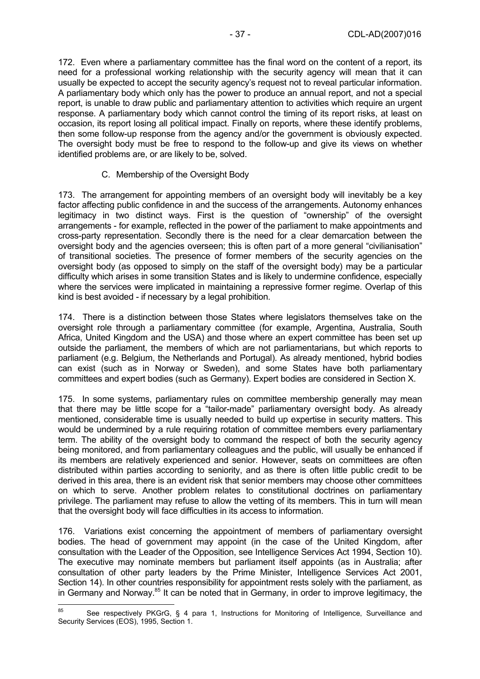172. Even where a parliamentary committee has the final word on the content of a report, its need for a professional working relationship with the security agency will mean that it can usually be expected to accept the security agency's request not to reveal particular information. A parliamentary body which only has the power to produce an annual report, and not a special report, is unable to draw public and parliamentary attention to activities which require an urgent response. A parliamentary body which cannot control the timing of its report risks, at least on occasion, its report losing all political impact. Finally on reports, where these identify problems, then some follow-up response from the agency and/or the government is obviously expected. The oversight body must be free to respond to the follow-up and give its views on whether identified problems are, or are likely to be, solved.

#### C. Membership of the Oversight Body

173. The arrangement for appointing members of an oversight body will inevitably be a key factor affecting public confidence in and the success of the arrangements. Autonomy enhances legitimacy in two distinct ways. First is the question of "ownership" of the oversight arrangements - for example, reflected in the power of the parliament to make appointments and cross-party representation. Secondly there is the need for a clear demarcation between the oversight body and the agencies overseen; this is often part of a more general "civilianisation" of transitional societies. The presence of former members of the security agencies on the oversight body (as opposed to simply on the staff of the oversight body) may be a particular difficulty which arises in some transition States and is likely to undermine confidence, especially where the services were implicated in maintaining a repressive former regime. Overlap of this kind is best avoided - if necessary by a legal prohibition.

174. There is a distinction between those States where legislators themselves take on the oversight role through a parliamentary committee (for example, Argentina, Australia, South Africa, United Kingdom and the USA) and those where an expert committee has been set up outside the parliament, the members of which are not parliamentarians, but which reports to parliament (e.g. Belgium, the Netherlands and Portugal). As already mentioned, hybrid bodies can exist (such as in Norway or Sweden), and some States have both parliamentary committees and expert bodies (such as Germany). Expert bodies are considered in Section X.

175. In some systems, parliamentary rules on committee membership generally may mean that there may be little scope for a "tailor-made" parliamentary oversight body. As already mentioned, considerable time is usually needed to build up expertise in security matters. This would be undermined by a rule requiring rotation of committee members every parliamentary term. The ability of the oversight body to command the respect of both the security agency being monitored, and from parliamentary colleagues and the public, will usually be enhanced if its members are relatively experienced and senior. However, seats on committees are often distributed within parties according to seniority, and as there is often little public credit to be derived in this area, there is an evident risk that senior members may choose other committees on which to serve. Another problem relates to constitutional doctrines on parliamentary privilege. The parliament may refuse to allow the vetting of its members. This in turn will mean that the oversight body will face difficulties in its access to information.

176. Variations exist concerning the appointment of members of parliamentary oversight bodies. The head of government may appoint (in the case of the United Kingdom, after consultation with the Leader of the Opposition, see Intelligence Services Act 1994, Section 10). The executive may nominate members but parliament itself appoints (as in Australia; after consultation of other party leaders by the Prime Minister, Intelligence Services Act 2001, Section 14). In other countries responsibility for appointment rests solely with the parliament, as in Germany and Norway.<sup>85</sup> It can be noted that in Germany, in order to improve legitimacy, the

<sup>85</sup> See respectively PKGrG, § 4 para 1, Instructions for Monitoring of Intelligence, Surveillance and Security Services (EOS), 1995, Section 1.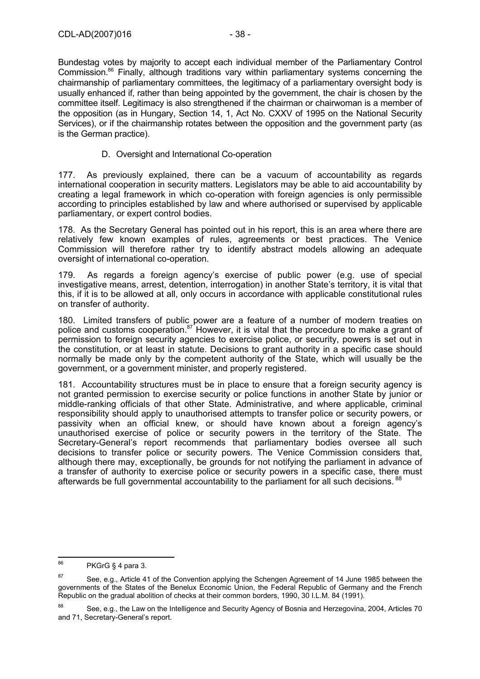Bundestag votes by majority to accept each individual member of the Parliamentary Control Commission.<sup>86</sup> Finally, although traditions vary within parliamentary systems concerning the chairmanship of parliamentary committees, the legitimacy of a parliamentary oversight body is usually enhanced if, rather than being appointed by the government, the chair is chosen by the committee itself. Legitimacy is also strengthened if the chairman or chairwoman is a member of the opposition (as in Hungary, Section 14, 1, Act No. CXXV of 1995 on the National Security Services), or if the chairmanship rotates between the opposition and the government party (as is the German practice).

#### D. Oversight and International Co-operation

177. As previously explained, there can be a vacuum of accountability as regards international cooperation in security matters. Legislators may be able to aid accountability by creating a legal framework in which co-operation with foreign agencies is only permissible according to principles established by law and where authorised or supervised by applicable parliamentary, or expert control bodies.

178. As the Secretary General has pointed out in his report, this is an area where there are relatively few known examples of rules, agreements or best practices. The Venice Commission will therefore rather try to identify abstract models allowing an adequate oversight of international co-operation.

179. As regards a foreign agency's exercise of public power (e.g. use of special investigative means, arrest, detention, interrogation) in another State's territory, it is vital that this, if it is to be allowed at all, only occurs in accordance with applicable constitutional rules on transfer of authority.

180. Limited transfers of public power are a feature of a number of modern treaties on police and customs cooperation.87 However, it is vital that the procedure to make a grant of permission to foreign security agencies to exercise police, or security, powers is set out in the constitution, or at least in statute. Decisions to grant authority in a specific case should normally be made only by the competent authority of the State, which will usually be the government, or a government minister, and properly registered.

181. Accountability structures must be in place to ensure that a foreign security agency is not granted permission to exercise security or police functions in another State by junior or middle-ranking officials of that other State. Administrative, and where applicable, criminal responsibility should apply to unauthorised attempts to transfer police or security powers, or passivity when an official knew, or should have known about a foreign agency's unauthorised exercise of police or security powers in the territory of the State. The Secretary-General's report recommends that parliamentary bodies oversee all such decisions to transfer police or security powers. The Venice Commission considers that, although there may, exceptionally, be grounds for not notifying the parliament in advance of a transfer of authority to exercise police or security powers in a specific case, there must afterwards be full governmental accountability to the parliament for all such decisions. <sup>88</sup>

<sup>86</sup> PKGrG § 4 para 3.

<sup>&</sup>lt;sup>87</sup> See, e.g., Article 41 of the Convention applying the Schengen Agreement of 14 June 1985 between the governments of the States of the Benelux Economic Union, the Federal Republic of Germany and the French Republic on the gradual abolition of checks at their common borders, 1990, 30 I.L.M. 84 (1991).

<sup>88</sup> See, e.g., the Law on the Intelligence and Security Agency of Bosnia and Herzegovina, 2004, Articles 70 and 71, Secretary-General's report.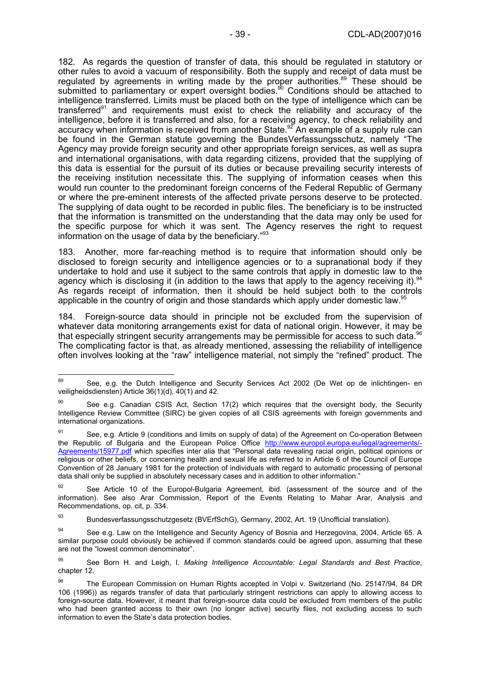182. As regards the question of transfer of data, this should be regulated in statutory or other rules to avoid a vacuum of responsibility. Both the supply and receipt of data must be regulated by agreements in writing made by the proper authorities.<sup>89</sup> These should be submitted to parliamentary or expert oversight bodies.<sup>90</sup> Conditions should be attached to intelligence transferred. Limits must be placed both on the type of intelligence which can be transferred $91$  and requirements must exist to check the reliability and accuracy of the intelligence, before it is transferred and also, for a receiving agency, to check reliability and accuracy when information is received from another State.<sup>92</sup> An example of a supply rule can be found in the German statute governing the BundesVerfassungsschutz, namely "The Agency may provide foreign security and other appropriate foreign services, as well as supra and international organisations, with data regarding citizens, provided that the supplying of this data is essential for the pursuit of its duties or because prevailing security interests of the receiving institution necessitate this. The supplying of information ceases when this would run counter to the predominant foreign concerns of the Federal Republic of Germany or where the pre-eminent interests of the affected private persons deserve to be protected. The supplying of data ought to be recorded in public files. The beneficiary is to be instructed that the information is transmitted on the understanding that the data may only be used for the specific purpose for which it was sent. The Agency reserves the right to request information on the usage of data by the beneficiary."<sup>93</sup>

183. Another, more far-reaching method is to require that information should only be disclosed to foreign security and intelligence agencies or to a supranational body if they undertake to hold and use it subject to the same controls that apply in domestic law to the agency which is disclosing it (in addition to the laws that apply to the agency receiving it).<sup>9</sup> As regards receipt of information, then it should be held subject both to the controls applicable in the country of origin and those standards which apply under domestic law.<sup>95</sup>

184. Foreign-source data should in principle not be excluded from the supervision of whatever data monitoring arrangements exist for data of national origin. However, it may be that especially stringent security arrangements may be permissible for access to such data. $96$ The complicating factor is that, as already mentioned, assessing the reliability of intelligence often involves looking at the "raw" intelligence material, not simply the "refined" product. The

93 Bundesverfassungsschutzgesetz (BVErfSchG), Germany, 2002, Art. 19 (Unofficial translation).

<sup>89</sup> 89 See, e.g. the Dutch Intelligence and Security Services Act 2002 (De Wet op de inlichtingen- en veiligheidsdiensten) Article 36(1)(d), 40(1) and 42.

<sup>&</sup>lt;sup>90</sup> See e.g. Canadian CSIS Act, Section 17(2) which requires that the oversight body, the Security Intelligence Review Committee (SIRC) be given copies of all CSIS agreements with foreign governments and international organizations.

 $91$  See, e.g. Article 9 (conditions and limits on supply of data) of the Agreement on Co-operation Between the Republic of Bulgaria and the European Police Office http://www.europol.europa.eu/legal/agreements/- Agreements/15977.pdf which specifies inter alia that "Personal data revealing racial origin, political opinions or religious or other beliefs, or concerning health and sexual life as referred to in Article 6 of the Council of Europe Convention of 28 January 1981 for the protection of individuals with regard to automatic processing of personal data shall only be supplied in absolutely necessary cases and in addition to other information."

See Article 10 of the Europol-Bulgaria Agreement, ibid. (assessment of the source and of the information). See also Arar Commission, Report of the Events Relating to Mahar Arar, Analysis and Recommendations, op. cit, p. 334.

<sup>94</sup> See e.g. Law on the Intelligence and Security Agency of Bosnia and Herzegovina, 2004, Article 65. A similar purpose could obviously be achieved if common standards could be agreed upon, assuming that these are not the "lowest common denominator".

<sup>95</sup> See Born H. and Leigh, I. *Making Intelligence Accountable: Legal Standards and Best Practice*, chapter 12.

<sup>96</sup> The European Commission on Human Rights accepted in Volpi v. Switzerland (No. 25147/94, 84 DR 106 (1996)) as regards transfer of data that particularly stringent restrictions can apply to allowing access to foreign-source data. However, it meant that foreign-source data could be excluded from members of the public who had been granted access to their own (no longer active) security files, not excluding access to such information to even the State's data protection bodies.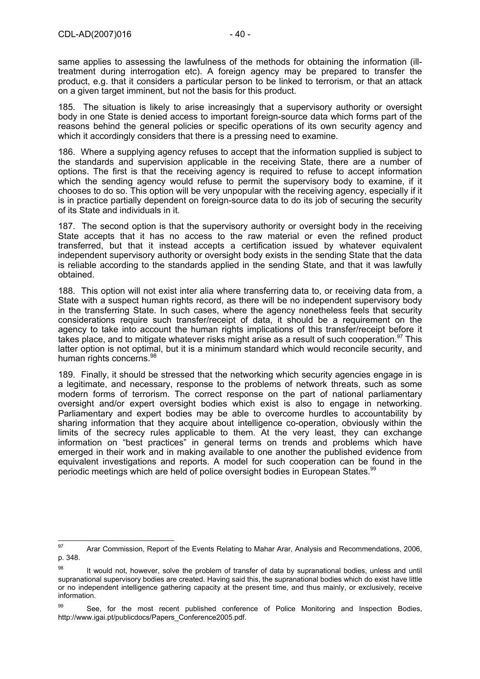same applies to assessing the lawfulness of the methods for obtaining the information (illtreatment during interrogation etc). A foreign agency may be prepared to transfer the product, e.g. that it considers a particular person to be linked to terrorism, or that an attack on a given target imminent, but not the basis for this product.

185. The situation is likely to arise increasingly that a supervisory authority or oversight body in one State is denied access to important foreign-source data which forms part of the reasons behind the general policies or specific operations of its own security agency and which it accordingly considers that there is a pressing need to examine.

186. Where a supplying agency refuses to accept that the information supplied is subject to the standards and supervision applicable in the receiving State, there are a number of options. The first is that the receiving agency is required to refuse to accept information which the sending agency would refuse to permit the supervisory body to examine, if it chooses to do so. This option will be very unpopular with the receiving agency, especially if it is in practice partially dependent on foreign-source data to do its job of securing the security of its State and individuals in it.

187. The second option is that the supervisory authority or oversight body in the receiving State accepts that it has no access to the raw material or even the refined product transferred, but that it instead accepts a certification issued by whatever equivalent independent supervisory authority or oversight body exists in the sending State that the data is reliable according to the standards applied in the sending State, and that it was lawfully obtained.

188. This option will not exist inter alia where transferring data to, or receiving data from, a State with a suspect human rights record, as there will be no independent supervisory body in the transferring State. In such cases, where the agency nonetheless feels that security considerations require such transfer/receipt of data, it should be a requirement on the agency to take into account the human rights implications of this transfer/receipt before it takes place, and to mitigate whatever risks might arise as a result of such cooperation.<sup>97</sup> This latter option is not optimal, but it is a minimum standard which would reconcile security, and human rights concerns.<sup>98</sup>

189. Finally, it should be stressed that the networking which security agencies engage in is a legitimate, and necessary, response to the problems of network threats, such as some modern forms of terrorism. The correct response on the part of national parliamentary oversight and/or expert oversight bodies which exist is also to engage in networking. Parliamentary and expert bodies may be able to overcome hurdles to accountability by sharing information that they acquire about intelligence co-operation, obviously within the limits of the secrecy rules applicable to them. At the very least, they can exchange information on "best practices" in general terms on trends and problems which have emerged in their work and in making available to one another the published evidence from equivalent investigations and reports. A model for such cooperation can be found in the periodic meetings which are held of police oversight bodies in European States.<sup>99</sup>

<sup>97</sup> Arar Commission, Report of the Events Relating to Mahar Arar, Analysis and Recommendations, 2006, p. 348.

<sup>&</sup>lt;sup>98</sup> It would not, however, solve the problem of transfer of data by supranational bodies, unless and until supranational supervisory bodies are created. Having said this, the supranational bodies which do exist have little or no independent intelligence gathering capacity at the present time, and thus mainly, or exclusively, receive information.

 $99$  See, for the most recent published conference of Police Monitoring and Inspection Bodies, http://www.igai.pt/publicdocs/Papers\_Conference2005.pdf.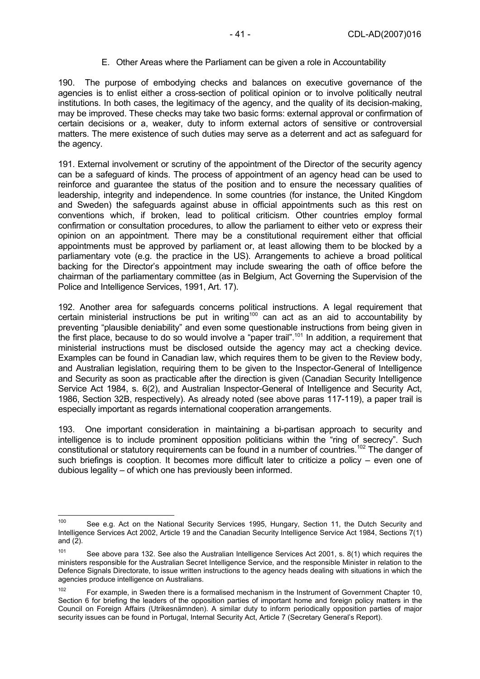#### E. Other Areas where the Parliament can be given a role in Accountability

190. The purpose of embodying checks and balances on executive governance of the agencies is to enlist either a cross-section of political opinion or to involve politically neutral institutions. In both cases, the legitimacy of the agency, and the quality of its decision-making, may be improved. These checks may take two basic forms: external approval or confirmation of certain decisions or a, weaker, duty to inform external actors of sensitive or controversial matters. The mere existence of such duties may serve as a deterrent and act as safeguard for the agency.

191. External involvement or scrutiny of the appointment of the Director of the security agency can be a safeguard of kinds. The process of appointment of an agency head can be used to reinforce and guarantee the status of the position and to ensure the necessary qualities of leadership, integrity and independence. In some countries (for instance, the United Kingdom and Sweden) the safeguards against abuse in official appointments such as this rest on conventions which, if broken, lead to political criticism. Other countries employ formal confirmation or consultation procedures, to allow the parliament to either veto or express their opinion on an appointment. There may be a constitutional requirement either that official appointments must be approved by parliament or, at least allowing them to be blocked by a parliamentary vote (e.g. the practice in the US). Arrangements to achieve a broad political backing for the Director's appointment may include swearing the oath of office before the chairman of the parliamentary committee (as in Belgium, Act Governing the Supervision of the Police and Intelligence Services, 1991, Art. 17).

192. Another area for safeguards concerns political instructions. A legal requirement that certain ministerial instructions be put in writing100 can act as an aid to accountability by preventing "plausible deniability" and even some questionable instructions from being given in the first place, because to do so would involve a "paper trail".101 In addition, a requirement that ministerial instructions must be disclosed outside the agency may act a checking device. Examples can be found in Canadian law, which requires them to be given to the Review body, and Australian legislation, requiring them to be given to the Inspector-General of Intelligence and Security as soon as practicable after the direction is given (Canadian Security Intelligence Service Act 1984, s. 6(2), and Australian Inspector-General of Intelligence and Security Act, 1986, Section 32B, respectively). As already noted (see above paras 117-119), a paper trail is especially important as regards international cooperation arrangements.

193. One important consideration in maintaining a bi-partisan approach to security and intelligence is to include prominent opposition politicians within the "ring of secrecy". Such constitutional or statutory requirements can be found in a number of countries.102 The danger of such briefings is cooption. It becomes more difficult later to criticize a policy – even one of dubious legality – of which one has previously been informed.

 $100$ See e.g. Act on the National Security Services 1995, Hungary, Section 11, the Dutch Security and Intelligence Services Act 2002, Article 19 and the Canadian Security Intelligence Service Act 1984, Sections 7(1) and (2).

<sup>&</sup>lt;sup>101</sup> See above para 132. See also the Australian Intelligence Services Act 2001, s. 8(1) which requires the ministers responsible for the Australian Secret Intelligence Service, and the responsible Minister in relation to the Defence Signals Directorate, to issue written instructions to the agency heads dealing with situations in which the agencies produce intelligence on Australians.

 $102$  For example, in Sweden there is a formalised mechanism in the Instrument of Government Chapter 10, Section 6 for briefing the leaders of the opposition parties of important home and foreign policy matters in the Council on Foreign Affairs (Utrikesnämnden). A similar duty to inform periodically opposition parties of major security issues can be found in Portugal, Internal Security Act, Article 7 (Secretary General's Report).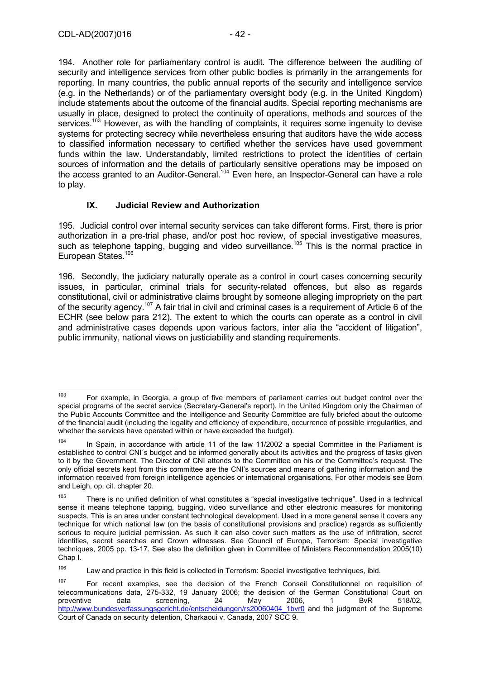194. Another role for parliamentary control is audit. The difference between the auditing of security and intelligence services from other public bodies is primarily in the arrangements for reporting. In many countries, the public annual reports of the security and intelligence service (e.g. in the Netherlands) or of the parliamentary oversight body (e.g. in the United Kingdom) include statements about the outcome of the financial audits. Special reporting mechanisms are usually in place, designed to protect the continuity of operations, methods and sources of the services.<sup>103</sup> However, as with the handling of complaints, it requires some ingenuity to devise systems for protecting secrecy while nevertheless ensuring that auditors have the wide access to classified information necessary to certified whether the services have used government funds within the law. Understandably, limited restrictions to protect the identities of certain sources of information and the details of particularly sensitive operations may be imposed on the access granted to an Auditor-General.<sup>104</sup> Even here, an Inspector-General can have a role to play.

### **IX. Judicial Review and Authorization**

195. Judicial control over internal security services can take different forms. First, there is prior authorization in a pre-trial phase, and/or post hoc review, of special investigative measures, such as telephone tapping, bugging and video surveillance.<sup>105</sup> This is the normal practice in European States.<sup>106</sup>

196. Secondly, the judiciary naturally operate as a control in court cases concerning security issues, in particular, criminal trials for security-related offences, but also as regards constitutional, civil or administrative claims brought by someone alleging impropriety on the part of the security agency.107 A fair trial in civil and criminal cases is a requirement of Article 6 of the ECHR (see below para 212). The extent to which the courts can operate as a control in civil and administrative cases depends upon various factors, inter alia the "accident of litigation", public immunity, national views on justiciability and standing requirements.

<sup>103</sup> For example, in Georgia, a group of five members of parliament carries out budget control over the special programs of the secret service (Secretary-General's report). In the United Kingdom only the Chairman of the Public Accounts Committee and the Intelligence and Security Committee are fully briefed about the outcome of the financial audit (including the legality and efficiency of expenditure, occurrence of possible irregularities, and whether the services have operated within or have exceeded the budget).

 $104$  In Spain, in accordance with article 11 of the law 11/2002 a special Committee in the Parliament is established to control CNI´s budget and be informed generally about its activities and the progress of tasks given to it by the Government. The Director of CNI attends to the Committee on his or the Committee's request. The only official secrets kept from this committee are the CNI's sources and means of gathering information and the information received from foreign intelligence agencies or international organisations. For other models see Born and Leigh, op. cit. chapter 20.

 $105$  There is no unified definition of what constitutes a "special investigative technique". Used in a technical sense it means telephone tapping, bugging, video surveillance and other electronic measures for monitoring suspects. This is an area under constant technological development. Used in a more general sense it covers any technique for which national law (on the basis of constitutional provisions and practice) regards as sufficiently serious to require judicial permission. As such it can also cover such matters as the use of infiltration, secret identities, secret searches and Crown witnesses. See Council of Europe, Terrorism: Special investigative techniques, 2005 pp. 13-17. See also the definition given in Committee of Ministers Recommendation 2005(10) Chap I.

<sup>106</sup> Law and practice in this field is collected in Terrorism: Special investigative techniques, ibid.

<sup>&</sup>lt;sup>107</sup> For recent examples, see the decision of the French Conseil Constitutionnel on requisition of telecommunications data, 275-332, 19 January 2006; the decision of the German Constitutional Court on preventive data screening, 24 May 2006, 1 BvR 518/02. preventive data screening, 24 May 2006, 1 BvR 518/02, http://www.bundesverfassungsgericht.de/entscheidungen/rs20060404\_1bvr0 and the judgment of the Supreme Court of Canada on security detention, Charkaoui v. Canada, 2007 SCC 9.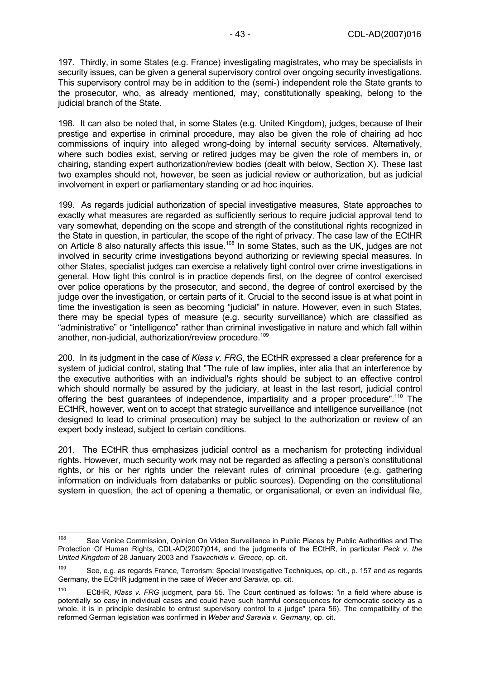197. Thirdly, in some States (e.g. France) investigating magistrates, who may be specialists in security issues, can be given a general supervisory control over ongoing security investigations. This supervisory control may be in addition to the (semi-) independent role the State grants to the prosecutor, who, as already mentioned, may, constitutionally speaking, belong to the judicial branch of the State.

198. It can also be noted that, in some States (e.g. United Kingdom), judges, because of their prestige and expertise in criminal procedure, may also be given the role of chairing ad hoc commissions of inquiry into alleged wrong-doing by internal security services. Alternatively, where such bodies exist, serving or retired judges may be given the role of members in, or chairing, standing expert authorization/review bodies (dealt with below, Section X). These last two examples should not, however, be seen as judicial review or authorization, but as judicial involvement in expert or parliamentary standing or ad hoc inquiries.

199. As regards judicial authorization of special investigative measures, State approaches to exactly what measures are regarded as sufficiently serious to require judicial approval tend to vary somewhat, depending on the scope and strength of the constitutional rights recognized in the State in question, in particular, the scope of the right of privacy. The case law of the ECtHR on Article 8 also naturally affects this issue.<sup>108</sup> In some States, such as the UK, judges are not involved in security crime investigations beyond authorizing or reviewing special measures. In other States, specialist judges can exercise a relatively tight control over crime investigations in general. How tight this control is in practice depends first, on the degree of control exercised over police operations by the prosecutor, and second, the degree of control exercised by the judge over the investigation, or certain parts of it. Crucial to the second issue is at what point in time the investigation is seen as becoming "judicial" in nature. However, even in such States, there may be special types of measure (e.g. security surveillance) which are classified as "administrative" or "intelligence" rather than criminal investigative in nature and which fall within another, non-judicial, authorization/review procedure.<sup>109</sup>

200. In its judgment in the case of *Klass v. FRG*, the ECtHR expressed a clear preference for a system of judicial control, stating that "The rule of law implies, inter alia that an interference by the executive authorities with an individual's rights should be subject to an effective control which should normally be assured by the judiciary, at least in the last resort, judicial control offering the best guarantees of independence, impartiality and a proper procedure".<sup>110</sup> The ECtHR, however, went on to accept that strategic surveillance and intelligence surveillance (not designed to lead to criminal prosecution) may be subject to the authorization or review of an expert body instead, subject to certain conditions.

201. The ECtHR thus emphasizes judicial control as a mechanism for protecting individual rights. However, much security work may not be regarded as affecting a person's constitutional rights, or his or her rights under the relevant rules of criminal procedure (e.g. gathering information on individuals from databanks or public sources). Depending on the constitutional system in question, the act of opening a thematic, or organisational, or even an individual file,

<sup>108</sup> See Venice Commission, Opinion On Video Surveillance in Public Places by Public Authorities and The Protection Of Human Rights, CDL-AD(2007)014, and the judgments of the ECtHR, in particular *Peck v. the United Kingdom* of 28 January 2003 and *Tsavachidis v. Greece*, op. cit.

<sup>109</sup> See, e.g. as regards France, Terrorism: Special Investigative Techniques, op. cit., p. 157 and as regards Germany, the ECtHR judgment in the case of *Weber and Saravia*, op. cit.

<sup>110</sup> ECtHR, *Klass v. FRG* judgment, para 55. The Court continued as follows: "in a field where abuse is potentially so easy in individual cases and could have such harmful consequences for democratic society as a whole, it is in principle desirable to entrust supervisory control to a judge" (para 56). The compatibility of the reformed German legislation was confirmed in *Weber and Saravia v. Germany*, op. cit.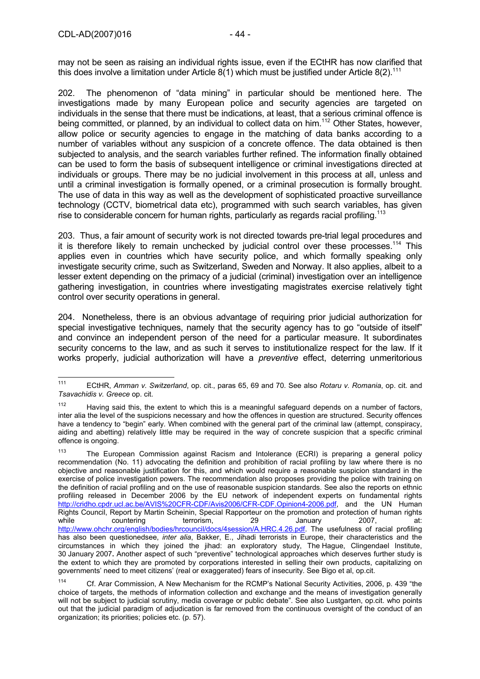may not be seen as raising an individual rights issue, even if the ECtHR has now clarified that this does involve a limitation under Article  $8(1)$  which must be justified under Article  $8(2)$ .<sup>111</sup>

202. The phenomenon of "data mining" in particular should be mentioned here. The investigations made by many European police and security agencies are targeted on individuals in the sense that there must be indications, at least, that a serious criminal offence is being committed, or planned, by an individual to collect data on him.<sup>112</sup> Other States, however, allow police or security agencies to engage in the matching of data banks according to a number of variables without any suspicion of a concrete offence. The data obtained is then subjected to analysis, and the search variables further refined. The information finally obtained can be used to form the basis of subsequent intelligence or criminal investigations directed at individuals or groups. There may be no judicial involvement in this process at all, unless and until a criminal investigation is formally opened, or a criminal prosecution is formally brought. The use of data in this way as well as the development of sophisticated proactive surveillance technology (CCTV, biometrical data etc), programmed with such search variables, has given rise to considerable concern for human rights, particularly as regards racial profiling.<sup>113</sup>

203. Thus, a fair amount of security work is not directed towards pre-trial legal procedures and it is therefore likely to remain unchecked by judicial control over these processes.<sup>114</sup> This applies even in countries which have security police, and which formally speaking only investigate security crime, such as Switzerland, Sweden and Norway. It also applies, albeit to a lesser extent depending on the primacy of a judicial (criminal) investigation over an intelligence gathering investigation, in countries where investigating magistrates exercise relatively tight control over security operations in general.

204. Nonetheless, there is an obvious advantage of requiring prior judicial authorization for special investigative techniques, namely that the security agency has to go "outside of itself" and convince an independent person of the need for a particular measure. It subordinates security concerns to the law, and as such it serves to institutionalize respect for the law. If it works properly, judicial authorization will have a *preventive* effect, deterring unmeritorious

 $111$ 111 ECtHR, *Amman v. Switzerland*, op. cit., paras 65, 69 and 70. See also *Rotaru v. Romania*, op. cit. and *Tsavachidis v. Greece* op. cit.

 $112$  Having said this, the extent to which this is a meaningful safeguard depends on a number of factors, inter alia the level of the suspicions necessary and how the offences in question are structured. Security offences have a tendency to "begin" early. When combined with the general part of the criminal law (attempt, conspiracy, aiding and abetting) relatively little may be required in the way of concrete suspicion that a specific criminal offence is ongoing.

<sup>&</sup>lt;sup>113</sup> The European Commission against Racism and Intolerance (ECRI) is preparing a general policy recommendation (No. 11) advocating the definition and prohibition of racial profiling by law where there is no objective and reasonable justification for this, and which would require a reasonable suspicion standard in the exercise of police investigation powers. The recommendation also proposes providing the police with training on the definition of racial profiling and on the use of reasonable suspicion standards. See also the reports on ethnic profiling released in December 2006 by the EU network of independent experts on fundamental rights http://cridho.cpdr.ucl.ac.be/AVIS%20CFR-CDF/Avis2006/CFR-CDF.Opinion4-2006.pdf, and the UN Human Rights Council, Report by Martin Scheinin, Special Rapporteur on the promotion and protection of human rights while countering terrorism, 29 January 2007, at: http://www.ohchr.org/english/bodies/hrcouncil/docs/4session/A.HRC.4.26.pdf. The usefulness of racial profiling has also been questionedsee, *inter alia*, Bakker, E., Jihadi terrorists in Europe, their characteristics and the circumstances in which they joined the jihad: an exploratory study, The Hague, Clingendael Institute, 30 January 2007**.** Another aspect of such "preventive" technological approaches which deserves further study is the extent to which they are promoted by corporations interested in selling their own products, capitalizing on governments' need to meet citizens' (real or exaggerated) fears of insecurity. See Bigo et al, op.cit.

<sup>114</sup> Cf. Arar Commission, A New Mechanism for the RCMP's National Security Activities, 2006, p. 439 "the choice of targets, the methods of information collection and exchange and the means of investigation generally will not be subject to judicial scrutiny, media coverage or public debate". See also Lustgarten, op.cit. who points out that the judicial paradigm of adjudication is far removed from the continuous oversight of the conduct of an organization; its priorities; policies etc. (p. 57).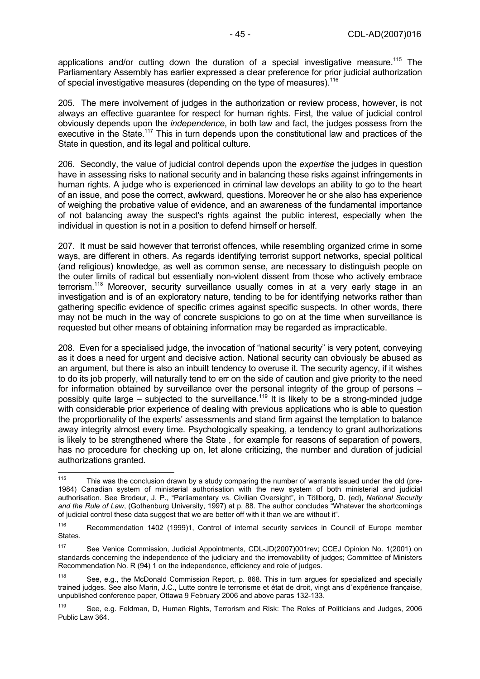applications and/or cutting down the duration of a special investigative measure.<sup>115</sup> The Parliamentary Assembly has earlier expressed a clear preference for prior judicial authorization of special investigative measures (depending on the type of measures).<sup>116</sup>

205. The mere involvement of judges in the authorization or review process, however, is not always an effective guarantee for respect for human rights. First, the value of judicial control obviously depends upon the *independence*, in both law and fact, the judges possess from the executive in the State.<sup>117</sup> This in turn depends upon the constitutional law and practices of the State in question, and its legal and political culture.

206. Secondly, the value of judicial control depends upon the *expertise* the judges in question have in assessing risks to national security and in balancing these risks against infringements in human rights. A judge who is experienced in criminal law develops an ability to go to the heart of an issue, and pose the correct, awkward, questions. Moreover he or she also has experience of weighing the probative value of evidence, and an awareness of the fundamental importance of not balancing away the suspect's rights against the public interest, especially when the individual in question is not in a position to defend himself or herself.

207. It must be said however that terrorist offences, while resembling organized crime in some ways, are different in others. As regards identifying terrorist support networks, special political (and religious) knowledge, as well as common sense, are necessary to distinguish people on the outer limits of radical but essentially non-violent dissent from those who actively embrace terrorism.<sup>118</sup> Moreover, security surveillance usually comes in at a very early stage in an investigation and is of an exploratory nature, tending to be for identifying networks rather than gathering specific evidence of specific crimes against specific suspects. In other words, there may not be much in the way of concrete suspicions to go on at the time when surveillance is requested but other means of obtaining information may be regarded as impracticable.

208. Even for a specialised judge, the invocation of "national security" is very potent, conveying as it does a need for urgent and decisive action. National security can obviously be abused as an argument, but there is also an inbuilt tendency to overuse it. The security agency, if it wishes to do its job properly, will naturally tend to err on the side of caution and give priority to the need for information obtained by surveillance over the personal integrity of the group of persons – possibly quite large – subjected to the surveillance.119 It is likely to be a strong-minded judge with considerable prior experience of dealing with previous applications who is able to question the proportionality of the experts' assessments and stand firm against the temptation to balance away integrity almost every time. Psychologically speaking, a tendency to grant authorizations is likely to be strengthened where the State , for example for reasons of separation of powers, has no procedure for checking up on, let alone criticizing, the number and duration of judicial authorizations granted.

<sup>115</sup> This was the conclusion drawn by a study comparing the number of warrants issued under the old (pre-1984) Canadian system of ministerial authorisation with the new system of both ministerial and judicial authorisation. See Brodeur, J. P., "Parliamentary vs. Civilian Oversight", in Töllborg, D. (ed), *National Security and the Rule of Law*, (Gothenburg University, 1997) at p. 88. The author concludes "Whatever the shortcomings of judicial control these data suggest that we are better off with it than we are without it".

<sup>116</sup> Recommendation 1402 (1999)1, Control of internal security services in Council of Europe member States.

<sup>117</sup> See Venice Commission, Judicial Appointments, CDL-JD(2007)001rev; CCEJ Opinion No. 1(2001) on standards concerning the independence of the judiciary and the irremovability of judges; Committee of Ministers Recommendation No. R (94) 1 on the independence, efficiency and role of judges.

<sup>118</sup> See, e.g., the McDonald Commission Report, p. 868. This in turn argues for specialized and specially trained judges. See also Marin, J.C., Lutte contre le terrorisme et état de droit, vingt ans d´expérience française, unpublished conference paper, Ottawa 9 February 2006 and above paras 132-133.

<sup>119</sup> See, e.g. Feldman, D, Human Rights, Terrorism and Risk: The Roles of Politicians and Judges, 2006 Public Law 364.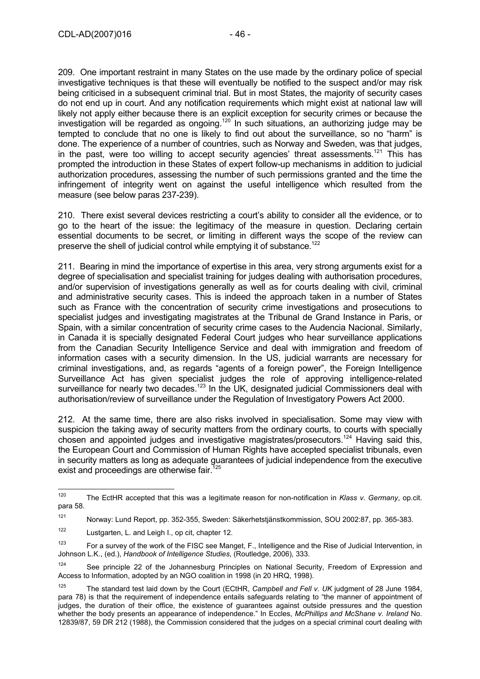209. One important restraint in many States on the use made by the ordinary police of special investigative techniques is that these will eventually be notified to the suspect and/or may risk being criticised in a subsequent criminal trial. But in most States, the majority of security cases do not end up in court. And any notification requirements which might exist at national law will likely not apply either because there is an explicit exception for security crimes or because the investigation will be regarded as ongoing.<sup>120</sup> In such situations, an authorizing judge may be tempted to conclude that no one is likely to find out about the surveillance, so no "harm" is done. The experience of a number of countries, such as Norway and Sweden, was that judges, in the past, were too willing to accept security agencies' threat assessments.<sup>121</sup> This has prompted the introduction in these States of expert follow-up mechanisms in addition to judicial authorization procedures, assessing the number of such permissions granted and the time the infringement of integrity went on against the useful intelligence which resulted from the measure (see below paras 237-239).

210. There exist several devices restricting a court's ability to consider all the evidence, or to go to the heart of the issue: the legitimacy of the measure in question. Declaring certain essential documents to be secret, or limiting in different ways the scope of the review can preserve the shell of judicial control while emptying it of substance.<sup>122</sup>

211. Bearing in mind the importance of expertise in this area, very strong arguments exist for a degree of specialisation and specialist training for judges dealing with authorisation procedures, and/or supervision of investigations generally as well as for courts dealing with civil, criminal and administrative security cases. This is indeed the approach taken in a number of States such as France with the concentration of security crime investigations and prosecutions to specialist judges and investigating magistrates at the Tribunal de Grand Instance in Paris, or Spain, with a similar concentration of security crime cases to the Audencia Nacional. Similarly, in Canada it is specially designated Federal Court judges who hear surveillance applications from the Canadian Security Intelligence Service and deal with immigration and freedom of information cases with a security dimension. In the US, judicial warrants are necessary for criminal investigations, and, as regards "agents of a foreign power", the Foreign Intelligence Surveillance Act has given specialist judges the role of approving intelligence-related surveillance for nearly two decades.<sup>123</sup> In the UK, designated judicial Commissioners deal with authorisation/review of surveillance under the Regulation of Investigatory Powers Act 2000.

212. At the same time, there are also risks involved in specialisation. Some may view with suspicion the taking away of security matters from the ordinary courts, to courts with specially chosen and appointed judges and investigative magistrates/prosecutors.<sup>124</sup> Having said this, the European Court and Commission of Human Rights have accepted specialist tribunals, even in security matters as long as adequate guarantees of judicial independence from the executive exist and proceedings are otherwise fair.<sup>125</sup>

<sup>120</sup> The EctHR accepted that this was a legitimate reason for non-notification in *Klass v. Germany*, op.cit. para 58.

<sup>121</sup> Norway: Lund Report, pp. 352-355, Sweden: Säkerhetstjänstkommission, SOU 2002:87, pp. 365-383.

<sup>122</sup> Lustgarten, L. and Leigh I., op cit, chapter 12.

<sup>&</sup>lt;sup>123</sup> For a survey of the work of the FISC see Manget, F., Intelligence and the Rise of Judicial Intervention, in Johnson L.K., (ed.), *Handbook of Intelligence Studies*, (Routledge, 2006), 333.

<sup>&</sup>lt;sup>124</sup> See principle 22 of the Johannesburg Principles on National Security, Freedom of Expression and Access to Information, adopted by an NGO coalition in 1998 (in 20 HRQ, 1998).

<sup>125</sup> The standard test laid down by the Court (ECtHR, *Campbell and Fell v. UK* judgment of 28 June 1984, para 78) is that the requirement of independence entails safeguards relating to "the manner of appointment of judges, the duration of their office, the existence of guarantees against outside pressures and the question whether the body presents an appearance of independence." In Eccles, *McPhillips and McShane v. Ireland* No. 12839/87, 59 DR 212 (1988), the Commission considered that the judges on a special criminal court dealing with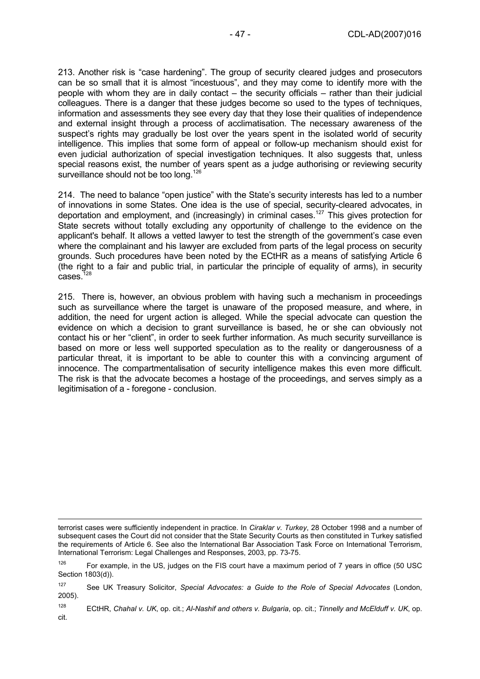213. Another risk is "case hardening". The group of security cleared judges and prosecutors can be so small that it is almost "incestuous", and they may come to identify more with the people with whom they are in daily contact – the security officials – rather than their judicial colleagues. There is a danger that these judges become so used to the types of techniques, information and assessments they see every day that they lose their qualities of independence and external insight through a process of acclimatisation. The necessary awareness of the suspect's rights may gradually be lost over the years spent in the isolated world of security intelligence. This implies that some form of appeal or follow-up mechanism should exist for even judicial authorization of special investigation techniques. It also suggests that, unless special reasons exist, the number of years spent as a judge authorising or reviewing security surveillance should not be too long.<sup>126</sup>

214. The need to balance "open justice" with the State's security interests has led to a number of innovations in some States. One idea is the use of special, security-cleared advocates, in deportation and employment, and (increasingly) in criminal cases.<sup>127</sup> This gives protection for State secrets without totally excluding any opportunity of challenge to the evidence on the applicant's behalf. It allows a vetted lawyer to test the strength of the government's case even where the complainant and his lawyer are excluded from parts of the legal process on security grounds. Such procedures have been noted by the ECtHR as a means of satisfying Article 6 (the right to a fair and public trial, in particular the principle of equality of arms), in security  $cases$ <sup> $128$ </sup>

215. There is, however, an obvious problem with having such a mechanism in proceedings such as surveillance where the target is unaware of the proposed measure, and where, in addition, the need for urgent action is alleged. While the special advocate can question the evidence on which a decision to grant surveillance is based, he or she can obviously not contact his or her "client", in order to seek further information. As much security surveillance is based on more or less well supported speculation as to the reality or dangerousness of a particular threat, it is important to be able to counter this with a convincing argument of innocence. The compartmentalisation of security intelligence makes this even more difficult. The risk is that the advocate becomes a hostage of the proceedings, and serves simply as a legitimisation of a - foregone - conclusion.

 $\overline{a}$ 

terrorist cases were sufficiently independent in practice. In *Ciraklar v. Turkey*, 28 October 1998 and a number of subsequent cases the Court did not consider that the State Security Courts as then constituted in Turkey satisfied the requirements of Article 6. See also the International Bar Association Task Force on International Terrorism, International Terrorism: Legal Challenges and Responses, 2003, pp. 73-75.

 $126$  For example, in the US, judges on the FIS court have a maximum period of 7 years in office (50 USC Section 1803(d)).

<sup>127</sup> See UK Treasury Solicitor, *Special Advocates: a Guide to the Role of Special Advocates* (London, 2005).

<sup>128</sup> ECtHR, *Chahal v. UK*, op. cit.; *Al-Nashif and others v. Bulgaria*, op. cit.; *Tinnelly and McElduff v. UK*, op. cit.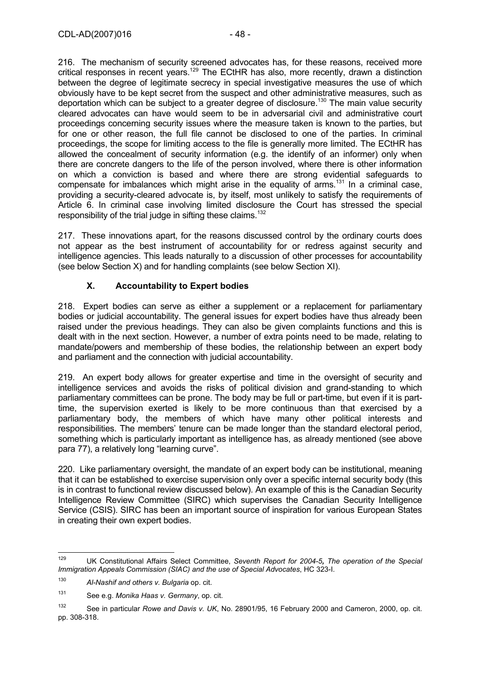216. The mechanism of security screened advocates has, for these reasons, received more critical responses in recent years.129 The ECtHR has also, more recently, drawn a distinction between the degree of legitimate secrecy in special investigative measures the use of which obviously have to be kept secret from the suspect and other administrative measures, such as deportation which can be subject to a greater degree of disclosure.<sup>130</sup> The main value security cleared advocates can have would seem to be in adversarial civil and administrative court proceedings concerning security issues where the measure taken is known to the parties, but for one or other reason, the full file cannot be disclosed to one of the parties. In criminal proceedings, the scope for limiting access to the file is generally more limited. The ECtHR has allowed the concealment of security information (e.g. the identify of an informer) only when there are concrete dangers to the life of the person involved, where there is other information on which a conviction is based and where there are strong evidential safeguards to compensate for imbalances which might arise in the equality of arms.<sup>131</sup> In a criminal case, providing a security-cleared advocate is, by itself, most unlikely to satisfy the requirements of Article 6. In criminal case involving limited disclosure the Court has stressed the special responsibility of the trial judge in sifting these claims.<sup>132</sup>

217. These innovations apart, for the reasons discussed control by the ordinary courts does not appear as the best instrument of accountability for or redress against security and intelligence agencies. This leads naturally to a discussion of other processes for accountability (see below Section X) and for handling complaints (see below Section XI).

# **X. Accountability to Expert bodies**

218. Expert bodies can serve as either a supplement or a replacement for parliamentary bodies or judicial accountability. The general issues for expert bodies have thus already been raised under the previous headings. They can also be given complaints functions and this is dealt with in the next section. However, a number of extra points need to be made, relating to mandate/powers and membership of these bodies, the relationship between an expert body and parliament and the connection with judicial accountability.

219. An expert body allows for greater expertise and time in the oversight of security and intelligence services and avoids the risks of political division and grand-standing to which parliamentary committees can be prone. The body may be full or part-time, but even if it is parttime, the supervision exerted is likely to be more continuous than that exercised by a parliamentary body, the members of which have many other political interests and responsibilities. The members' tenure can be made longer than the standard electoral period, something which is particularly important as intelligence has, as already mentioned (see above para 77), a relatively long "learning curve".

220. Like parliamentary oversight, the mandate of an expert body can be institutional, meaning that it can be established to exercise supervision only over a specific internal security body (this is in contrast to functional review discussed below). An example of this is the Canadian Security Intelligence Review Committee (SIRC) which supervises the Canadian Security Intelligence Service (CSIS). SIRC has been an important source of inspiration for various European States in creating their own expert bodies.

<sup>129</sup> 129 UK Constitutional Affairs Select Committee, *Seventh Report for 2004-5, The operation of the Special Immigration Appeals Commission (SIAC) and the use of Special Advocates*, HC 323-I.

<sup>130</sup> *Al-Nashif and others v. Bulgaria* op. cit.

<sup>131</sup> See e.g. *Monika Haas v. Germany*, op. cit.

<sup>132</sup> See in particular *Rowe and Davis v. UK*, No. 28901/95, 16 February 2000 and Cameron, 2000, op. cit. pp. 308-318.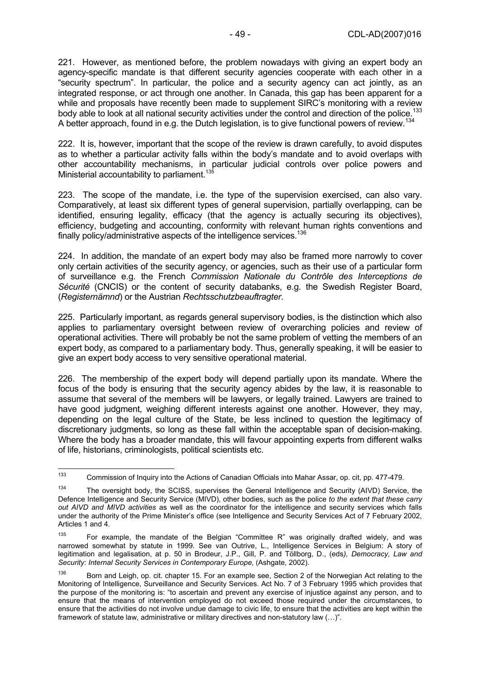221. However, as mentioned before, the problem nowadays with giving an expert body an agency-specific mandate is that different security agencies cooperate with each other in a "security spectrum". In particular, the police and a security agency can act jointly, as an integrated response, or act through one another. In Canada, this gap has been apparent for a while and proposals have recently been made to supplement SIRC's monitoring with a review body able to look at all national security activities under the control and direction of the police.<sup>133</sup> A better approach, found in e.g. the Dutch legislation, is to give functional powers of review.<sup>134</sup>

222. It is, however, important that the scope of the review is drawn carefully, to avoid disputes as to whether a particular activity falls within the body's mandate and to avoid overlaps with other accountability mechanisms, in particular judicial controls over police powers and Ministerial accountability to parliament.<sup>135</sup>

223. The scope of the mandate, i.e. the type of the supervision exercised, can also vary. Comparatively, at least six different types of general supervision, partially overlapping, can be identified, ensuring legality, efficacy (that the agency is actually securing its objectives), efficiency, budgeting and accounting, conformity with relevant human rights conventions and finally policy/administrative aspects of the intelligence services.<sup>136</sup>

224. In addition, the mandate of an expert body may also be framed more narrowly to cover only certain activities of the security agency, or agencies, such as their use of a particular form of surveillance e.g. the French *Commission Nationale du Contrôle des Interceptions de Sécurité* (CNCIS) or the content of security databanks, e.g. the Swedish Register Board, (*Registernämnd*) or the Austrian *Rechtsschutzbeauftragter*.

225. Particularly important, as regards general supervisory bodies, is the distinction which also applies to parliamentary oversight between review of overarching policies and review of operational activities. There will probably be not the same problem of vetting the members of an expert body, as compared to a parliamentary body. Thus, generally speaking, it will be easier to give an expert body access to very sensitive operational material.

226. The membership of the expert body will depend partially upon its mandate. Where the focus of the body is ensuring that the security agency abides by the law, it is reasonable to assume that several of the members will be lawyers, or legally trained. Lawyers are trained to have good judgment, weighing different interests against one another. However, they may, depending on the legal culture of the State, be less inclined to question the legitimacy of discretionary judgments, so long as these fall within the acceptable span of decision-making. Where the body has a broader mandate, this will favour appointing experts from different walks of life, historians, criminologists, political scientists etc.

 $133$ 133 Commission of Inquiry into the Actions of Canadian Officials into Mahar Assar, op. cit, pp. 477-479.

<sup>&</sup>lt;sup>134</sup> The oversight body, the SCISS, supervises the General Intelligence and Security (AIVD) Service, the Defence Intelligence and Security Service (MIVD), other bodies, such as the police *to the extent that these carry out AIVD and MIVD activities* as well as the coordinator for the intelligence and security services which falls under the authority of the Prime Minister's office (see Intelligence and Security Services Act of 7 February 2002, Articles 1 and 4.

<sup>135</sup> For example, the mandate of the Belgian "Committee R" was originally drafted widely, and was narrowed somewhat by statute in 1999. See van Outrive, L., Intelligence Services in Belgium: A story of legitimation and legalisation, at p. 50 in Brodeur, J.P., Gill, P. and Töllborg, D., (eds*), Democracy, Law and Security: Internal Security Services in Contemporary Europe*, (Ashgate, 2002).

Born and Leigh, op. cit. chapter 15. For an example see, Section 2 of the Norwegian Act relating to the Monitoring of Intelligence, Surveillance and Security Services. Act No. 7 of 3 February 1995 which provides that the purpose of the monitoring is: "to ascertain and prevent any exercise of injustice against any person, and to ensure that the means of intervention employed do not exceed those required under the circumstances, to ensure that the activities do not involve undue damage to civic life, to ensure that the activities are kept within the framework of statute law, administrative or military directives and non-statutory law (…)".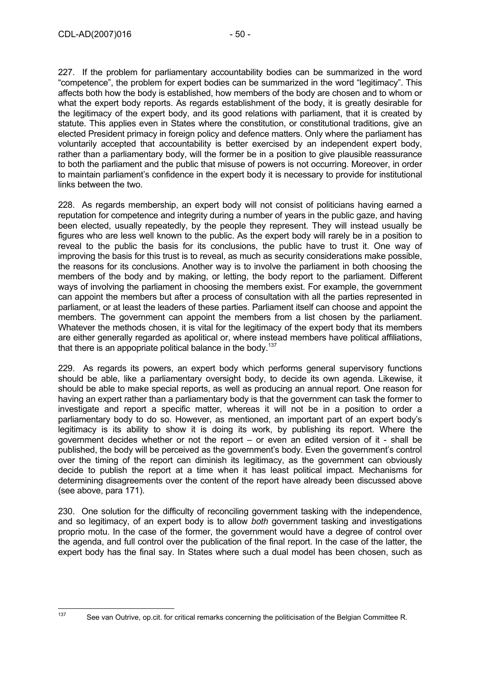227. If the problem for parliamentary accountability bodies can be summarized in the word "competence", the problem for expert bodies can be summarized in the word "legitimacy". This affects both how the body is established, how members of the body are chosen and to whom or what the expert body reports. As regards establishment of the body, it is greatly desirable for the legitimacy of the expert body, and its good relations with parliament, that it is created by statute. This applies even in States where the constitution, or constitutional traditions, give an elected President primacy in foreign policy and defence matters. Only where the parliament has voluntarily accepted that accountability is better exercised by an independent expert body, rather than a parliamentary body, will the former be in a position to give plausible reassurance to both the parliament and the public that misuse of powers is not occurring. Moreover, in order to maintain parliament's confidence in the expert body it is necessary to provide for institutional links between the two.

228. As regards membership, an expert body will not consist of politicians having earned a reputation for competence and integrity during a number of years in the public gaze, and having been elected, usually repeatedly, by the people they represent. They will instead usually be figures who are less well known to the public. As the expert body will rarely be in a position to reveal to the public the basis for its conclusions, the public have to trust it. One way of improving the basis for this trust is to reveal, as much as security considerations make possible, the reasons for its conclusions. Another way is to involve the parliament in both choosing the members of the body and by making, or letting, the body report to the parliament. Different ways of involving the parliament in choosing the members exist. For example, the government can appoint the members but after a process of consultation with all the parties represented in parliament, or at least the leaders of these parties. Parliament itself can choose and appoint the members. The government can appoint the members from a list chosen by the parliament. Whatever the methods chosen, it is vital for the legitimacy of the expert body that its members are either generally regarded as apolitical or, where instead members have political affiliations, that there is an appopriate political balance in the body.<sup>137</sup>

229. As regards its powers, an expert body which performs general supervisory functions should be able, like a parliamentary oversight body, to decide its own agenda. Likewise, it should be able to make special reports, as well as producing an annual report. One reason for having an expert rather than a parliamentary body is that the government can task the former to investigate and report a specific matter, whereas it will not be in a position to order a parliamentary body to do so. However, as mentioned, an important part of an expert body's legitimacy is its ability to show it is doing its work, by publishing its report. Where the government decides whether or not the report – or even an edited version of it - shall be published, the body will be perceived as the government's body. Even the government's control over the timing of the report can diminish its legitimacy, as the government can obviously decide to publish the report at a time when it has least political impact. Mechanisms for determining disagreements over the content of the report have already been discussed above (see above, para 171).

230. One solution for the difficulty of reconciling government tasking with the independence, and so legitimacy, of an expert body is to allow *both* government tasking and investigations proprio motu. In the case of the former, the government would have a degree of control over the agenda, and full control over the publication of the final report. In the case of the latter, the expert body has the final say. In States where such a dual model has been chosen, such as

See van Outrive, op.cit. for critical remarks concerning the politicisation of the Belgian Committee R.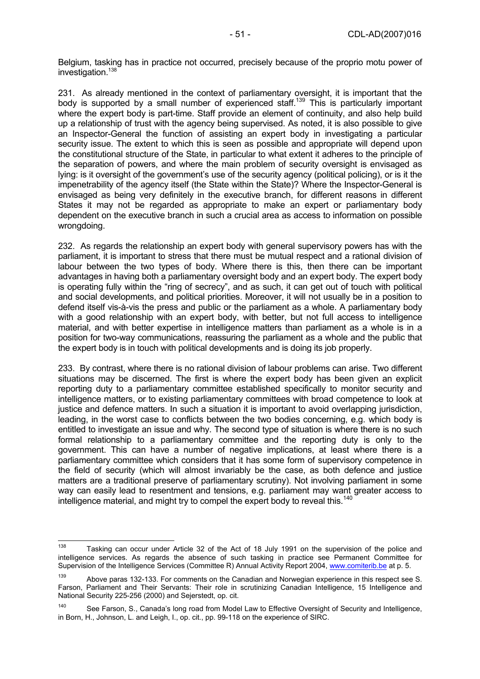Belgium, tasking has in practice not occurred, precisely because of the proprio motu power of investigation.<sup>138</sup>

231. As already mentioned in the context of parliamentary oversight, it is important that the body is supported by a small number of experienced staff.<sup>139</sup> This is particularly important where the expert body is part-time. Staff provide an element of continuity, and also help build up a relationship of trust with the agency being supervised. As noted, it is also possible to give an Inspector-General the function of assisting an expert body in investigating a particular security issue. The extent to which this is seen as possible and appropriate will depend upon the constitutional structure of the State, in particular to what extent it adheres to the principle of the separation of powers, and where the main problem of security oversight is envisaged as lying: is it oversight of the government's use of the security agency (political policing), or is it the impenetrability of the agency itself (the State within the State)? Where the Inspector-General is envisaged as being very definitely in the executive branch, for different reasons in different States it may not be regarded as appropriate to make an expert or parliamentary body dependent on the executive branch in such a crucial area as access to information on possible wrongdoing.

232. As regards the relationship an expert body with general supervisory powers has with the parliament, it is important to stress that there must be mutual respect and a rational division of labour between the two types of body. Where there is this, then there can be important advantages in having both a parliamentary oversight body and an expert body. The expert body is operating fully within the "ring of secrecy", and as such, it can get out of touch with political and social developments, and political priorities. Moreover, it will not usually be in a position to defend itself vis-à-vis the press and public or the parliament as a whole. A parliamentary body with a good relationship with an expert body, with better, but not full access to intelligence material, and with better expertise in intelligence matters than parliament as a whole is in a position for two-way communications, reassuring the parliament as a whole and the public that the expert body is in touch with political developments and is doing its job properly.

233. By contrast, where there is no rational division of labour problems can arise. Two different situations may be discerned. The first is where the expert body has been given an explicit reporting duty to a parliamentary committee established specifically to monitor security and intelligence matters, or to existing parliamentary committees with broad competence to look at justice and defence matters. In such a situation it is important to avoid overlapping jurisdiction, leading, in the worst case to conflicts between the two bodies concerning, e.g. which body is entitled to investigate an issue and why. The second type of situation is where there is no such formal relationship to a parliamentary committee and the reporting duty is only to the government. This can have a number of negative implications, at least where there is a parliamentary committee which considers that it has some form of supervisory competence in the field of security (which will almost invariably be the case, as both defence and justice matters are a traditional preserve of parliamentary scrutiny). Not involving parliament in some way can easily lead to resentment and tensions, e.g. parliament may want greater access to intelligence material, and might try to compel the expert body to reveal this.<sup>140</sup>

<sup>138</sup> Tasking can occur under Article 32 of the Act of 18 July 1991 on the supervision of the police and intelligence services. As regards the absence of such tasking in practice see Permanent Committee for Supervision of the Intelligence Services (Committee R) Annual Activity Report 2004, www.comiterib.be at p. 5.

<sup>139</sup> Above paras 132-133. For comments on the Canadian and Norwegian experience in this respect see S. Farson, Parliament and Their Servants: Their role in scrutinizing Canadian Intelligence, 15 Intelligence and National Security 225-256 (2000) and Sejerstedt, op. cit.

<sup>&</sup>lt;sup>140</sup> See Farson, S., Canada's long road from Model Law to Effective Oversight of Security and Intelligence, in Born, H., Johnson, L. and Leigh, I., op. cit., pp. 99-118 on the experience of SIRC.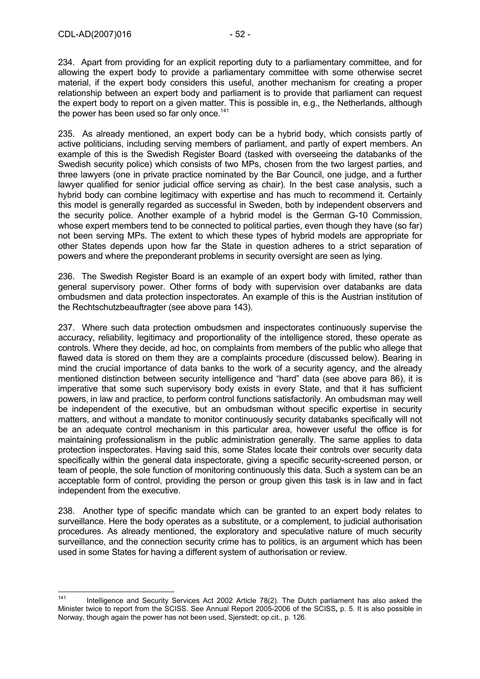234. Apart from providing for an explicit reporting duty to a parliamentary committee, and for allowing the expert body to provide a parliamentary committee with some otherwise secret material, if the expert body considers this useful, another mechanism for creating a proper relationship between an expert body and parliament is to provide that parliament can request the expert body to report on a given matter. This is possible in, e.g., the Netherlands, although the power has been used so far only once.<sup>141</sup>

235. As already mentioned, an expert body can be a hybrid body, which consists partly of active politicians, including serving members of parliament, and partly of expert members. An example of this is the Swedish Register Board (tasked with overseeing the databanks of the Swedish security police) which consists of two MPs, chosen from the two largest parties, and three lawyers (one in private practice nominated by the Bar Council, one judge, and a further lawyer qualified for senior judicial office serving as chair). In the best case analysis, such a hybrid body can combine legitimacy with expertise and has much to recommend it. Certainly this model is generally regarded as successful in Sweden, both by independent observers and the security police. Another example of a hybrid model is the German G-10 Commission, whose expert members tend to be connected to political parties, even though they have (so far) not been serving MPs. The extent to which these types of hybrid models are appropriate for other States depends upon how far the State in question adheres to a strict separation of powers and where the preponderant problems in security oversight are seen as lying.

236. The Swedish Register Board is an example of an expert body with limited, rather than general supervisory power. Other forms of body with supervision over databanks are data ombudsmen and data protection inspectorates. An example of this is the Austrian institution of the Rechtschutzbeauftragter (see above para 143).

237. Where such data protection ombudsmen and inspectorates continuously supervise the accuracy, reliability, legitimacy and proportionality of the intelligence stored, these operate as controls. Where they decide, ad hoc, on complaints from members of the public who allege that flawed data is stored on them they are a complaints procedure (discussed below). Bearing in mind the crucial importance of data banks to the work of a security agency, and the already mentioned distinction between security intelligence and "hard" data (see above para 86), it is imperative that some such supervisory body exists in every State, and that it has sufficient powers, in law and practice, to perform control functions satisfactorily. An ombudsman may well be independent of the executive, but an ombudsman without specific expertise in security matters, and without a mandate to monitor continuously security databanks specifically will not be an adequate control mechanism in this particular area, however useful the office is for maintaining professionalism in the public administration generally. The same applies to data protection inspectorates. Having said this, some States locate their controls over security data specifically within the general data inspectorate, giving a specific security-screened person, or team of people, the sole function of monitoring continuously this data. Such a system can be an acceptable form of control, providing the person or group given this task is in law and in fact independent from the executive.

238. Another type of specific mandate which can be granted to an expert body relates to surveillance. Here the body operates as a substitute, or a complement, to judicial authorisation procedures. As already mentioned, the exploratory and speculative nature of much security surveillance, and the connection security crime has to politics, is an argument which has been used in some States for having a different system of authorisation or review.

 $141$ Intelligence and Security Services Act 2002 Article 78(2). The Dutch parliament has also asked the Minister twice to report from the SCISS. See Annual Report 2005-2006 of the SCISS**,** p. 5. It is also possible in Norway, though again the power has not been used, Sjerstedt; op.cit., p. 126.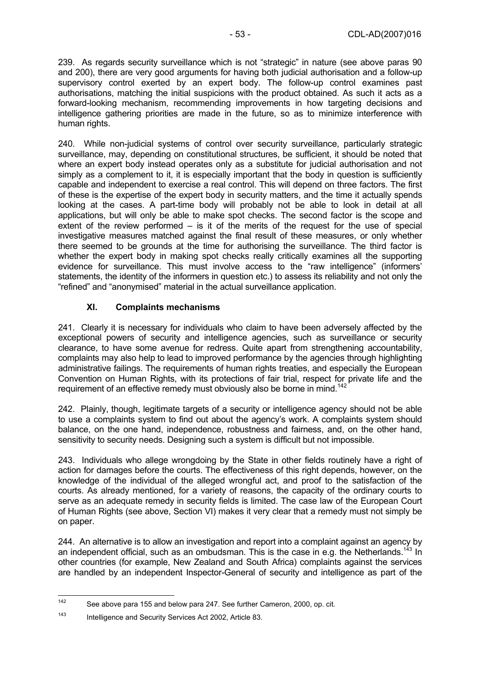239. As regards security surveillance which is not "strategic" in nature (see above paras 90 and 200), there are very good arguments for having both judicial authorisation and a follow-up supervisory control exerted by an expert body. The follow-up control examines past authorisations, matching the initial suspicions with the product obtained. As such it acts as a forward-looking mechanism, recommending improvements in how targeting decisions and intelligence gathering priorities are made in the future, so as to minimize interference with human rights.

240. While non-judicial systems of control over security surveillance, particularly strategic surveillance, may, depending on constitutional structures, be sufficient, it should be noted that where an expert body instead operates only as a substitute for judicial authorisation and not simply as a complement to it, it is especially important that the body in question is sufficiently capable and independent to exercise a real control. This will depend on three factors. The first of these is the expertise of the expert body in security matters, and the time it actually spends looking at the cases. A part-time body will probably not be able to look in detail at all applications, but will only be able to make spot checks. The second factor is the scope and extent of the review performed – is it of the merits of the request for the use of special investigative measures matched against the final result of these measures, or only whether there seemed to be grounds at the time for authorising the surveillance. The third factor is whether the expert body in making spot checks really critically examines all the supporting evidence for surveillance. This must involve access to the "raw intelligence" (informers' statements, the identity of the informers in question etc.) to assess its reliability and not only the "refined" and "anonymised" material in the actual surveillance application.

# **XI. Complaints mechanisms**

241. Clearly it is necessary for individuals who claim to have been adversely affected by the exceptional powers of security and intelligence agencies, such as surveillance or security clearance, to have some avenue for redress. Quite apart from strengthening accountability, complaints may also help to lead to improved performance by the agencies through highlighting administrative failings. The requirements of human rights treaties, and especially the European Convention on Human Rights, with its protections of fair trial, respect for private life and the requirement of an effective remedy must obviously also be borne in mind.<sup>142</sup>

242. Plainly, though, legitimate targets of a security or intelligence agency should not be able to use a complaints system to find out about the agency's work. A complaints system should balance, on the one hand, independence, robustness and fairness, and, on the other hand, sensitivity to security needs. Designing such a system is difficult but not impossible.

243. Individuals who allege wrongdoing by the State in other fields routinely have a right of action for damages before the courts. The effectiveness of this right depends, however, on the knowledge of the individual of the alleged wrongful act, and proof to the satisfaction of the courts. As already mentioned, for a variety of reasons, the capacity of the ordinary courts to serve as an adequate remedy in security fields is limited. The case law of the European Court of Human Rights (see above, Section VI) makes it very clear that a remedy must not simply be on paper.

244. An alternative is to allow an investigation and report into a complaint against an agency by an independent official, such as an ombudsman. This is the case in e.g. the Netherlands.<sup>143</sup> In other countries (for example, New Zealand and South Africa) complaints against the services are handled by an independent Inspector-General of security and intelligence as part of the

 $142$ See above para 155 and below para 247. See further Cameron, 2000, op. cit.

<sup>143</sup> Intelligence and Security Services Act 2002, Article 83.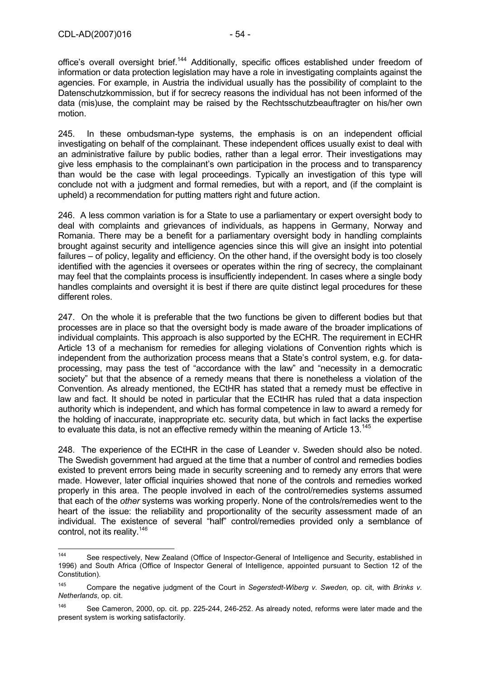office's overall oversight brief.<sup>144</sup> Additionally, specific offices established under freedom of information or data protection legislation may have a role in investigating complaints against the agencies. For example, in Austria the individual usually has the possibility of complaint to the Datenschutzkommission, but if for secrecy reasons the individual has not been informed of the data (mis)use, the complaint may be raised by the Rechtsschutzbeauftragter on his/her own motion.

245. In these ombudsman-type systems, the emphasis is on an independent official investigating on behalf of the complainant. These independent offices usually exist to deal with an administrative failure by public bodies, rather than a legal error. Their investigations may give less emphasis to the complainant's own participation in the process and to transparency than would be the case with legal proceedings. Typically an investigation of this type will conclude not with a judgment and formal remedies, but with a report, and (if the complaint is upheld) a recommendation for putting matters right and future action.

246. A less common variation is for a State to use a parliamentary or expert oversight body to deal with complaints and grievances of individuals, as happens in Germany, Norway and Romania. There may be a benefit for a parliamentary oversight body in handling complaints brought against security and intelligence agencies since this will give an insight into potential failures – of policy, legality and efficiency. On the other hand, if the oversight body is too closely identified with the agencies it oversees or operates within the ring of secrecy, the complainant may feel that the complaints process is insufficiently independent. In cases where a single body handles complaints and oversight it is best if there are quite distinct legal procedures for these different roles.

247. On the whole it is preferable that the two functions be given to different bodies but that processes are in place so that the oversight body is made aware of the broader implications of individual complaints. This approach is also supported by the ECHR. The requirement in ECHR Article 13 of a mechanism for remedies for alleging violations of Convention rights which is independent from the authorization process means that a State's control system, e.g. for dataprocessing, may pass the test of "accordance with the law" and "necessity in a democratic society" but that the absence of a remedy means that there is nonetheless a violation of the Convention. As already mentioned, the ECtHR has stated that a remedy must be effective in law and fact. It should be noted in particular that the ECtHR has ruled that a data inspection authority which is independent, and which has formal competence in law to award a remedy for the holding of inaccurate, inappropriate etc. security data, but which in fact lacks the expertise to evaluate this data, is not an effective remedy within the meaning of Article  $13^{145}$ 

248. The experience of the ECtHR in the case of Leander v. Sweden should also be noted. The Swedish government had argued at the time that a number of control and remedies bodies existed to prevent errors being made in security screening and to remedy any errors that were made. However, later official inquiries showed that none of the controls and remedies worked properly in this area. The people involved in each of the control/remedies systems assumed that each of the *other* systems was working properly. None of the controls/remedies went to the heart of the issue: the reliability and proportionality of the security assessment made of an individual. The existence of several "half" control/remedies provided only a semblance of control, not its reality.146

 $144$ See respectively, New Zealand (Office of Inspector-General of Intelligence and Security, established in 1996) and South Africa (Office of Inspector General of Intelligence, appointed pursuant to Section 12 of the Constitution).

<sup>145</sup> Compare the negative judgment of the Court in *Segerstedt-Wiberg v. Sweden,* op. cit, with *Brinks v. Netherlands*, op. cit.

<sup>146</sup> See Cameron, 2000, op. cit. pp. 225-244, 246-252. As already noted, reforms were later made and the present system is working satisfactorily.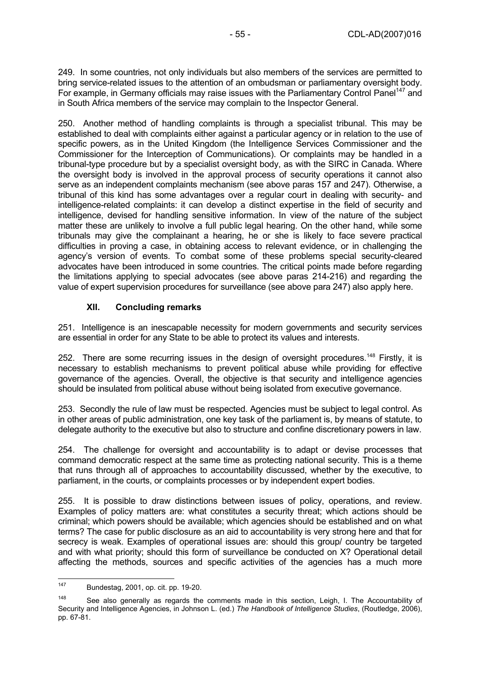249. In some countries, not only individuals but also members of the services are permitted to bring service-related issues to the attention of an ombudsman or parliamentary oversight body. For example, in Germany officials may raise issues with the Parliamentary Control Panel<sup>147</sup> and in South Africa members of the service may complain to the Inspector General.

250. Another method of handling complaints is through a specialist tribunal. This may be established to deal with complaints either against a particular agency or in relation to the use of specific powers, as in the United Kingdom (the Intelligence Services Commissioner and the Commissioner for the Interception of Communications). Or complaints may be handled in a tribunal-type procedure but by a specialist oversight body, as with the SIRC in Canada. Where the oversight body is involved in the approval process of security operations it cannot also serve as an independent complaints mechanism (see above paras 157 and 247). Otherwise, a tribunal of this kind has some advantages over a regular court in dealing with security- and intelligence-related complaints: it can develop a distinct expertise in the field of security and intelligence, devised for handling sensitive information. In view of the nature of the subject matter these are unlikely to involve a full public legal hearing. On the other hand, while some tribunals may give the complainant a hearing, he or she is likely to face severe practical difficulties in proving a case, in obtaining access to relevant evidence, or in challenging the agency's version of events. To combat some of these problems special security-cleared advocates have been introduced in some countries. The critical points made before regarding the limitations applying to special advocates (see above paras 214-216) and regarding the value of expert supervision procedures for surveillance (see above para 247) also apply here.

### **XII. Concluding remarks**

251. Intelligence is an inescapable necessity for modern governments and security services are essential in order for any State to be able to protect its values and interests.

252. There are some recurring issues in the design of oversight procedures.<sup>148</sup> Firstly, it is necessary to establish mechanisms to prevent political abuse while providing for effective governance of the agencies. Overall, the objective is that security and intelligence agencies should be insulated from political abuse without being isolated from executive governance.

253. Secondly the rule of law must be respected. Agencies must be subject to legal control. As in other areas of public administration, one key task of the parliament is, by means of statute, to delegate authority to the executive but also to structure and confine discretionary powers in law.

254. The challenge for oversight and accountability is to adapt or devise processes that command democratic respect at the same time as protecting national security. This is a theme that runs through all of approaches to accountability discussed, whether by the executive, to parliament, in the courts, or complaints processes or by independent expert bodies.

255. It is possible to draw distinctions between issues of policy, operations, and review. Examples of policy matters are: what constitutes a security threat; which actions should be criminal; which powers should be available; which agencies should be established and on what terms? The case for public disclosure as an aid to accountability is very strong here and that for secrecy is weak. Examples of operational issues are: should this group/ country be targeted and with what priority; should this form of surveillance be conducted on X? Operational detail affecting the methods, sources and specific activities of the agencies has a much more

<sup>147</sup> Bundestag, 2001, op. cit. pp. 19-20.

<sup>&</sup>lt;sup>148</sup> See also generally as regards the comments made in this section, Leigh, I. The Accountability of Security and Intelligence Agencies, in Johnson L. (ed.) *The Handbook of Intelligence Studies*, (Routledge, 2006), pp. 67-81.